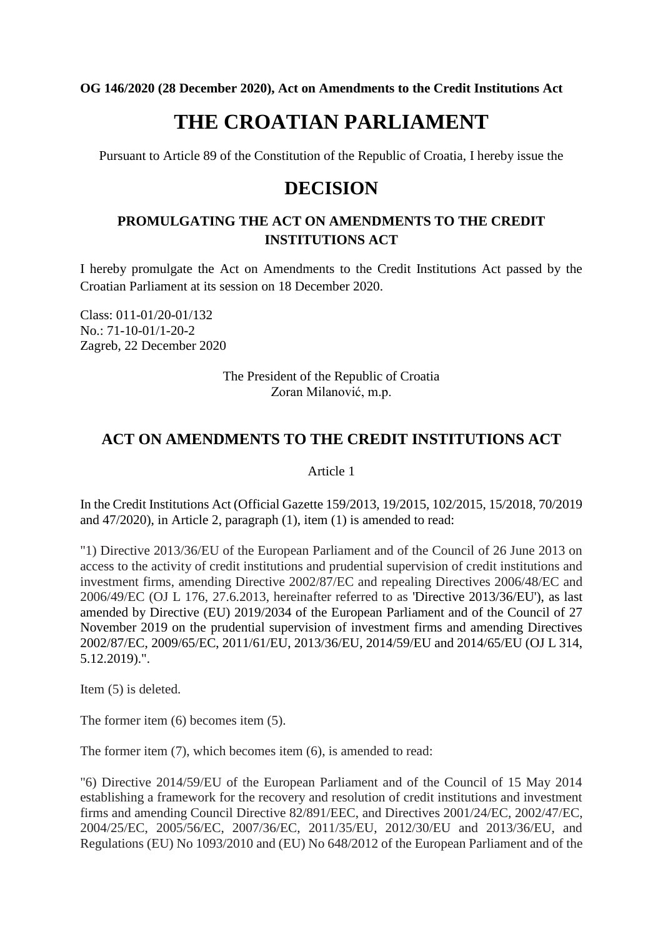**OG 146/2020 (28 December 2020), Act on Amendments to the Credit Institutions Act**

# **THE CROATIAN PARLIAMENT**

Pursuant to Article 89 of the Constitution of the Republic of Croatia, I hereby issue the

# **DECISION**

# **PROMULGATING THE ACT ON AMENDMENTS TO THE CREDIT INSTITUTIONS ACT**

I hereby promulgate the Act on Amendments to the Credit Institutions Act passed by the Croatian Parliament at its session on 18 December 2020.

Class: 011-01/20-01/132 No.: 71-10-01/1-20-2 Zagreb, 22 December 2020

> The President of the Republic of Croatia Zoran Milanović, m.p.

# **ACT ON AMENDMENTS TO THE CREDIT INSTITUTIONS ACT**

Article 1

In the Credit Institutions Act (Official Gazette 159/2013, 19/2015, 102/2015, 15/2018, 70/2019 and 47/2020), in Article 2, paragraph (1), item (1) is amended to read:

"1) Directive 2013/36/EU of the European Parliament and of the Council of 26 June 2013 on access to the activity of credit institutions and prudential supervision of credit institutions and investment firms, amending Directive 2002/87/EC and repealing Directives 2006/48/EC and 2006/49/EC (OJ L 176, 27.6.2013, hereinafter referred to as 'Directive 2013/36/EU'), as last amended by Directive (EU) 2019/2034 of the European Parliament and of the Council of 27 November 2019 on the prudential supervision of investment firms and amending Directives 2002/87/EC, 2009/65/EC, 2011/61/EU, 2013/36/EU, 2014/59/EU and 2014/65/EU (OJ L 314, 5.12.2019).".

Item (5) is deleted.

The former item (6) becomes item (5).

The former item (7), which becomes item (6), is amended to read:

"6) Directive 2014/59/EU of the European Parliament and of the Council of 15 May 2014 establishing a framework for the recovery and resolution of credit institutions and investment firms and amending Council Directive 82/891/EEC, and Directives 2001/24/EC, 2002/47/EC, 2004/25/EC, 2005/56/EC, 2007/36/EC, 2011/35/EU, 2012/30/EU and 2013/36/EU, and Regulations (EU) No 1093/2010 and (EU) No 648/2012 of the European Parliament and of the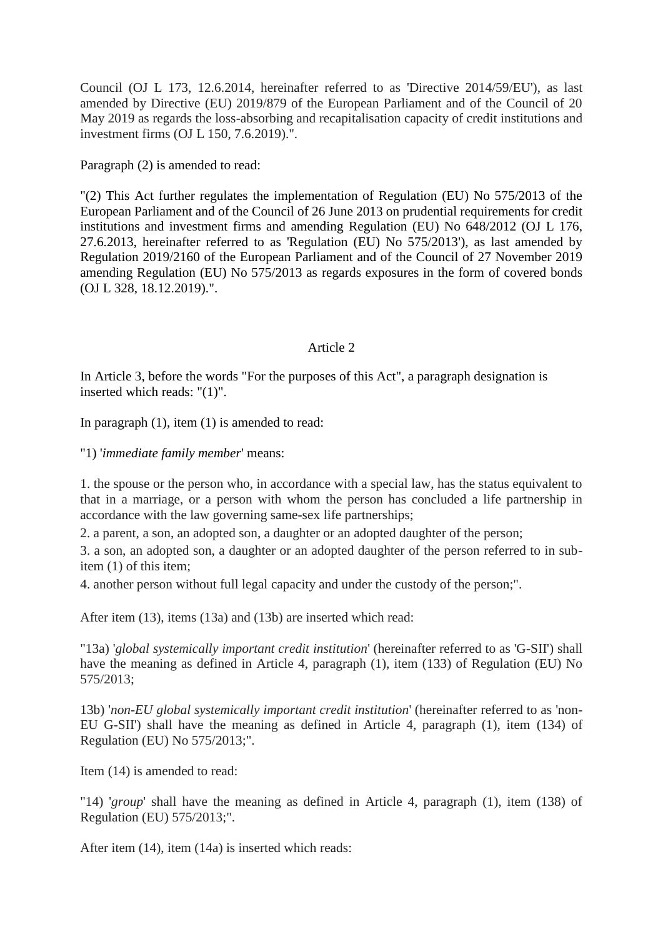Council (OJ L 173, 12.6.2014, hereinafter referred to as 'Directive 2014/59/EU'), as last amended by Directive (EU) 2019/879 of the European Parliament and of the Council of 20 May 2019 as regards the loss-absorbing and recapitalisation capacity of credit institutions and investment firms (OJ L 150, 7.6.2019).".

Paragraph (2) is amended to read:

"(2) This Act further regulates the implementation of Regulation (EU) No 575/2013 of the European Parliament and of the Council of 26 June 2013 on prudential requirements for credit institutions and investment firms and amending Regulation (EU) No 648/2012 (OJ L 176, 27.6.2013, hereinafter referred to as 'Regulation (EU) No 575/2013'), as last amended by Regulation 2019/2160 of the European Parliament and of the Council of 27 November 2019 amending Regulation (EU) No 575/2013 as regards exposures in the form of covered bonds (OJ L 328, 18.12.2019).".

# Article 2

In Article 3, before the words "For the purposes of this Act", a paragraph designation is inserted which reads: "(1)".

In paragraph (1), item (1) is amended to read:

"1) '*immediate family member*' means:

1. the spouse or the person who, in accordance with a special law, has the status equivalent to that in a marriage, or a person with whom the person has concluded a life partnership in accordance with the law governing same-sex life partnerships;

2. a parent, a son, an adopted son, a daughter or an adopted daughter of the person;

3. a son, an adopted son, a daughter or an adopted daughter of the person referred to in subitem (1) of this item;

4. another person without full legal capacity and under the custody of the person;".

After item (13), items (13a) and (13b) are inserted which read:

"13a) '*global systemically important credit institution*' (hereinafter referred to as 'G-SII') shall have the meaning as defined in Article 4, paragraph (1), item (133) of Regulation (EU) No 575/2013;

13b) '*non-EU global systemically important credit institution*' (hereinafter referred to as 'non-EU G-SII') shall have the meaning as defined in Article 4, paragraph (1), item (134) of Regulation (EU) No 575/2013;".

Item (14) is amended to read:

"14) '*group*' shall have the meaning as defined in Article 4, paragraph (1), item (138) of Regulation (EU) 575/2013;".

After item (14), item (14a) is inserted which reads: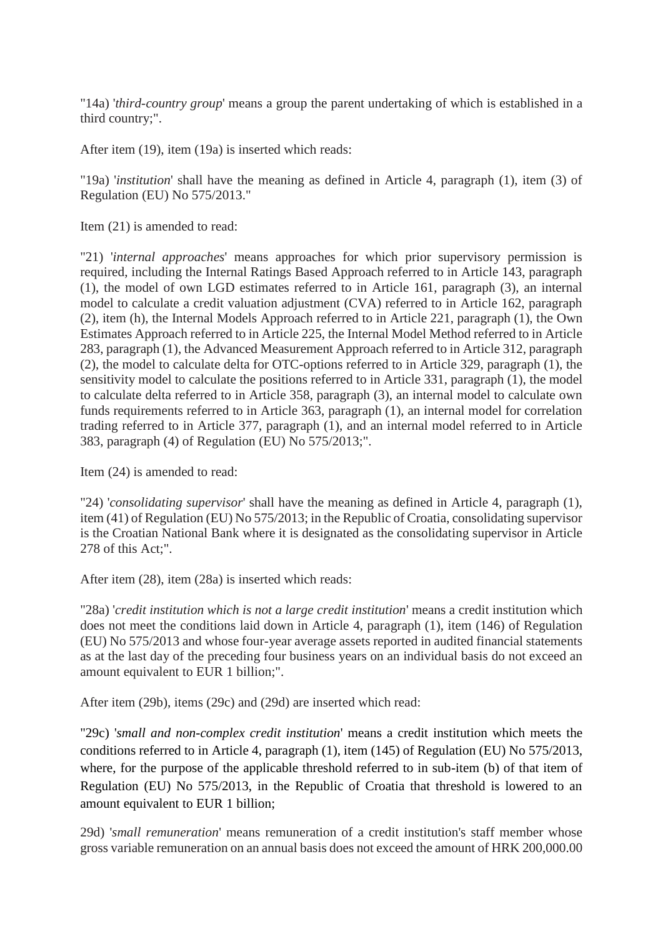"14a) '*third-country group*' means a group the parent undertaking of which is established in a third country;".

After item (19), item (19a) is inserted which reads:

"19a) '*institution*' shall have the meaning as defined in Article 4, paragraph (1), item (3) of Regulation (EU) No 575/2013."

Item (21) is amended to read:

"21) '*internal approaches*' means approaches for which prior supervisory permission is required, including the Internal Ratings Based Approach referred to in Article 143, paragraph (1), the model of own LGD estimates referred to in Article 161, paragraph (3), an internal model to calculate a credit valuation adjustment (CVA) referred to in Article 162, paragraph (2), item (h), the Internal Models Approach referred to in Article 221, paragraph (1), the Own Estimates Approach referred to in Article 225, the Internal Model Method referred to in Article 283, paragraph (1), the Advanced Measurement Approach referred to in Article 312, paragraph (2), the model to calculate delta for OTC-options referred to in Article 329, paragraph (1), the sensitivity model to calculate the positions referred to in Article 331, paragraph (1), the model to calculate delta referred to in Article 358, paragraph (3), an internal model to calculate own funds requirements referred to in Article 363, paragraph (1), an internal model for correlation trading referred to in Article 377, paragraph (1), and an internal model referred to in Article 383, paragraph (4) of Regulation (EU) No 575/2013;".

Item (24) is amended to read:

"24) '*consolidating supervisor*' shall have the meaning as defined in Article 4, paragraph (1), item (41) of Regulation (EU) No 575/2013; in the Republic of Croatia, consolidating supervisor is the Croatian National Bank where it is designated as the consolidating supervisor in Article 278 of this Act;".

After item (28), item (28a) is inserted which reads:

"28a) '*credit institution which is not a large credit institution*' means a credit institution which does not meet the conditions laid down in Article 4, paragraph (1), item (146) of Regulation (EU) No 575/2013 and whose four-year average assets reported in audited financial statements as at the last day of the preceding four business years on an individual basis do not exceed an amount equivalent to EUR 1 billion;".

After item (29b), items (29c) and (29d) are inserted which read:

"29c) '*small and non-complex credit institution*' means a credit institution which meets the conditions referred to in Article 4, paragraph (1), item (145) of Regulation (EU) No 575/2013, where, for the purpose of the applicable threshold referred to in sub-item (b) of that item of Regulation (EU) No 575/2013, in the Republic of Croatia that threshold is lowered to an amount equivalent to EUR 1 billion;

29d) '*small remuneration*' means remuneration of a credit institution's staff member whose gross variable remuneration on an annual basis does not exceed the amount of HRK 200,000.00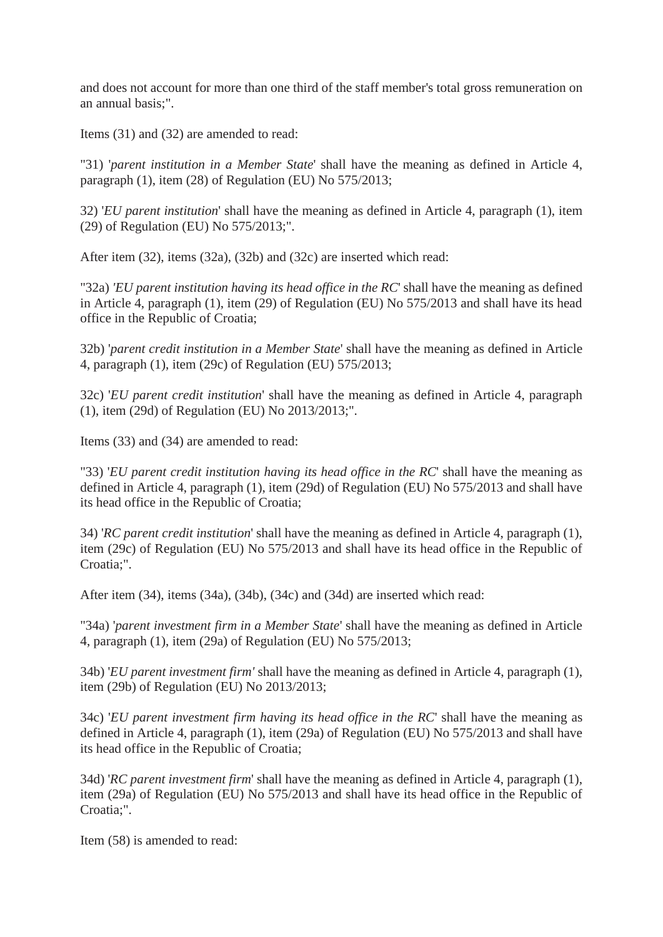and does not account for more than one third of the staff member's total gross remuneration on an annual basis;".

Items (31) and (32) are amended to read:

"31) '*parent institution in a Member State*' shall have the meaning as defined in Article 4, paragraph (1), item (28) of Regulation (EU) No 575/2013;

32) '*EU parent institution*' shall have the meaning as defined in Article 4, paragraph (1), item (29) of Regulation (EU) No 575/2013;".

After item (32), items (32a), (32b) and (32c) are inserted which read:

"32a) *'EU parent institution having its head office in the RC*' shall have the meaning as defined in Article 4, paragraph (1), item (29) of Regulation (EU) No 575/2013 and shall have its head office in the Republic of Croatia;

32b) '*parent credit institution in a Member State*' shall have the meaning as defined in Article 4, paragraph (1), item (29c) of Regulation (EU) 575/2013;

32c) '*EU parent credit institution*' shall have the meaning as defined in Article 4, paragraph (1), item (29d) of Regulation (EU) No 2013/2013;".

Items (33) and (34) are amended to read:

"33) '*EU parent credit institution having its head office in the RC*' shall have the meaning as defined in Article 4, paragraph (1), item (29d) of Regulation (EU) No 575/2013 and shall have its head office in the Republic of Croatia;

34) '*RC parent credit institution*' shall have the meaning as defined in Article 4, paragraph (1), item (29c) of Regulation (EU) No 575/2013 and shall have its head office in the Republic of Croatia;".

After item (34), items (34a), (34b), (34c) and (34d) are inserted which read:

"34a) '*parent investment firm in a Member State*' shall have the meaning as defined in Article 4, paragraph (1), item (29a) of Regulation (EU) No 575/2013;

34b) '*EU parent investment firm'* shall have the meaning as defined in Article 4, paragraph (1), item (29b) of Regulation (EU) No 2013/2013;

34c) '*EU parent investment firm having its head office in the RC*' shall have the meaning as defined in Article 4, paragraph (1), item (29a) of Regulation (EU) No 575/2013 and shall have its head office in the Republic of Croatia;

34d) '*RC parent investment firm*' shall have the meaning as defined in Article 4, paragraph (1), item (29a) of Regulation (EU) No 575/2013 and shall have its head office in the Republic of Croatia;".

Item (58) is amended to read: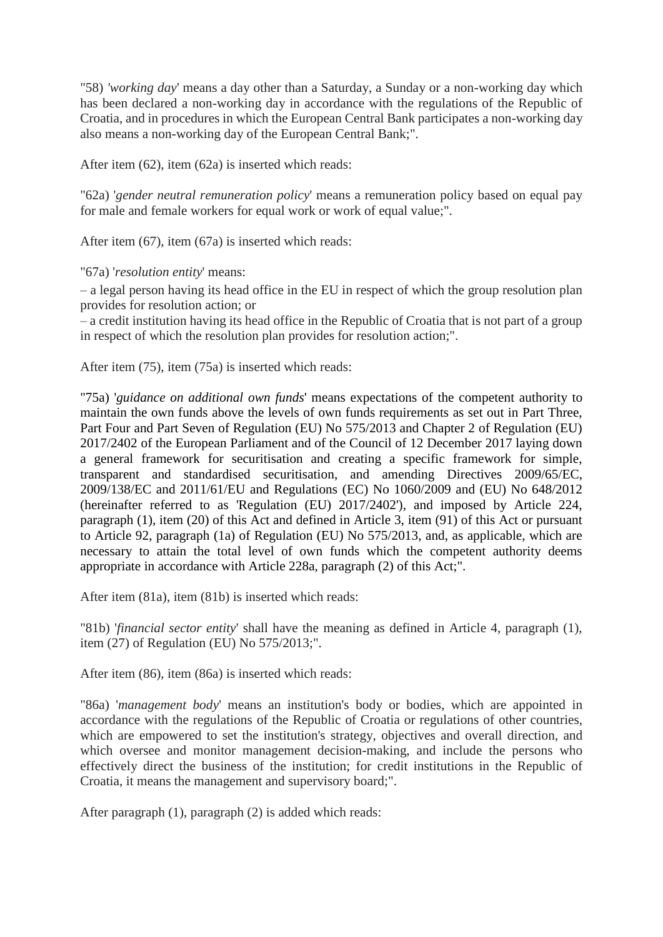"58) *'working day*' means a day other than a Saturday, a Sunday or a non-working day which has been declared a non-working day in accordance with the regulations of the Republic of Croatia, and in procedures in which the European Central Bank participates a non-working day also means a non-working day of the European Central Bank;".

After item (62), item (62a) is inserted which reads:

"62a) '*gender neutral remuneration policy*' means a remuneration policy based on equal pay for male and female workers for equal work or work of equal value;".

After item (67), item (67a) is inserted which reads:

"67a) '*resolution entity*' means:

– a legal person having its head office in the EU in respect of which the group resolution plan provides for resolution action; or

– a credit institution having its head office in the Republic of Croatia that is not part of a group in respect of which the resolution plan provides for resolution action;".

After item (75), item (75a) is inserted which reads:

"75a) '*guidance on additional own funds*' means expectations of the competent authority to maintain the own funds above the levels of own funds requirements as set out in Part Three, Part Four and Part Seven of Regulation (EU) No 575/2013 and Chapter 2 of Regulation (EU) 2017/2402 of the European Parliament and of the Council of 12 December 2017 laying down a general framework for securitisation and creating a specific framework for simple, transparent and standardised securitisation, and amending Directives 2009/65/EC, 2009/138/EC and 2011/61/EU and Regulations (EC) No 1060/2009 and (EU) No 648/2012 (hereinafter referred to as 'Regulation (EU) 2017/2402'), and imposed by Article 224, paragraph (1), item (20) of this Act and defined in Article 3, item (91) of this Act or pursuant to Article 92, paragraph (1a) of Regulation (EU) No 575/2013, and, as applicable, which are necessary to attain the total level of own funds which the competent authority deems appropriate in accordance with Article 228a, paragraph (2) of this Act;".

After item (81a), item (81b) is inserted which reads:

"81b) '*financial sector entity*' shall have the meaning as defined in Article 4, paragraph (1), item (27) of Regulation (EU) No 575/2013;".

After item (86), item (86a) is inserted which reads:

"86a) '*management body*' means an institution's body or bodies, which are appointed in accordance with the regulations of the Republic of Croatia or regulations of other countries, which are empowered to set the institution's strategy, objectives and overall direction, and which oversee and monitor management decision-making, and include the persons who effectively direct the business of the institution; for credit institutions in the Republic of Croatia, it means the management and supervisory board;".

After paragraph (1), paragraph (2) is added which reads: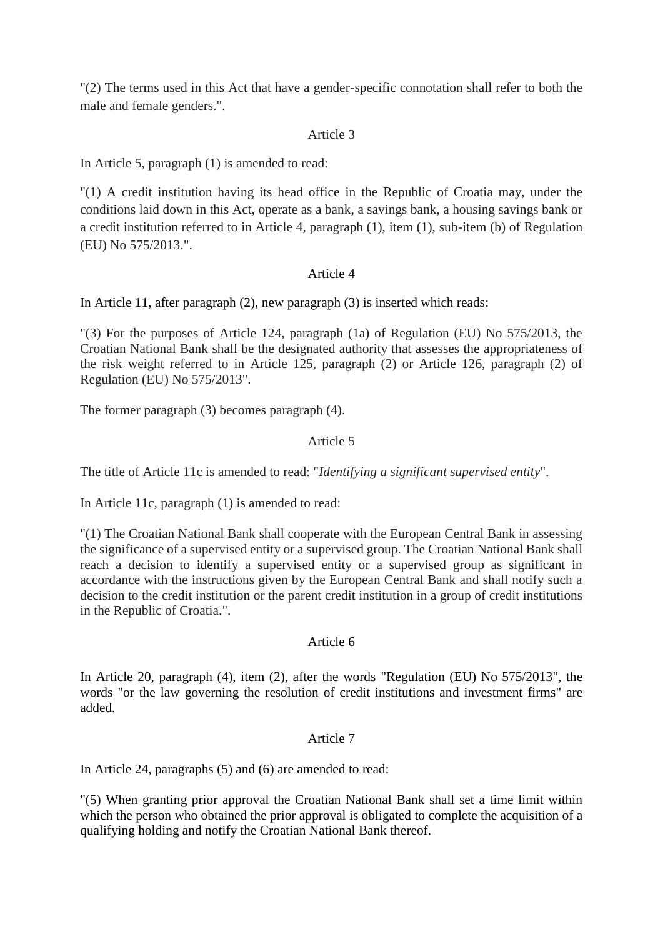"(2) The terms used in this Act that have a gender-specific connotation shall refer to both the male and female genders.".

#### Article 3

In Article 5, paragraph (1) is amended to read:

"(1) A credit institution having its head office in the Republic of Croatia may, under the conditions laid down in this Act, operate as a bank, a savings bank, a housing savings bank or a credit institution referred to in Article 4, paragraph (1), item (1), sub-item (b) of Regulation (EU) No 575/2013.".

#### Article 4

In Article 11, after paragraph (2), new paragraph (3) is inserted which reads:

"(3) For the purposes of Article 124, paragraph (1a) of Regulation (EU) No 575/2013, the Croatian National Bank shall be the designated authority that assesses the appropriateness of the risk weight referred to in Article 125, paragraph (2) or Article 126, paragraph (2) of Regulation (EU) No 575/2013".

The former paragraph (3) becomes paragraph (4).

# Article 5

The title of Article 11c is amended to read: "*Identifying a significant supervised entity*".

In Article 11c, paragraph (1) is amended to read:

"(1) The Croatian National Bank shall cooperate with the European Central Bank in assessing the significance of a supervised entity or a supervised group. The Croatian National Bank shall reach a decision to identify a supervised entity or a supervised group as significant in accordance with the instructions given by the European Central Bank and shall notify such a decision to the credit institution or the parent credit institution in a group of credit institutions in the Republic of Croatia.".

#### Article 6

In Article 20, paragraph (4), item (2), after the words "Regulation (EU) No 575/2013", the words "or the law governing the resolution of credit institutions and investment firms" are added.

#### Article 7

In Article 24, paragraphs (5) and (6) are amended to read:

"(5) When granting prior approval the Croatian National Bank shall set a time limit within which the person who obtained the prior approval is obligated to complete the acquisition of a qualifying holding and notify the Croatian National Bank thereof.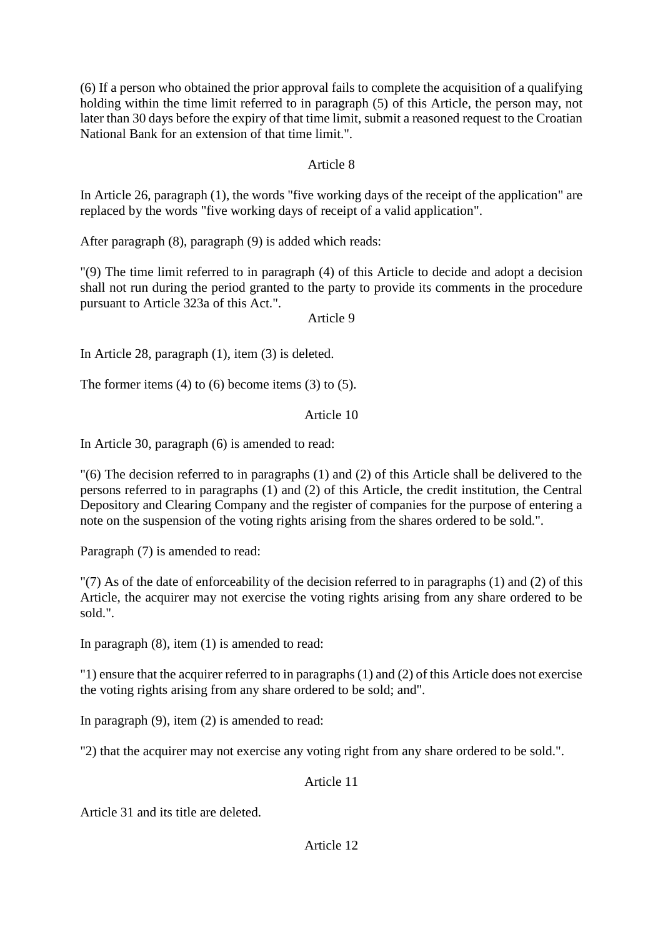(6) If a person who obtained the prior approval fails to complete the acquisition of a qualifying holding within the time limit referred to in paragraph (5) of this Article, the person may, not later than 30 days before the expiry of that time limit, submit a reasoned request to the Croatian National Bank for an extension of that time limit.".

# Article 8

In Article 26, paragraph (1), the words "five working days of the receipt of the application" are replaced by the words "five working days of receipt of a valid application".

After paragraph (8), paragraph (9) is added which reads:

"(9) The time limit referred to in paragraph (4) of this Article to decide and adopt a decision shall not run during the period granted to the party to provide its comments in the procedure pursuant to Article 323a of this Act.".

Article 9

In Article 28, paragraph (1), item (3) is deleted.

The former items  $(4)$  to  $(6)$  become items  $(3)$  to  $(5)$ .

#### Article 10

In Article 30, paragraph (6) is amended to read:

"(6) The decision referred to in paragraphs (1) and (2) of this Article shall be delivered to the persons referred to in paragraphs (1) and (2) of this Article, the credit institution, the Central Depository and Clearing Company and the register of companies for the purpose of entering a note on the suspension of the voting rights arising from the shares ordered to be sold.".

Paragraph (7) is amended to read:

"(7) As of the date of enforceability of the decision referred to in paragraphs (1) and (2) of this Article, the acquirer may not exercise the voting rights arising from any share ordered to be sold.".

In paragraph (8), item (1) is amended to read:

"1) ensure that the acquirer referred to in paragraphs (1) and (2) of this Article does not exercise the voting rights arising from any share ordered to be sold; and".

In paragraph (9), item (2) is amended to read:

"2) that the acquirer may not exercise any voting right from any share ordered to be sold.".

Article 11

Article 31 and its title are deleted.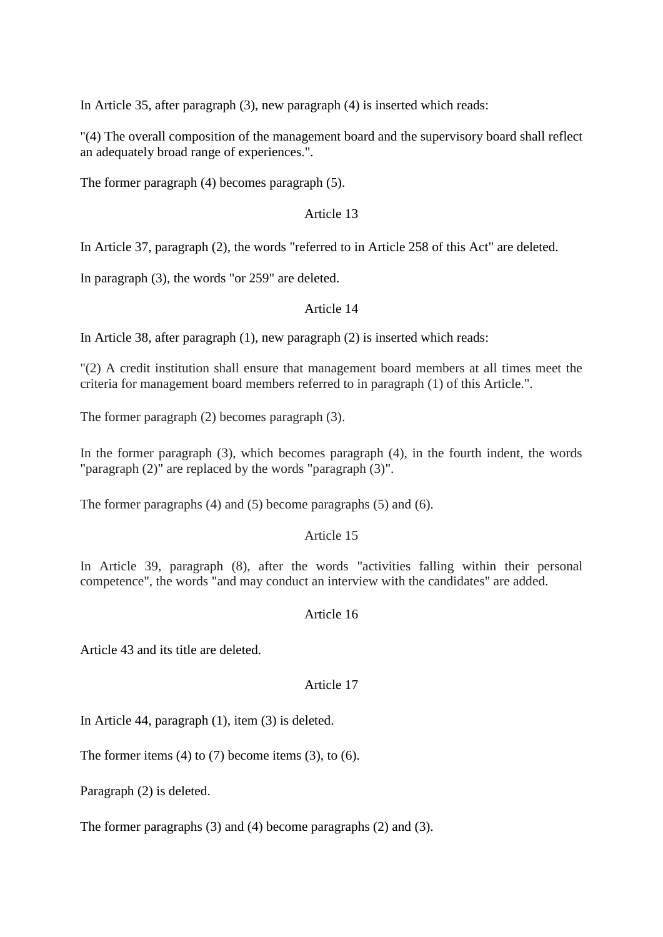In Article 35, after paragraph (3), new paragraph (4) is inserted which reads:

"(4) The overall composition of the management board and the supervisory board shall reflect an adequately broad range of experiences.".

The former paragraph (4) becomes paragraph (5).

#### Article 13

In Article 37, paragraph (2), the words "referred to in Article 258 of this Act" are deleted.

In paragraph (3), the words "or 259" are deleted.

#### Article 14

In Article 38, after paragraph (1), new paragraph (2) is inserted which reads:

"(2) A credit institution shall ensure that management board members at all times meet the criteria for management board members referred to in paragraph (1) of this Article.".

The former paragraph (2) becomes paragraph (3).

In the former paragraph (3), which becomes paragraph (4), in the fourth indent, the words "paragraph (2)" are replaced by the words "paragraph (3)".

The former paragraphs (4) and (5) become paragraphs (5) and (6).

#### Article 15

In Article 39, paragraph (8), after the words "activities falling within their personal competence", the words "and may conduct an interview with the candidates" are added.

#### Article 16

Article 43 and its title are deleted.

#### Article 17

In Article 44, paragraph (1), item (3) is deleted.

The former items  $(4)$  to  $(7)$  become items  $(3)$ , to  $(6)$ .

Paragraph (2) is deleted.

The former paragraphs (3) and (4) become paragraphs (2) and (3).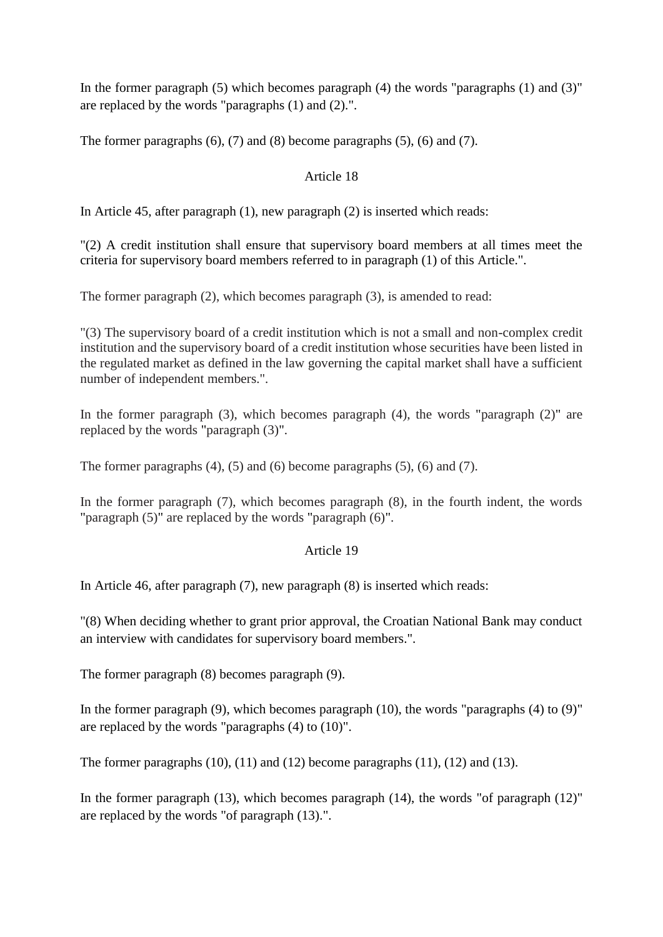In the former paragraph  $(5)$  which becomes paragraph  $(4)$  the words "paragraphs  $(1)$  and  $(3)$ " are replaced by the words "paragraphs (1) and (2).".

The former paragraphs (6), (7) and (8) become paragraphs (5), (6) and (7).

# Article 18

In Article 45, after paragraph (1), new paragraph (2) is inserted which reads:

"(2) A credit institution shall ensure that supervisory board members at all times meet the criteria for supervisory board members referred to in paragraph (1) of this Article.".

The former paragraph (2), which becomes paragraph (3), is amended to read:

"(3) The supervisory board of a credit institution which is not a small and non-complex credit institution and the supervisory board of a credit institution whose securities have been listed in the regulated market as defined in the law governing the capital market shall have a sufficient number of independent members.".

In the former paragraph (3), which becomes paragraph (4), the words "paragraph (2)" are replaced by the words "paragraph (3)".

The former paragraphs (4), (5) and (6) become paragraphs (5), (6) and (7).

In the former paragraph (7), which becomes paragraph (8), in the fourth indent, the words "paragraph (5)" are replaced by the words "paragraph (6)".

# Article 19

In Article 46, after paragraph (7), new paragraph (8) is inserted which reads:

"(8) When deciding whether to grant prior approval, the Croatian National Bank may conduct an interview with candidates for supervisory board members.".

The former paragraph (8) becomes paragraph (9).

In the former paragraph  $(9)$ , which becomes paragraph  $(10)$ , the words "paragraphs  $(4)$  to  $(9)$ " are replaced by the words "paragraphs (4) to (10)".

The former paragraphs  $(10)$ ,  $(11)$  and  $(12)$  become paragraphs  $(11)$ ,  $(12)$  and  $(13)$ .

In the former paragraph (13), which becomes paragraph (14), the words "of paragraph (12)" are replaced by the words "of paragraph (13).".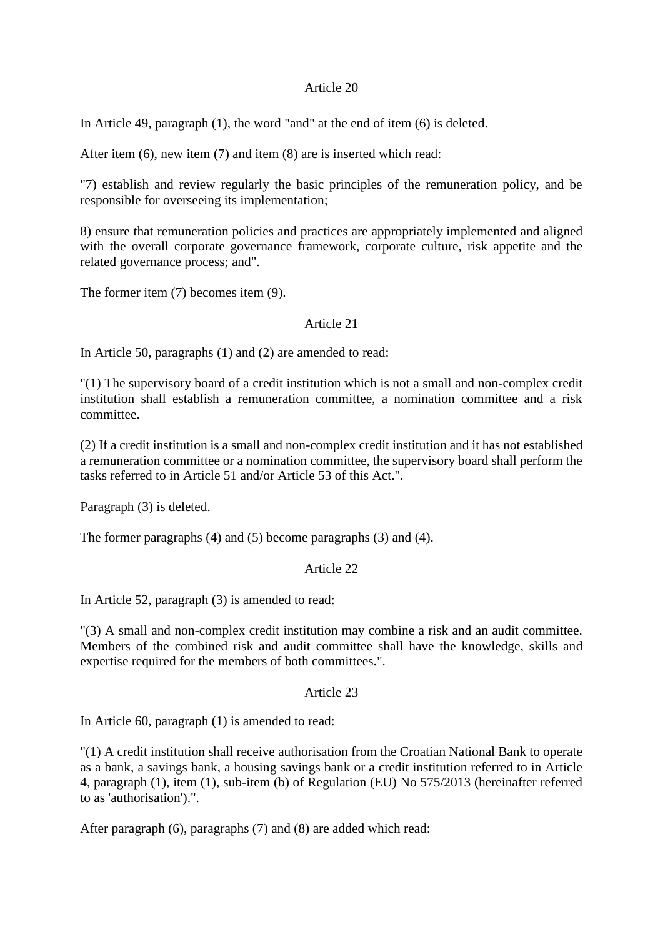#### Article 20

In Article 49, paragraph (1), the word "and" at the end of item (6) is deleted.

After item (6), new item (7) and item (8) are is inserted which read:

"7) establish and review regularly the basic principles of the remuneration policy, and be responsible for overseeing its implementation;

8) ensure that remuneration policies and practices are appropriately implemented and aligned with the overall corporate governance framework, corporate culture, risk appetite and the related governance process; and".

The former item (7) becomes item (9).

#### Article 21

In Article 50, paragraphs (1) and (2) are amended to read:

"(1) The supervisory board of a credit institution which is not a small and non-complex credit institution shall establish a remuneration committee, a nomination committee and a risk committee.

(2) If a credit institution is a small and non-complex credit institution and it has not established a remuneration committee or a nomination committee, the supervisory board shall perform the tasks referred to in Article 51 and/or Article 53 of this Act.".

Paragraph (3) is deleted.

The former paragraphs (4) and (5) become paragraphs (3) and (4).

# Article 22

In Article 52, paragraph (3) is amended to read:

"(3) A small and non-complex credit institution may combine a risk and an audit committee. Members of the combined risk and audit committee shall have the knowledge, skills and expertise required for the members of both committees.".

#### Article 23

In Article 60, paragraph (1) is amended to read:

"(1) A credit institution shall receive authorisation from the Croatian National Bank to operate as a bank, a savings bank, a housing savings bank or a credit institution referred to in Article 4, paragraph (1), item (1), sub-item (b) of Regulation (EU) No 575/2013 (hereinafter referred to as 'authorisation').".

After paragraph (6), paragraphs (7) and (8) are added which read: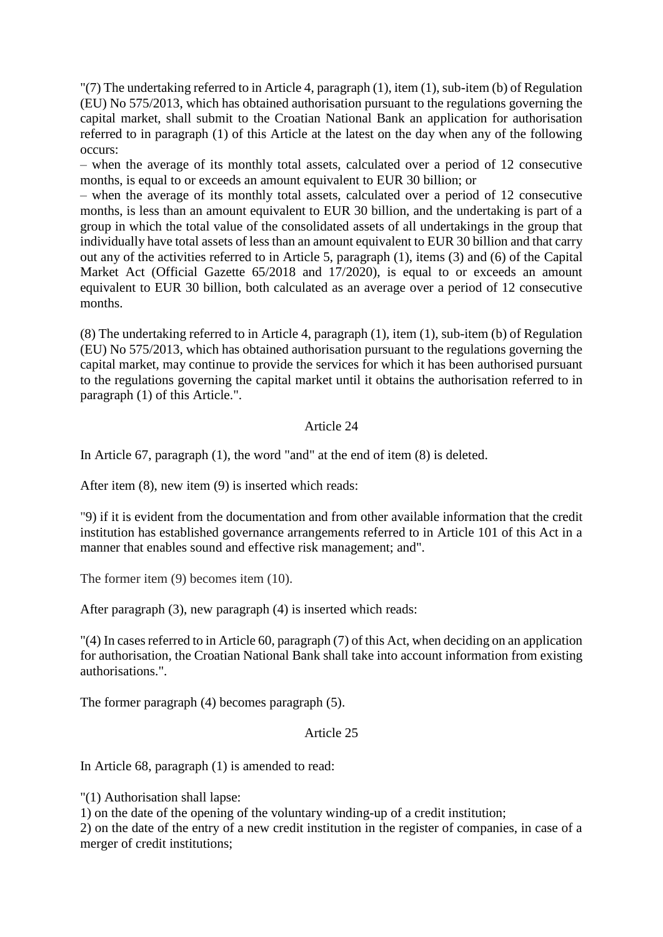"(7) The undertaking referred to in Article 4, paragraph (1), item (1), sub-item (b) of Regulation (EU) No 575/2013, which has obtained authorisation pursuant to the regulations governing the capital market, shall submit to the Croatian National Bank an application for authorisation referred to in paragraph (1) of this Article at the latest on the day when any of the following occurs:

– when the average of its monthly total assets, calculated over a period of 12 consecutive months, is equal to or exceeds an amount equivalent to EUR 30 billion; or

– when the average of its monthly total assets, calculated over a period of 12 consecutive months, is less than an amount equivalent to EUR 30 billion, and the undertaking is part of a group in which the total value of the consolidated assets of all undertakings in the group that individually have total assets of less than an amount equivalent to EUR 30 billion and that carry out any of the activities referred to in Article 5, paragraph (1), items (3) and (6) of the Capital Market Act (Official Gazette 65/2018 and 17/2020), is equal to or exceeds an amount equivalent to EUR 30 billion, both calculated as an average over a period of 12 consecutive months.

(8) The undertaking referred to in Article 4, paragraph (1), item (1), sub-item (b) of Regulation (EU) No 575/2013, which has obtained authorisation pursuant to the regulations governing the capital market, may continue to provide the services for which it has been authorised pursuant to the regulations governing the capital market until it obtains the authorisation referred to in paragraph (1) of this Article.".

#### Article 24

In Article 67, paragraph (1), the word "and" at the end of item (8) is deleted.

After item (8), new item (9) is inserted which reads:

"9) if it is evident from the documentation and from other available information that the credit institution has established governance arrangements referred to in Article 101 of this Act in a manner that enables sound and effective risk management; and".

The former item (9) becomes item (10).

After paragraph (3), new paragraph (4) is inserted which reads:

"(4) In cases referred to in Article 60, paragraph (7) of this Act, when deciding on an application for authorisation, the Croatian National Bank shall take into account information from existing authorisations.".

The former paragraph (4) becomes paragraph (5).

#### Article 25

In Article 68, paragraph (1) is amended to read:

"(1) Authorisation shall lapse:

1) on the date of the opening of the voluntary winding-up of a credit institution;

2) on the date of the entry of a new credit institution in the register of companies, in case of a merger of credit institutions;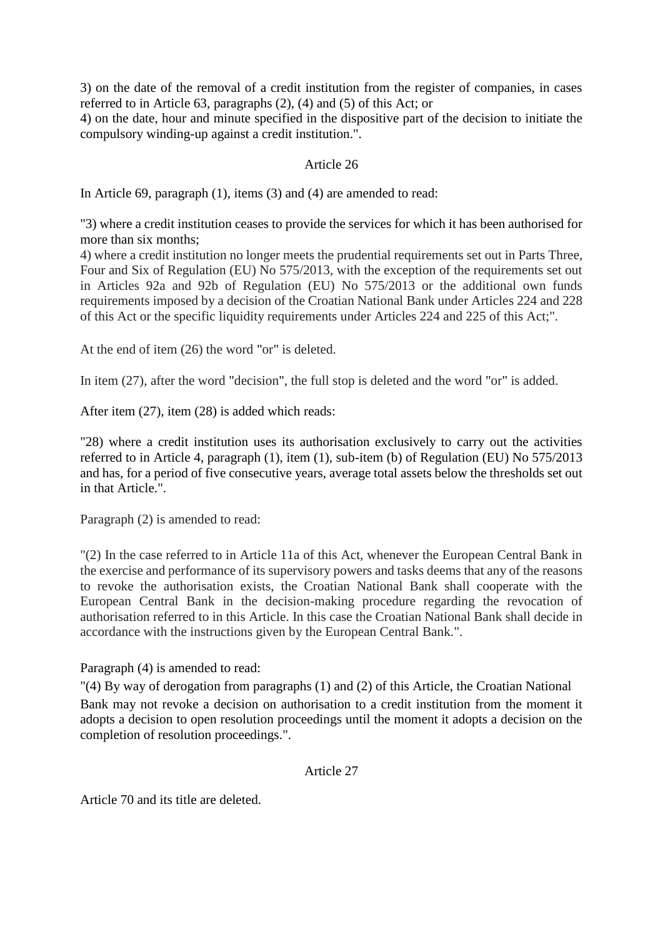3) on the date of the removal of a credit institution from the register of companies, in cases referred to in Article 63, paragraphs (2), (4) and (5) of this Act; or

4) on the date, hour and minute specified in the dispositive part of the decision to initiate the compulsory winding-up against a credit institution.".

#### Article 26

In Article 69, paragraph (1), items (3) and (4) are amended to read:

"3) where a credit institution ceases to provide the services for which it has been authorised for more than six months;

4) where a credit institution no longer meets the prudential requirements set out in Parts Three, Four and Six of Regulation (EU) No 575/2013, with the exception of the requirements set out in Articles 92a and 92b of Regulation (EU) No 575/2013 or the additional own funds requirements imposed by a decision of the Croatian National Bank under Articles 224 and 228 of this Act or the specific liquidity requirements under Articles 224 and 225 of this Act;".

At the end of item (26) the word "or" is deleted.

In item (27), after the word "decision", the full stop is deleted and the word "or" is added.

After item (27), item (28) is added which reads:

"28) where a credit institution uses its authorisation exclusively to carry out the activities referred to in Article 4, paragraph (1), item (1), sub-item (b) of Regulation (EU) No 575/2013 and has, for a period of five consecutive years, average total assets below the thresholds set out in that Article.".

Paragraph (2) is amended to read:

"(2) In the case referred to in Article 11a of this Act, whenever the European Central Bank in the exercise and performance of its supervisory powers and tasks deems that any of the reasons to revoke the authorisation exists, the Croatian National Bank shall cooperate with the European Central Bank in the decision-making procedure regarding the revocation of authorisation referred to in this Article. In this case the Croatian National Bank shall decide in accordance with the instructions given by the European Central Bank.".

Paragraph (4) is amended to read:

"(4) By way of derogation from paragraphs (1) and (2) of this Article, the Croatian National Bank may not revoke a decision on authorisation to a credit institution from the moment it adopts a decision to open resolution proceedings until the moment it adopts a decision on the completion of resolution proceedings.".

Article 27

Article 70 and its title are deleted.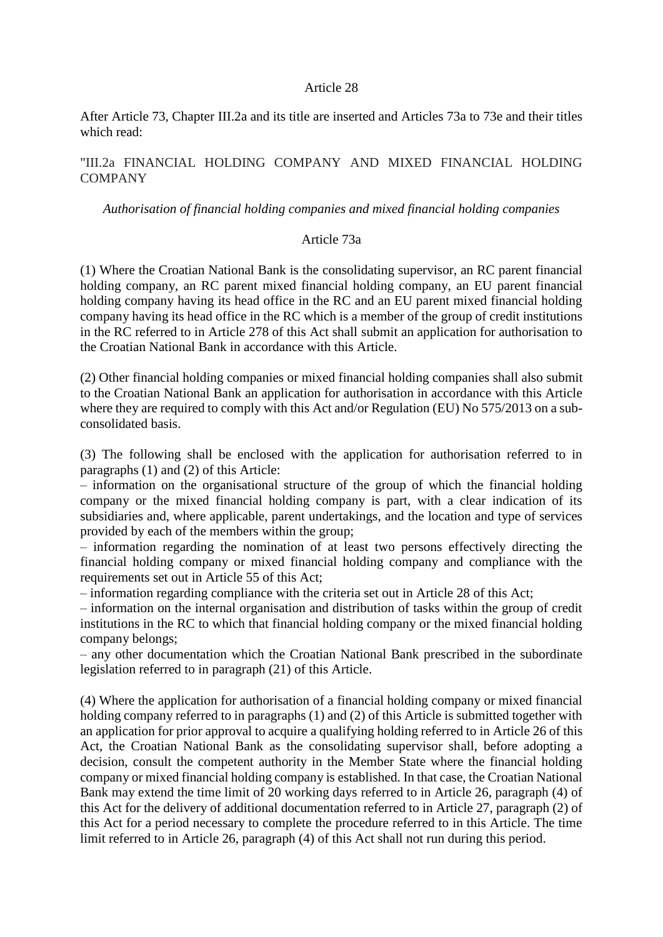#### Article 28

After Article 73, Chapter III.2a and its title are inserted and Articles 73a to 73e and their titles which read:

#### "III.2a FINANCIAL HOLDING COMPANY AND MIXED FINANCIAL HOLDING **COMPANY**

*Authorisation of financial holding companies and mixed financial holding companies*

#### Article 73a

(1) Where the Croatian National Bank is the consolidating supervisor, an RC parent financial holding company, an RC parent mixed financial holding company, an EU parent financial holding company having its head office in the RC and an EU parent mixed financial holding company having its head office in the RC which is a member of the group of credit institutions in the RC referred to in Article 278 of this Act shall submit an application for authorisation to the Croatian National Bank in accordance with this Article.

(2) Other financial holding companies or mixed financial holding companies shall also submit to the Croatian National Bank an application for authorisation in accordance with this Article where they are required to comply with this Act and/or Regulation (EU) No 575/2013 on a subconsolidated basis.

(3) The following shall be enclosed with the application for authorisation referred to in paragraphs (1) and (2) of this Article:

– information on the organisational structure of the group of which the financial holding company or the mixed financial holding company is part, with a clear indication of its subsidiaries and, where applicable, parent undertakings, and the location and type of services provided by each of the members within the group;

– information regarding the nomination of at least two persons effectively directing the financial holding company or mixed financial holding company and compliance with the requirements set out in Article 55 of this Act;

– information regarding compliance with the criteria set out in Article 28 of this Act;

– information on the internal organisation and distribution of tasks within the group of credit institutions in the RC to which that financial holding company or the mixed financial holding company belongs;

– any other documentation which the Croatian National Bank prescribed in the subordinate legislation referred to in paragraph (21) of this Article.

(4) Where the application for authorisation of a financial holding company or mixed financial holding company referred to in paragraphs (1) and (2) of this Article is submitted together with an application for prior approval to acquire a qualifying holding referred to in Article 26 of this Act, the Croatian National Bank as the consolidating supervisor shall, before adopting a decision, consult the competent authority in the Member State where the financial holding company or mixed financial holding company is established. In that case, the Croatian National Bank may extend the time limit of 20 working days referred to in Article 26, paragraph (4) of this Act for the delivery of additional documentation referred to in Article 27, paragraph (2) of this Act for a period necessary to complete the procedure referred to in this Article. The time limit referred to in Article 26, paragraph (4) of this Act shall not run during this period.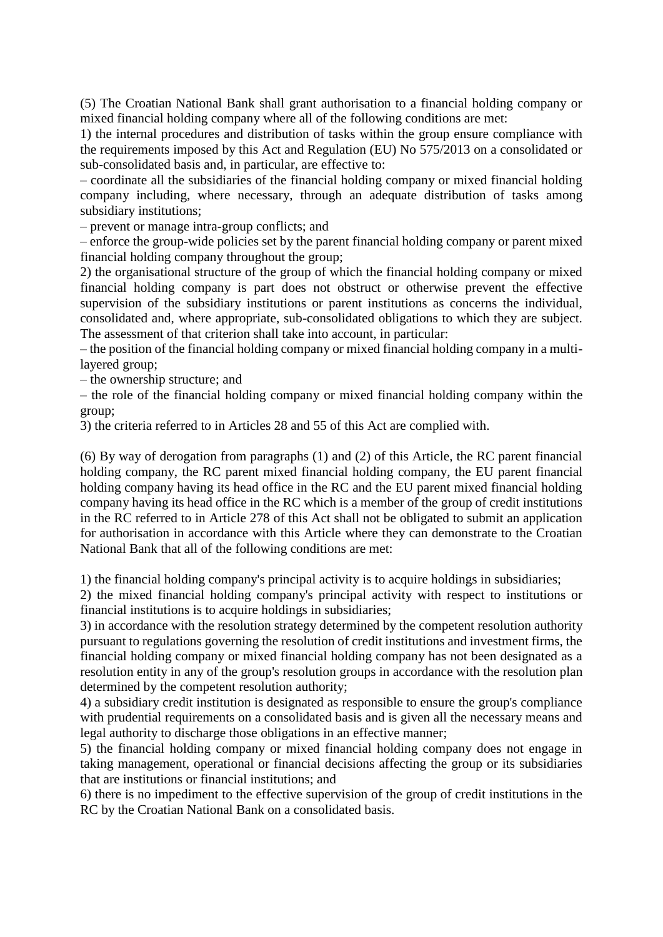(5) The Croatian National Bank shall grant authorisation to a financial holding company or mixed financial holding company where all of the following conditions are met:

1) the internal procedures and distribution of tasks within the group ensure compliance with the requirements imposed by this Act and Regulation (EU) No 575/2013 on a consolidated or sub-consolidated basis and, in particular, are effective to:

– coordinate all the subsidiaries of the financial holding company or mixed financial holding company including, where necessary, through an adequate distribution of tasks among subsidiary institutions;

– prevent or manage intra-group conflicts; and

– enforce the group-wide policies set by the parent financial holding company or parent mixed financial holding company throughout the group;

2) the organisational structure of the group of which the financial holding company or mixed financial holding company is part does not obstruct or otherwise prevent the effective supervision of the subsidiary institutions or parent institutions as concerns the individual, consolidated and, where appropriate, sub-consolidated obligations to which they are subject. The assessment of that criterion shall take into account, in particular:

– the position of the financial holding company or mixed financial holding company in a multilayered group;

– the ownership structure; and

– the role of the financial holding company or mixed financial holding company within the group;

3) the criteria referred to in Articles 28 and 55 of this Act are complied with.

(6) By way of derogation from paragraphs (1) and (2) of this Article, the RC parent financial holding company, the RC parent mixed financial holding company, the EU parent financial holding company having its head office in the RC and the EU parent mixed financial holding company having its head office in the RC which is a member of the group of credit institutions in the RC referred to in Article 278 of this Act shall not be obligated to submit an application for authorisation in accordance with this Article where they can demonstrate to the Croatian National Bank that all of the following conditions are met:

1) the financial holding company's principal activity is to acquire holdings in subsidiaries;

2) the mixed financial holding company's principal activity with respect to institutions or financial institutions is to acquire holdings in subsidiaries;

3) in accordance with the resolution strategy determined by the competent resolution authority pursuant to regulations governing the resolution of credit institutions and investment firms, the financial holding company or mixed financial holding company has not been designated as a resolution entity in any of the group's resolution groups in accordance with the resolution plan determined by the competent resolution authority;

4) a subsidiary credit institution is designated as responsible to ensure the group's compliance with prudential requirements on a consolidated basis and is given all the necessary means and legal authority to discharge those obligations in an effective manner;

5) the financial holding company or mixed financial holding company does not engage in taking management, operational or financial decisions affecting the group or its subsidiaries that are institutions or financial institutions; and

6) there is no impediment to the effective supervision of the group of credit institutions in the RC by the Croatian National Bank on a consolidated basis.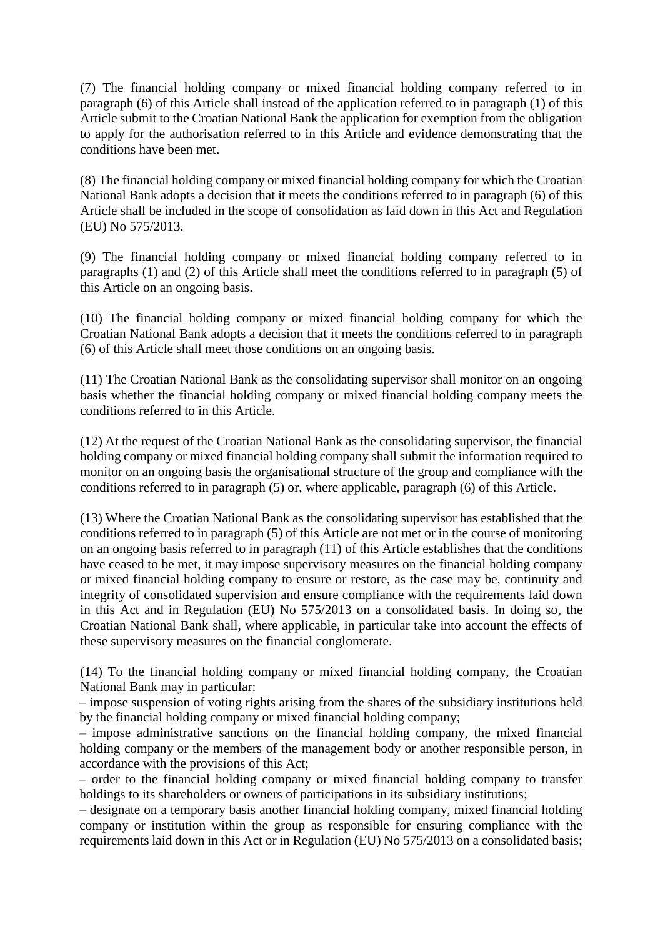(7) The financial holding company or mixed financial holding company referred to in paragraph (6) of this Article shall instead of the application referred to in paragraph (1) of this Article submit to the Croatian National Bank the application for exemption from the obligation to apply for the authorisation referred to in this Article and evidence demonstrating that the conditions have been met.

(8) The financial holding company or mixed financial holding company for which the Croatian National Bank adopts a decision that it meets the conditions referred to in paragraph (6) of this Article shall be included in the scope of consolidation as laid down in this Act and Regulation (EU) No 575/2013.

(9) The financial holding company or mixed financial holding company referred to in paragraphs (1) and (2) of this Article shall meet the conditions referred to in paragraph (5) of this Article on an ongoing basis.

(10) The financial holding company or mixed financial holding company for which the Croatian National Bank adopts a decision that it meets the conditions referred to in paragraph (6) of this Article shall meet those conditions on an ongoing basis.

(11) The Croatian National Bank as the consolidating supervisor shall monitor on an ongoing basis whether the financial holding company or mixed financial holding company meets the conditions referred to in this Article.

(12) At the request of the Croatian National Bank as the consolidating supervisor, the financial holding company or mixed financial holding company shall submit the information required to monitor on an ongoing basis the organisational structure of the group and compliance with the conditions referred to in paragraph (5) or, where applicable, paragraph (6) of this Article.

(13) Where the Croatian National Bank as the consolidating supervisor has established that the conditions referred to in paragraph (5) of this Article are not met or in the course of monitoring on an ongoing basis referred to in paragraph (11) of this Article establishes that the conditions have ceased to be met, it may impose supervisory measures on the financial holding company or mixed financial holding company to ensure or restore, as the case may be, continuity and integrity of consolidated supervision and ensure compliance with the requirements laid down in this Act and in Regulation (EU) No 575/2013 on a consolidated basis. In doing so, the Croatian National Bank shall, where applicable, in particular take into account the effects of these supervisory measures on the financial conglomerate.

(14) To the financial holding company or mixed financial holding company, the Croatian National Bank may in particular:

– impose suspension of voting rights arising from the shares of the subsidiary institutions held by the financial holding company or mixed financial holding company;

– impose administrative sanctions on the financial holding company, the mixed financial holding company or the members of the management body or another responsible person, in accordance with the provisions of this Act;

– order to the financial holding company or mixed financial holding company to transfer holdings to its shareholders or owners of participations in its subsidiary institutions;

– designate on a temporary basis another financial holding company, mixed financial holding company or institution within the group as responsible for ensuring compliance with the requirements laid down in this Act or in Regulation (EU) No 575/2013 on a consolidated basis;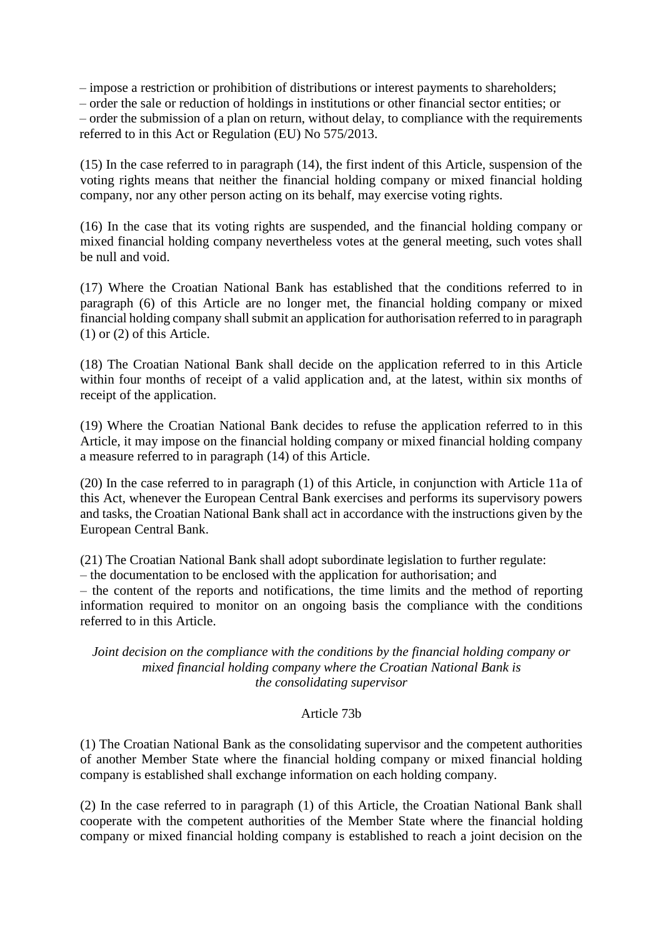– impose a restriction or prohibition of distributions or interest payments to shareholders; – order the sale or reduction of holdings in institutions or other financial sector entities; or – order the submission of a plan on return, without delay, to compliance with the requirements referred to in this Act or Regulation (EU) No 575/2013.

(15) In the case referred to in paragraph (14), the first indent of this Article, suspension of the voting rights means that neither the financial holding company or mixed financial holding company, nor any other person acting on its behalf, may exercise voting rights.

(16) In the case that its voting rights are suspended, and the financial holding company or mixed financial holding company nevertheless votes at the general meeting, such votes shall be null and void.

(17) Where the Croatian National Bank has established that the conditions referred to in paragraph (6) of this Article are no longer met, the financial holding company or mixed financial holding company shall submit an application for authorisation referred to in paragraph (1) or (2) of this Article.

(18) The Croatian National Bank shall decide on the application referred to in this Article within four months of receipt of a valid application and, at the latest, within six months of receipt of the application.

(19) Where the Croatian National Bank decides to refuse the application referred to in this Article, it may impose on the financial holding company or mixed financial holding company a measure referred to in paragraph (14) of this Article.

(20) In the case referred to in paragraph (1) of this Article, in conjunction with Article 11a of this Act, whenever the European Central Bank exercises and performs its supervisory powers and tasks, the Croatian National Bank shall act in accordance with the instructions given by the European Central Bank.

(21) The Croatian National Bank shall adopt subordinate legislation to further regulate:

– the documentation to be enclosed with the application for authorisation; and

– the content of the reports and notifications, the time limits and the method of reporting information required to monitor on an ongoing basis the compliance with the conditions referred to in this Article.

*Joint decision on the compliance with the conditions by the financial holding company or mixed financial holding company where the Croatian National Bank is the consolidating supervisor*

#### Article 73b

(1) The Croatian National Bank as the consolidating supervisor and the competent authorities of another Member State where the financial holding company or mixed financial holding company is established shall exchange information on each holding company.

(2) In the case referred to in paragraph (1) of this Article, the Croatian National Bank shall cooperate with the competent authorities of the Member State where the financial holding company or mixed financial holding company is established to reach a joint decision on the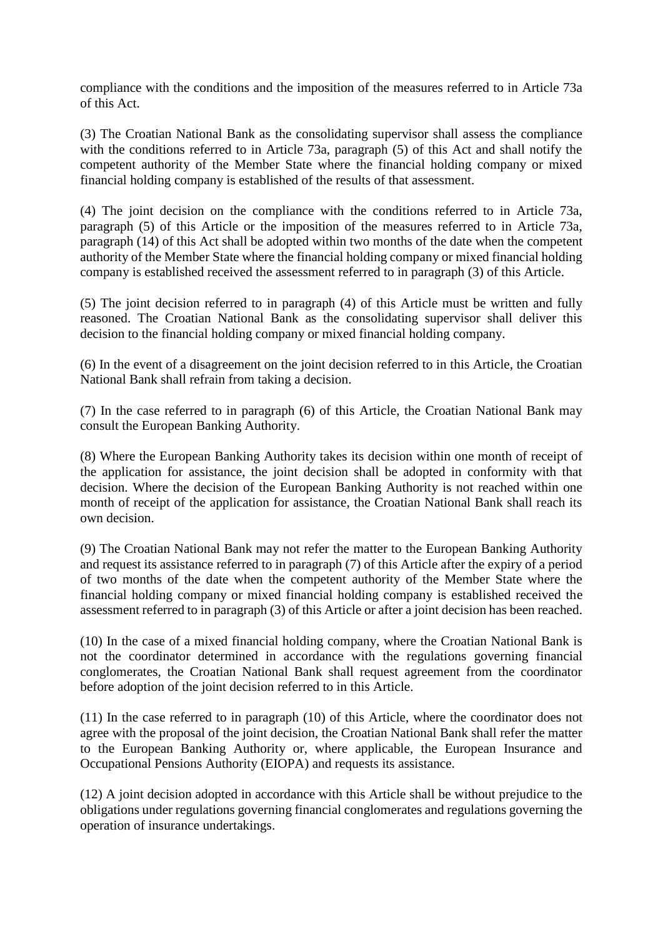compliance with the conditions and the imposition of the measures referred to in Article 73a of this Act.

(3) The Croatian National Bank as the consolidating supervisor shall assess the compliance with the conditions referred to in Article 73a, paragraph (5) of this Act and shall notify the competent authority of the Member State where the financial holding company or mixed financial holding company is established of the results of that assessment.

(4) The joint decision on the compliance with the conditions referred to in Article 73a, paragraph (5) of this Article or the imposition of the measures referred to in Article 73a, paragraph (14) of this Act shall be adopted within two months of the date when the competent authority of the Member State where the financial holding company or mixed financial holding company is established received the assessment referred to in paragraph (3) of this Article.

(5) The joint decision referred to in paragraph (4) of this Article must be written and fully reasoned. The Croatian National Bank as the consolidating supervisor shall deliver this decision to the financial holding company or mixed financial holding company.

(6) In the event of a disagreement on the joint decision referred to in this Article, the Croatian National Bank shall refrain from taking a decision.

(7) In the case referred to in paragraph (6) of this Article, the Croatian National Bank may consult the European Banking Authority.

(8) Where the European Banking Authority takes its decision within one month of receipt of the application for assistance, the joint decision shall be adopted in conformity with that decision. Where the decision of the European Banking Authority is not reached within one month of receipt of the application for assistance, the Croatian National Bank shall reach its own decision.

(9) The Croatian National Bank may not refer the matter to the European Banking Authority and request its assistance referred to in paragraph (7) of this Article after the expiry of a period of two months of the date when the competent authority of the Member State where the financial holding company or mixed financial holding company is established received the assessment referred to in paragraph (3) of this Article or after a joint decision has been reached.

(10) In the case of a mixed financial holding company, where the Croatian National Bank is not the coordinator determined in accordance with the regulations governing financial conglomerates, the Croatian National Bank shall request agreement from the coordinator before adoption of the joint decision referred to in this Article.

(11) In the case referred to in paragraph (10) of this Article, where the coordinator does not agree with the proposal of the joint decision, the Croatian National Bank shall refer the matter to the European Banking Authority or, where applicable, the European Insurance and Occupational Pensions Authority (EIOPA) and requests its assistance.

(12) A joint decision adopted in accordance with this Article shall be without prejudice to the obligations under regulations governing financial conglomerates and regulations governing the operation of insurance undertakings.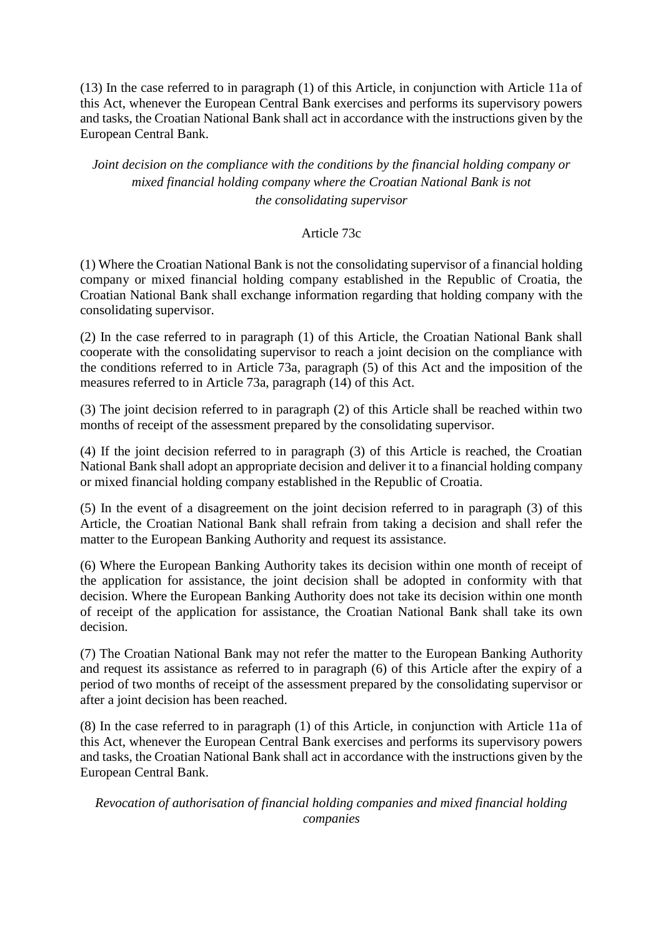(13) In the case referred to in paragraph (1) of this Article, in conjunction with Article 11a of this Act, whenever the European Central Bank exercises and performs its supervisory powers and tasks, the Croatian National Bank shall act in accordance with the instructions given by the European Central Bank.

# *Joint decision on the compliance with the conditions by the financial holding company or mixed financial holding company where the Croatian National Bank is not the consolidating supervisor*

### Article 73c

(1) Where the Croatian National Bank is not the consolidating supervisor of a financial holding company or mixed financial holding company established in the Republic of Croatia, the Croatian National Bank shall exchange information regarding that holding company with the consolidating supervisor.

(2) In the case referred to in paragraph (1) of this Article, the Croatian National Bank shall cooperate with the consolidating supervisor to reach a joint decision on the compliance with the conditions referred to in Article 73a, paragraph (5) of this Act and the imposition of the measures referred to in Article 73a, paragraph (14) of this Act.

(3) The joint decision referred to in paragraph (2) of this Article shall be reached within two months of receipt of the assessment prepared by the consolidating supervisor.

(4) If the joint decision referred to in paragraph (3) of this Article is reached, the Croatian National Bank shall adopt an appropriate decision and deliver it to a financial holding company or mixed financial holding company established in the Republic of Croatia.

(5) In the event of a disagreement on the joint decision referred to in paragraph (3) of this Article, the Croatian National Bank shall refrain from taking a decision and shall refer the matter to the European Banking Authority and request its assistance.

(6) Where the European Banking Authority takes its decision within one month of receipt of the application for assistance, the joint decision shall be adopted in conformity with that decision. Where the European Banking Authority does not take its decision within one month of receipt of the application for assistance, the Croatian National Bank shall take its own decision.

(7) The Croatian National Bank may not refer the matter to the European Banking Authority and request its assistance as referred to in paragraph (6) of this Article after the expiry of a period of two months of receipt of the assessment prepared by the consolidating supervisor or after a joint decision has been reached.

(8) In the case referred to in paragraph (1) of this Article, in conjunction with Article 11a of this Act, whenever the European Central Bank exercises and performs its supervisory powers and tasks, the Croatian National Bank shall act in accordance with the instructions given by the European Central Bank.

*Revocation of authorisation of financial holding companies and mixed financial holding companies*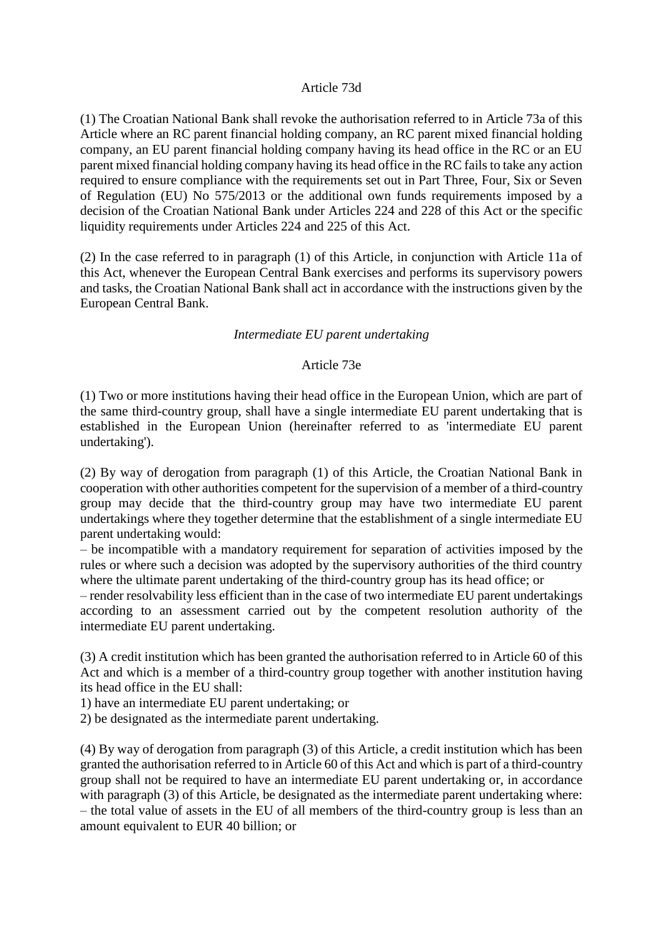#### Article 73d

(1) The Croatian National Bank shall revoke the authorisation referred to in Article 73a of this Article where an RC parent financial holding company, an RC parent mixed financial holding company, an EU parent financial holding company having its head office in the RC or an EU parent mixed financial holding company having its head office in the RC fails to take any action required to ensure compliance with the requirements set out in Part Three, Four, Six or Seven of Regulation (EU) No 575/2013 or the additional own funds requirements imposed by a decision of the Croatian National Bank under Articles 224 and 228 of this Act or the specific liquidity requirements under Articles 224 and 225 of this Act.

(2) In the case referred to in paragraph (1) of this Article, in conjunction with Article 11a of this Act, whenever the European Central Bank exercises and performs its supervisory powers and tasks, the Croatian National Bank shall act in accordance with the instructions given by the European Central Bank.

#### *Intermediate EU parent undertaking*

### Article 73e

(1) Two or more institutions having their head office in the European Union, which are part of the same third-country group, shall have a single intermediate EU parent undertaking that is established in the European Union (hereinafter referred to as 'intermediate EU parent undertaking').

(2) By way of derogation from paragraph (1) of this Article, the Croatian National Bank in cooperation with other authorities competent for the supervision of a member of a third-country group may decide that the third-country group may have two intermediate EU parent undertakings where they together determine that the establishment of a single intermediate EU parent undertaking would:

– be incompatible with a mandatory requirement for separation of activities imposed by the rules or where such a decision was adopted by the supervisory authorities of the third country where the ultimate parent undertaking of the third-country group has its head office; or

– render resolvability less efficient than in the case of two intermediate EU parent undertakings according to an assessment carried out by the competent resolution authority of the intermediate EU parent undertaking.

(3) A credit institution which has been granted the authorisation referred to in Article 60 of this Act and which is a member of a third-country group together with another institution having its head office in the EU shall:

1) have an intermediate EU parent undertaking; or

2) be designated as the intermediate parent undertaking.

(4) By way of derogation from paragraph (3) of this Article, a credit institution which has been granted the authorisation referred to in Article 60 of this Act and which is part of a third-country group shall not be required to have an intermediate EU parent undertaking or, in accordance with paragraph (3) of this Article, be designated as the intermediate parent undertaking where: – the total value of assets in the EU of all members of the third-country group is less than an amount equivalent to EUR 40 billion; or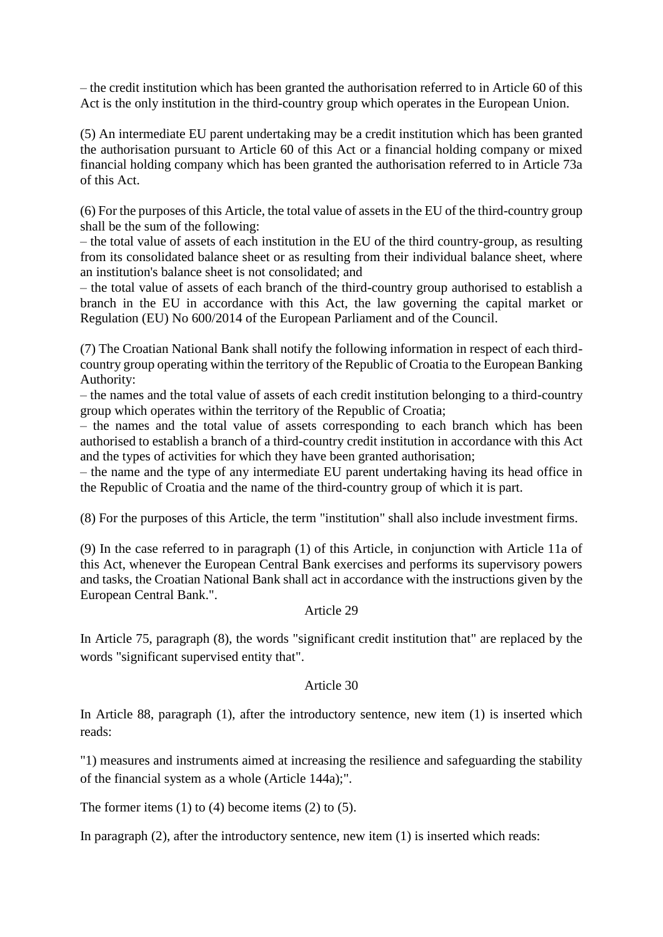– the credit institution which has been granted the authorisation referred to in Article 60 of this Act is the only institution in the third-country group which operates in the European Union.

(5) An intermediate EU parent undertaking may be a credit institution which has been granted the authorisation pursuant to Article 60 of this Act or a financial holding company or mixed financial holding company which has been granted the authorisation referred to in Article 73a of this Act.

(6) For the purposes of this Article, the total value of assets in the EU of the third-country group shall be the sum of the following:

– the total value of assets of each institution in the EU of the third country-group, as resulting from its consolidated balance sheet or as resulting from their individual balance sheet, where an institution's balance sheet is not consolidated; and

– the total value of assets of each branch of the third-country group authorised to establish a branch in the EU in accordance with this Act, the law governing the capital market or Regulation (EU) No 600/2014 of the European Parliament and of the Council.

(7) The Croatian National Bank shall notify the following information in respect of each thirdcountry group operating within the territory of the Republic of Croatia to the European Banking Authority:

– the names and the total value of assets of each credit institution belonging to a third-country group which operates within the territory of the Republic of Croatia;

– the names and the total value of assets corresponding to each branch which has been authorised to establish a branch of a third-country credit institution in accordance with this Act and the types of activities for which they have been granted authorisation;

– the name and the type of any intermediate EU parent undertaking having its head office in the Republic of Croatia and the name of the third-country group of which it is part.

(8) For the purposes of this Article, the term "institution" shall also include investment firms.

(9) In the case referred to in paragraph (1) of this Article, in conjunction with Article 11a of this Act, whenever the European Central Bank exercises and performs its supervisory powers and tasks, the Croatian National Bank shall act in accordance with the instructions given by the European Central Bank.".

#### Article 29

In Article 75, paragraph (8), the words "significant credit institution that" are replaced by the words "significant supervised entity that".

#### Article 30

In Article 88, paragraph (1), after the introductory sentence, new item (1) is inserted which reads:

"1) measures and instruments aimed at increasing the resilience and safeguarding the stability of the financial system as a whole (Article 144a);".

The former items  $(1)$  to  $(4)$  become items  $(2)$  to  $(5)$ .

In paragraph  $(2)$ , after the introductory sentence, new item  $(1)$  is inserted which reads: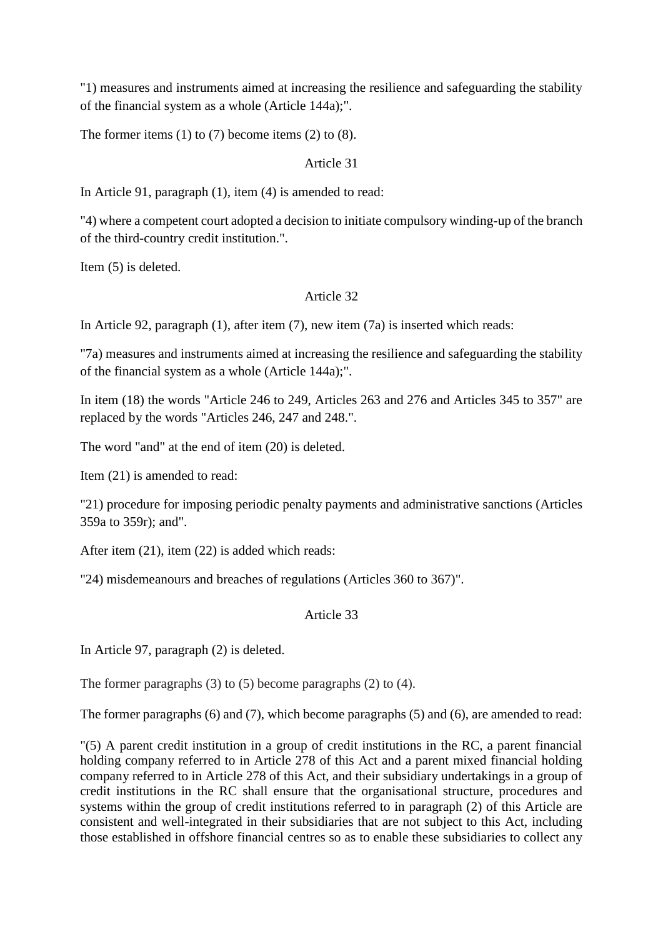"1) measures and instruments aimed at increasing the resilience and safeguarding the stability of the financial system as a whole (Article 144a);".

The former items  $(1)$  to  $(7)$  become items  $(2)$  to  $(8)$ .

#### Article 31

In Article 91, paragraph (1), item (4) is amended to read:

"4) where a competent court adopted a decision to initiate compulsory winding-up of the branch of the third-country credit institution.".

Item (5) is deleted.

#### Article 32

In Article 92, paragraph (1), after item (7), new item (7a) is inserted which reads:

"7a) measures and instruments aimed at increasing the resilience and safeguarding the stability of the financial system as a whole (Article 144a);".

In item (18) the words "Article 246 to 249, Articles 263 and 276 and Articles 345 to 357" are replaced by the words "Articles 246, 247 and 248.".

The word "and" at the end of item (20) is deleted.

Item (21) is amended to read:

"21) procedure for imposing periodic penalty payments and administrative sanctions (Articles 359a to 359r); and".

After item (21), item (22) is added which reads:

"24) misdemeanours and breaches of regulations (Articles 360 to 367)".

# Article 33

In Article 97, paragraph (2) is deleted.

The former paragraphs (3) to (5) become paragraphs (2) to (4).

The former paragraphs (6) and (7), which become paragraphs (5) and (6), are amended to read:

"(5) A parent credit institution in a group of credit institutions in the RC, a parent financial holding company referred to in Article 278 of this Act and a parent mixed financial holding company referred to in Article 278 of this Act, and their subsidiary undertakings in a group of credit institutions in the RC shall ensure that the organisational structure, procedures and systems within the group of credit institutions referred to in paragraph (2) of this Article are consistent and well-integrated in their subsidiaries that are not subject to this Act, including those established in offshore financial centres so as to enable these subsidiaries to collect any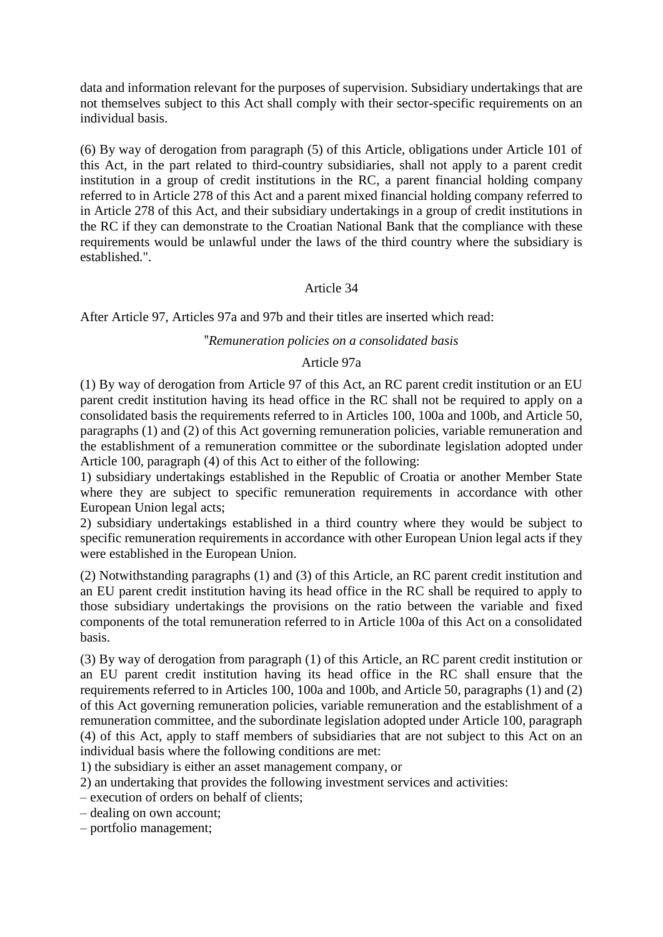data and information relevant for the purposes of supervision. Subsidiary undertakings that are not themselves subject to this Act shall comply with their sector-specific requirements on an individual basis.

(6) By way of derogation from paragraph (5) of this Article, obligations under Article 101 of this Act, in the part related to third-country subsidiaries, shall not apply to a parent credit institution in a group of credit institutions in the RC, a parent financial holding company referred to in Article 278 of this Act and a parent mixed financial holding company referred to in Article 278 of this Act, and their subsidiary undertakings in a group of credit institutions in the RC if they can demonstrate to the Croatian National Bank that the compliance with these requirements would be unlawful under the laws of the third country where the subsidiary is established.".

#### Article 34

After Article 97, Articles 97a and 97b and their titles are inserted which read:

#### "*Remuneration policies on a consolidated basis*

#### Article 97a

(1) By way of derogation from Article 97 of this Act, an RC parent credit institution or an EU parent credit institution having its head office in the RC shall not be required to apply on a consolidated basis the requirements referred to in Articles 100, 100a and 100b, and Article 50, paragraphs (1) and (2) of this Act governing remuneration policies, variable remuneration and the establishment of a remuneration committee or the subordinate legislation adopted under Article 100, paragraph (4) of this Act to either of the following:

1) subsidiary undertakings established in the Republic of Croatia or another Member State where they are subject to specific remuneration requirements in accordance with other European Union legal acts;

2) subsidiary undertakings established in a third country where they would be subject to specific remuneration requirements in accordance with other European Union legal acts if they were established in the European Union.

(2) Notwithstanding paragraphs (1) and (3) of this Article, an RC parent credit institution and an EU parent credit institution having its head office in the RC shall be required to apply to those subsidiary undertakings the provisions on the ratio between the variable and fixed components of the total remuneration referred to in Article 100a of this Act on a consolidated basis.

(3) By way of derogation from paragraph (1) of this Article, an RC parent credit institution or an EU parent credit institution having its head office in the RC shall ensure that the requirements referred to in Articles 100, 100a and 100b, and Article 50, paragraphs (1) and (2) of this Act governing remuneration policies, variable remuneration and the establishment of a remuneration committee, and the subordinate legislation adopted under Article 100, paragraph (4) of this Act, apply to staff members of subsidiaries that are not subject to this Act on an individual basis where the following conditions are met:

1) the subsidiary is either an asset management company, or

2) an undertaking that provides the following investment services and activities:

– execution of orders on behalf of clients;

– dealing on own account;

– portfolio management;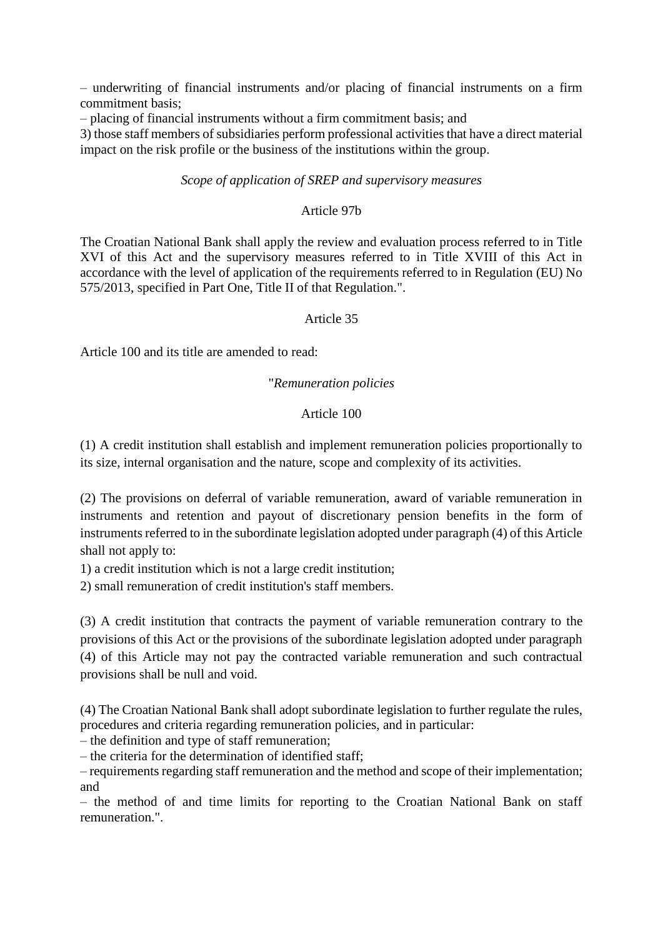– underwriting of financial instruments and/or placing of financial instruments on a firm commitment basis;

– placing of financial instruments without a firm commitment basis; and

3) those staff members of subsidiaries perform professional activities that have a direct material impact on the risk profile or the business of the institutions within the group.

### *Scope of application of SREP and supervisory measures*

#### Article 97b

The Croatian National Bank shall apply the review and evaluation process referred to in Title XVI of this Act and the supervisory measures referred to in Title XVIII of this Act in accordance with the level of application of the requirements referred to in Regulation (EU) No 575/2013, specified in Part One, Title II of that Regulation.".

#### Article 35

Article 100 and its title are amended to read:

#### "*Remuneration policies*

# Article 100

(1) A credit institution shall establish and implement remuneration policies proportionally to its size, internal organisation and the nature, scope and complexity of its activities.

(2) The provisions on deferral of variable remuneration, award of variable remuneration in instruments and retention and payout of discretionary pension benefits in the form of instruments referred to in the subordinate legislation adopted under paragraph (4) of this Article shall not apply to:

1) a credit institution which is not a large credit institution;

2) small remuneration of credit institution's staff members.

(3) A credit institution that contracts the payment of variable remuneration contrary to the provisions of this Act or the provisions of the subordinate legislation adopted under paragraph (4) of this Article may not pay the contracted variable remuneration and such contractual provisions shall be null and void.

(4) The Croatian National Bank shall adopt subordinate legislation to further regulate the rules, procedures and criteria regarding remuneration policies, and in particular:

– the definition and type of staff remuneration;

– the criteria for the determination of identified staff;

– requirements regarding staff remuneration and the method and scope of their implementation; and

– the method of and time limits for reporting to the Croatian National Bank on staff remuneration.".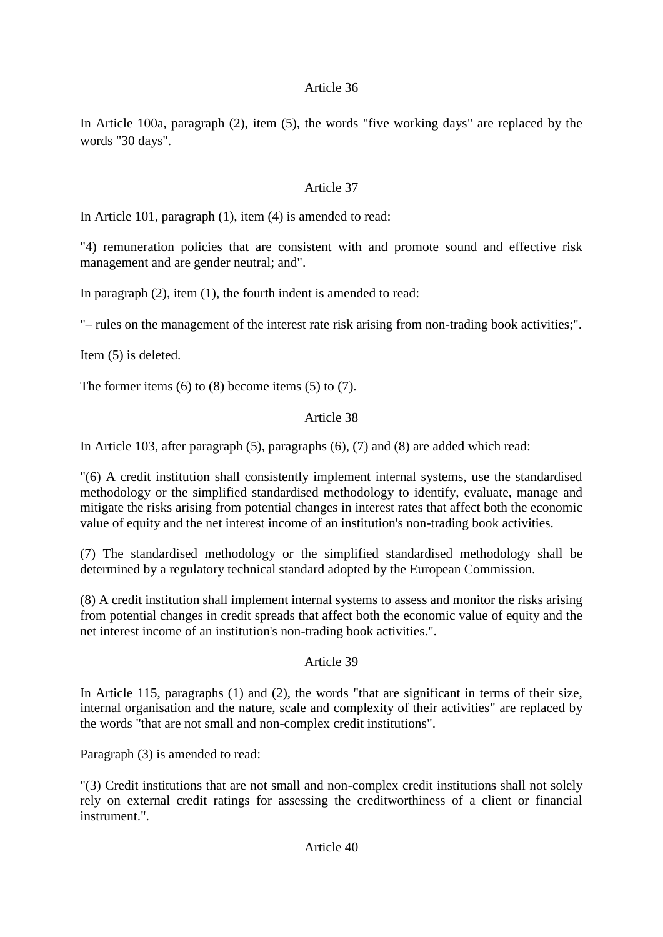# Article 36

In Article 100a, paragraph (2), item (5), the words "five working days" are replaced by the words "30 days".

# Article 37

In Article 101, paragraph (1), item (4) is amended to read:

"4) remuneration policies that are consistent with and promote sound and effective risk management and are gender neutral; and".

In paragraph (2), item (1), the fourth indent is amended to read:

"– rules on the management of the interest rate risk arising from non-trading book activities;".

Item (5) is deleted.

The former items  $(6)$  to  $(8)$  become items  $(5)$  to  $(7)$ .

# Article 38

In Article 103, after paragraph (5), paragraphs (6), (7) and (8) are added which read:

"(6) A credit institution shall consistently implement internal systems, use the standardised methodology or the simplified standardised methodology to identify, evaluate, manage and mitigate the risks arising from potential changes in interest rates that affect both the economic value of equity and the net interest income of an institution's non-trading book activities.

(7) The standardised methodology or the simplified standardised methodology shall be determined by a regulatory technical standard adopted by the European Commission.

(8) A credit institution shall implement internal systems to assess and monitor the risks arising from potential changes in credit spreads that affect both the economic value of equity and the net interest income of an institution's non-trading book activities.".

# Article 39

In Article 115, paragraphs (1) and (2), the words "that are significant in terms of their size, internal organisation and the nature, scale and complexity of their activities" are replaced by the words "that are not small and non-complex credit institutions".

Paragraph (3) is amended to read:

"(3) Credit institutions that are not small and non-complex credit institutions shall not solely rely on external credit ratings for assessing the creditworthiness of a client or financial instrument."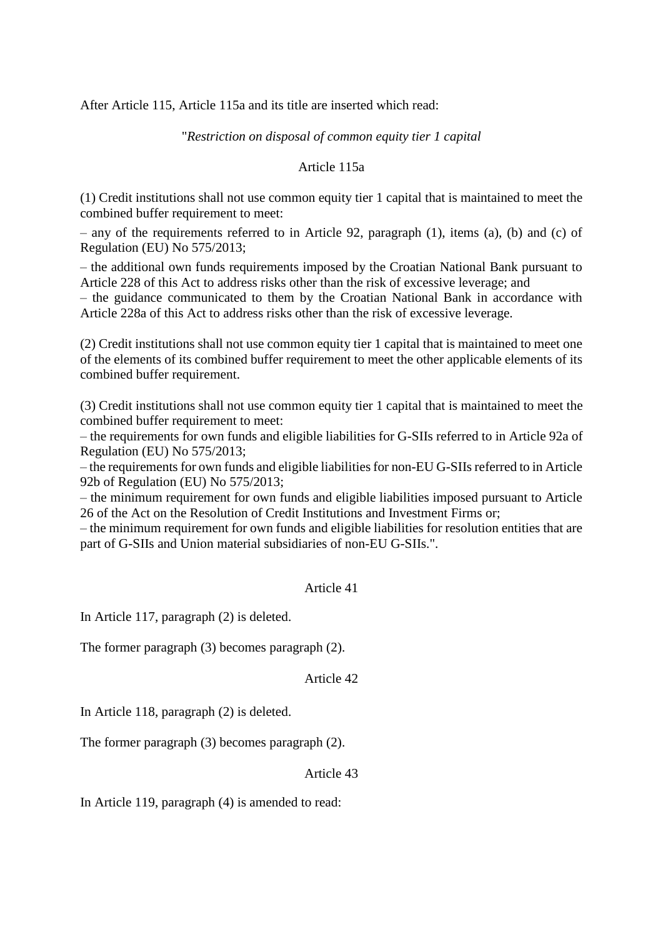After Article 115, Article 115a and its title are inserted which read:

"*Restriction on disposal of common equity tier 1 capital*

#### Article 115a

(1) Credit institutions shall not use common equity tier 1 capital that is maintained to meet the combined buffer requirement to meet:

– any of the requirements referred to in Article 92, paragraph (1), items (a), (b) and (c) of Regulation (EU) No 575/2013;

– the additional own funds requirements imposed by the Croatian National Bank pursuant to Article 228 of this Act to address risks other than the risk of excessive leverage; and

– the guidance communicated to them by the Croatian National Bank in accordance with Article 228a of this Act to address risks other than the risk of excessive leverage.

(2) Credit institutions shall not use common equity tier 1 capital that is maintained to meet one of the elements of its combined buffer requirement to meet the other applicable elements of its combined buffer requirement.

(3) Credit institutions shall not use common equity tier 1 capital that is maintained to meet the combined buffer requirement to meet:

– the requirements for own funds and eligible liabilities for G-SIIs referred to in Article 92a of Regulation (EU) No 575/2013;

– the requirements for own funds and eligible liabilities for non-EU G-SIIs referred to in Article 92b of Regulation (EU) No 575/2013;

– the minimum requirement for own funds and eligible liabilities imposed pursuant to Article 26 of the Act on the Resolution of Credit Institutions and Investment Firms or;

– the minimum requirement for own funds and eligible liabilities for resolution entities that are part of G-SIIs and Union material subsidiaries of non-EU G-SIIs.".

#### Article 41

In Article 117, paragraph (2) is deleted.

The former paragraph (3) becomes paragraph (2).

Article 42

In Article 118, paragraph (2) is deleted.

The former paragraph (3) becomes paragraph (2).

Article 43

In Article 119, paragraph (4) is amended to read: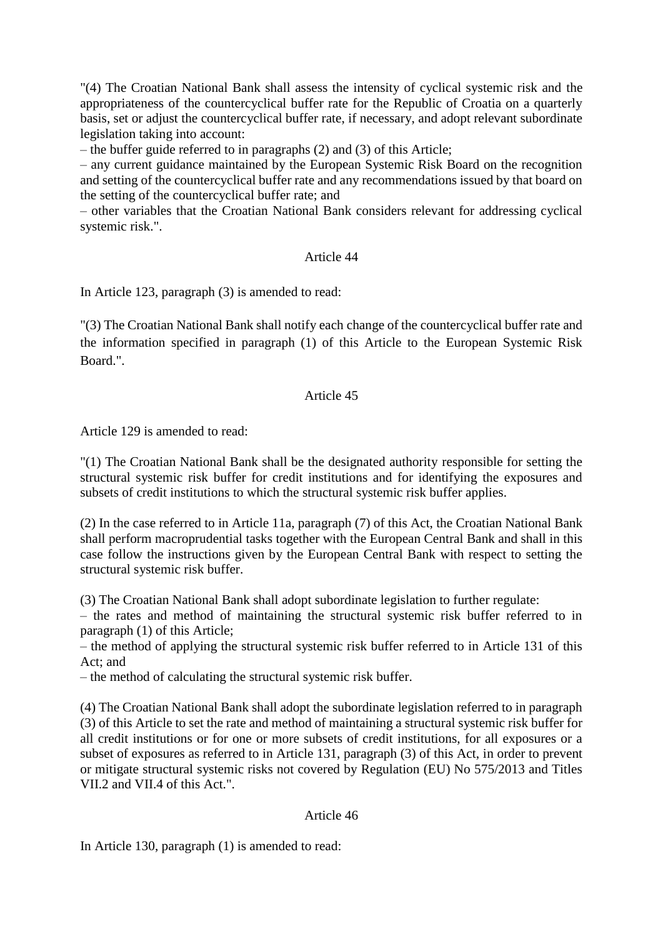"(4) The Croatian National Bank shall assess the intensity of cyclical systemic risk and the appropriateness of the countercyclical buffer rate for the Republic of Croatia on a quarterly basis, set or adjust the countercyclical buffer rate, if necessary, and adopt relevant subordinate legislation taking into account:

– the buffer guide referred to in paragraphs (2) and (3) of this Article;

– any current guidance maintained by the European Systemic Risk Board on the recognition and setting of the countercyclical buffer rate and any recommendations issued by that board on the setting of the countercyclical buffer rate; and

– other variables that the Croatian National Bank considers relevant for addressing cyclical systemic risk.".

#### Article 44

In Article 123, paragraph (3) is amended to read:

"(3) The Croatian National Bank shall notify each change of the countercyclical buffer rate and the information specified in paragraph (1) of this Article to the European Systemic Risk Board.".

#### Article 45

Article 129 is amended to read:

"(1) The Croatian National Bank shall be the designated authority responsible for setting the structural systemic risk buffer for credit institutions and for identifying the exposures and subsets of credit institutions to which the structural systemic risk buffer applies.

(2) In the case referred to in Article 11a, paragraph (7) of this Act, the Croatian National Bank shall perform macroprudential tasks together with the European Central Bank and shall in this case follow the instructions given by the European Central Bank with respect to setting the structural systemic risk buffer.

(3) The Croatian National Bank shall adopt subordinate legislation to further regulate:

– the rates and method of maintaining the structural systemic risk buffer referred to in paragraph (1) of this Article;

– the method of applying the structural systemic risk buffer referred to in Article 131 of this Act; and

– the method of calculating the structural systemic risk buffer.

(4) The Croatian National Bank shall adopt the subordinate legislation referred to in paragraph (3) of this Article to set the rate and method of maintaining a structural systemic risk buffer for all credit institutions or for one or more subsets of credit institutions, for all exposures or a subset of exposures as referred to in Article 131, paragraph (3) of this Act, in order to prevent or mitigate structural systemic risks not covered by Regulation (EU) No 575/2013 and Titles VII.2 and VII.4 of this Act.".

#### Article 46

In Article 130, paragraph (1) is amended to read: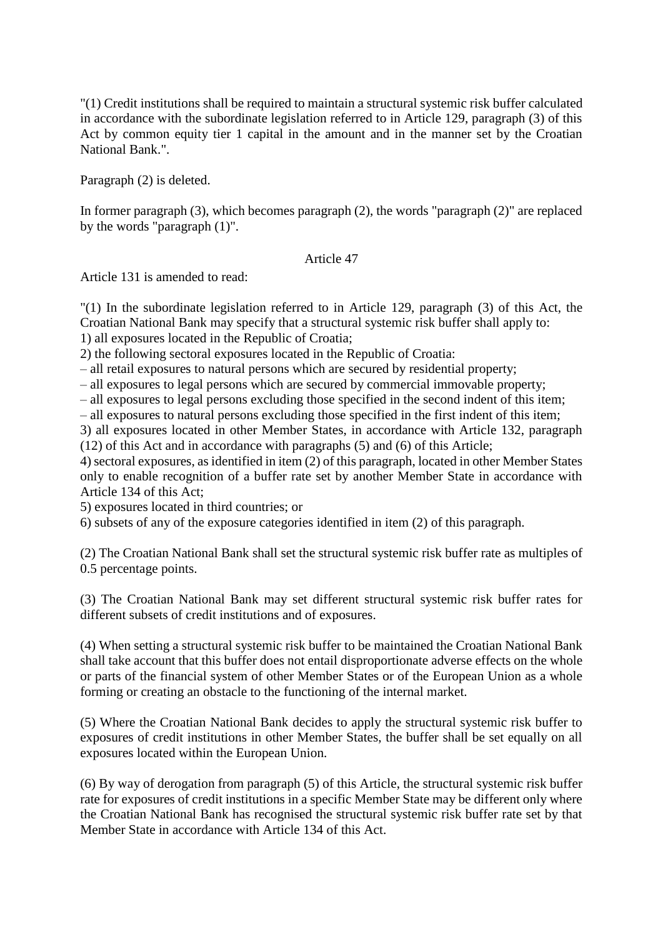"(1) Credit institutions shall be required to maintain a structural systemic risk buffer calculated in accordance with the subordinate legislation referred to in Article 129, paragraph (3) of this Act by common equity tier 1 capital in the amount and in the manner set by the Croatian National Bank.".

Paragraph (2) is deleted.

In former paragraph (3), which becomes paragraph (2), the words "paragraph (2)" are replaced by the words "paragraph (1)".

#### Article 47

Article 131 is amended to read:

"(1) In the subordinate legislation referred to in Article 129, paragraph (3) of this Act, the Croatian National Bank may specify that a structural systemic risk buffer shall apply to:

1) all exposures located in the Republic of Croatia;

2) the following sectoral exposures located in the Republic of Croatia:

– all retail exposures to natural persons which are secured by residential property;

– all exposures to legal persons which are secured by commercial immovable property;

– all exposures to legal persons excluding those specified in the second indent of this item;

– all exposures to natural persons excluding those specified in the first indent of this item;

3) all exposures located in other Member States, in accordance with Article 132, paragraph (12) of this Act and in accordance with paragraphs (5) and (6) of this Article;

4) sectoral exposures, as identified in item (2) of this paragraph, located in other Member States only to enable recognition of a buffer rate set by another Member State in accordance with Article 134 of this Act;

5) exposures located in third countries; or

6) subsets of any of the exposure categories identified in item (2) of this paragraph.

(2) The Croatian National Bank shall set the structural systemic risk buffer rate as multiples of 0.5 percentage points.

(3) The Croatian National Bank may set different structural systemic risk buffer rates for different subsets of credit institutions and of exposures.

(4) When setting a structural systemic risk buffer to be maintained the Croatian National Bank shall take account that this buffer does not entail disproportionate adverse effects on the whole or parts of the financial system of other Member States or of the European Union as a whole forming or creating an obstacle to the functioning of the internal market.

(5) Where the Croatian National Bank decides to apply the structural systemic risk buffer to exposures of credit institutions in other Member States, the buffer shall be set equally on all exposures located within the European Union.

(6) By way of derogation from paragraph (5) of this Article, the structural systemic risk buffer rate for exposures of credit institutions in a specific Member State may be different only where the Croatian National Bank has recognised the structural systemic risk buffer rate set by that Member State in accordance with Article 134 of this Act.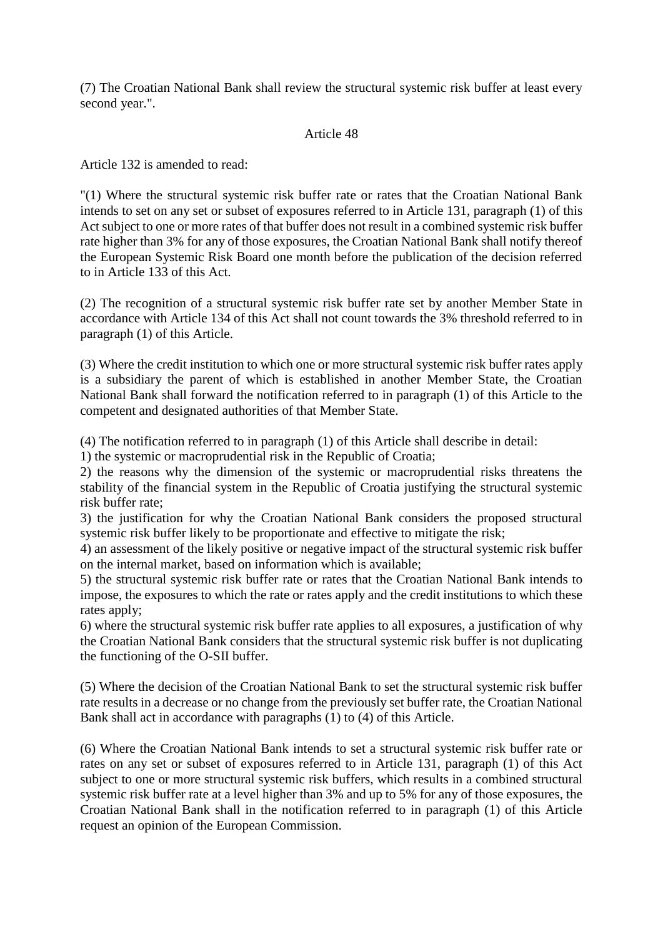(7) The Croatian National Bank shall review the structural systemic risk buffer at least every second year.".

```
Article 48
```
Article 132 is amended to read:

"(1) Where the structural systemic risk buffer rate or rates that the Croatian National Bank intends to set on any set or subset of exposures referred to in Article 131, paragraph (1) of this Act subject to one or more rates of that buffer does not result in a combined systemic risk buffer rate higher than 3% for any of those exposures, the Croatian National Bank shall notify thereof the European Systemic Risk Board one month before the publication of the decision referred to in Article 133 of this Act.

(2) The recognition of a structural systemic risk buffer rate set by another Member State in accordance with Article 134 of this Act shall not count towards the 3% threshold referred to in paragraph (1) of this Article.

(3) Where the credit institution to which one or more structural systemic risk buffer rates apply is a subsidiary the parent of which is established in another Member State, the Croatian National Bank shall forward the notification referred to in paragraph (1) of this Article to the competent and designated authorities of that Member State.

(4) The notification referred to in paragraph (1) of this Article shall describe in detail:

1) the systemic or macroprudential risk in the Republic of Croatia;

2) the reasons why the dimension of the systemic or macroprudential risks threatens the stability of the financial system in the Republic of Croatia justifying the structural systemic risk buffer rate;

3) the justification for why the Croatian National Bank considers the proposed structural systemic risk buffer likely to be proportionate and effective to mitigate the risk;

4) an assessment of the likely positive or negative impact of the structural systemic risk buffer on the internal market, based on information which is available;

5) the structural systemic risk buffer rate or rates that the Croatian National Bank intends to impose, the exposures to which the rate or rates apply and the credit institutions to which these rates apply;

6) where the structural systemic risk buffer rate applies to all exposures, a justification of why the Croatian National Bank considers that the structural systemic risk buffer is not duplicating the functioning of the O-SII buffer.

(5) Where the decision of the Croatian National Bank to set the structural systemic risk buffer rate results in a decrease or no change from the previously set buffer rate, the Croatian National Bank shall act in accordance with paragraphs (1) to (4) of this Article.

(6) Where the Croatian National Bank intends to set a structural systemic risk buffer rate or rates on any set or subset of exposures referred to in Article 131, paragraph (1) of this Act subject to one or more structural systemic risk buffers, which results in a combined structural systemic risk buffer rate at a level higher than 3% and up to 5% for any of those exposures, the Croatian National Bank shall in the notification referred to in paragraph (1) of this Article request an opinion of the European Commission.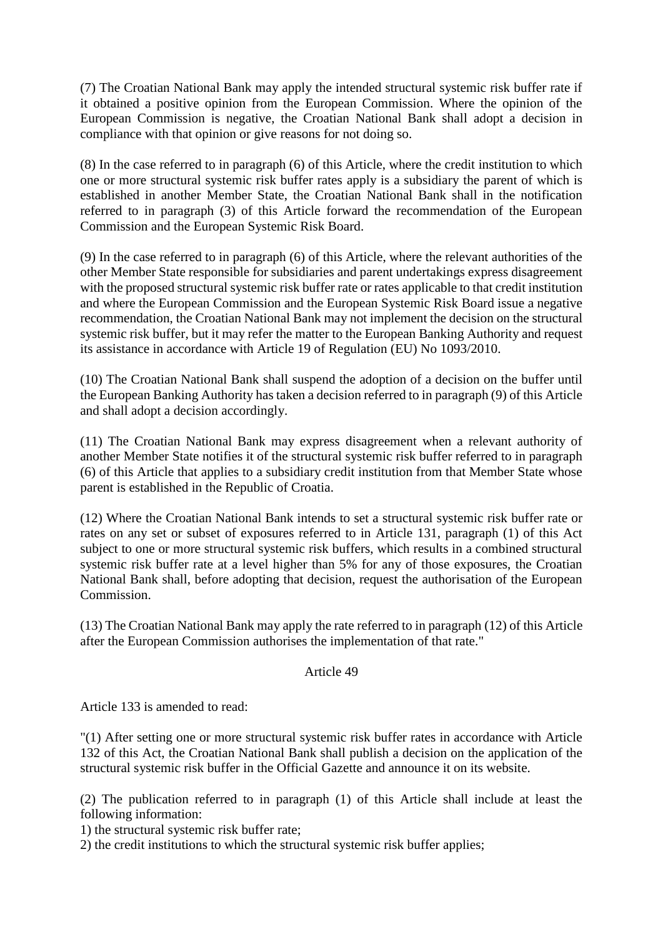(7) The Croatian National Bank may apply the intended structural systemic risk buffer rate if it obtained a positive opinion from the European Commission. Where the opinion of the European Commission is negative, the Croatian National Bank shall adopt a decision in compliance with that opinion or give reasons for not doing so.

(8) In the case referred to in paragraph (6) of this Article, where the credit institution to which one or more structural systemic risk buffer rates apply is a subsidiary the parent of which is established in another Member State, the Croatian National Bank shall in the notification referred to in paragraph (3) of this Article forward the recommendation of the European Commission and the European Systemic Risk Board.

(9) In the case referred to in paragraph (6) of this Article, where the relevant authorities of the other Member State responsible for subsidiaries and parent undertakings express disagreement with the proposed structural systemic risk buffer rate or rates applicable to that credit institution and where the European Commission and the European Systemic Risk Board issue a negative recommendation, the Croatian National Bank may not implement the decision on the structural systemic risk buffer, but it may refer the matter to the European Banking Authority and request its assistance in accordance with Article 19 of Regulation (EU) No 1093/2010.

(10) The Croatian National Bank shall suspend the adoption of a decision on the buffer until the European Banking Authority has taken a decision referred to in paragraph (9) of this Article and shall adopt a decision accordingly.

(11) The Croatian National Bank may express disagreement when a relevant authority of another Member State notifies it of the structural systemic risk buffer referred to in paragraph (6) of this Article that applies to a subsidiary credit institution from that Member State whose parent is established in the Republic of Croatia.

(12) Where the Croatian National Bank intends to set a structural systemic risk buffer rate or rates on any set or subset of exposures referred to in Article 131, paragraph (1) of this Act subject to one or more structural systemic risk buffers, which results in a combined structural systemic risk buffer rate at a level higher than 5% for any of those exposures, the Croatian National Bank shall, before adopting that decision, request the authorisation of the European Commission.

(13) The Croatian National Bank may apply the rate referred to in paragraph (12) of this Article after the European Commission authorises the implementation of that rate."

# Article 49

Article 133 is amended to read:

"(1) After setting one or more structural systemic risk buffer rates in accordance with Article 132 of this Act, the Croatian National Bank shall publish a decision on the application of the structural systemic risk buffer in the Official Gazette and announce it on its website.

(2) The publication referred to in paragraph (1) of this Article shall include at least the following information:

1) the structural systemic risk buffer rate;

2) the credit institutions to which the structural systemic risk buffer applies;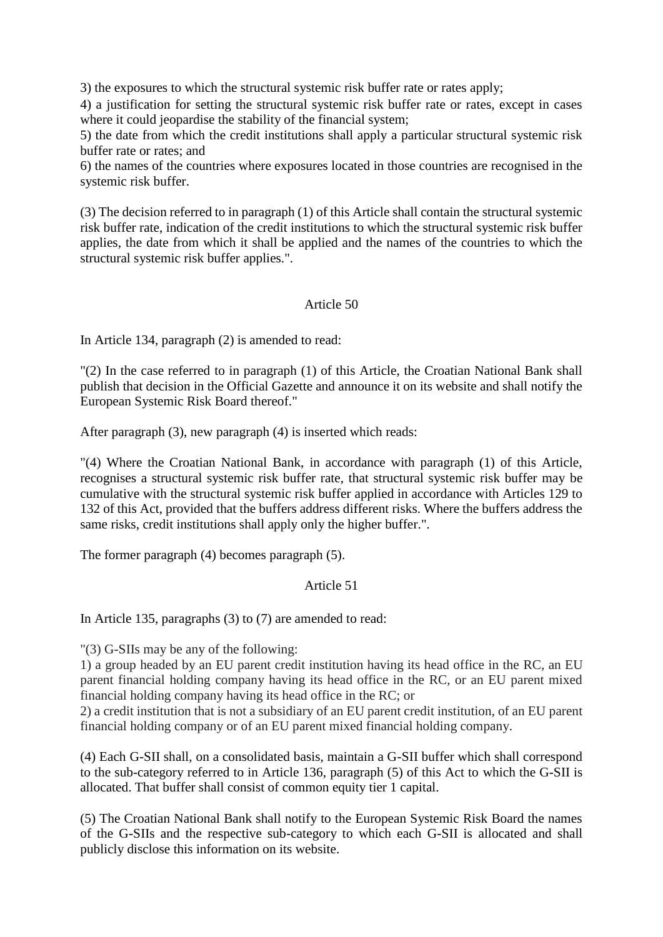3) the exposures to which the structural systemic risk buffer rate or rates apply;

4) a justification for setting the structural systemic risk buffer rate or rates, except in cases where it could jeopardise the stability of the financial system;

5) the date from which the credit institutions shall apply a particular structural systemic risk buffer rate or rates; and

6) the names of the countries where exposures located in those countries are recognised in the systemic risk buffer.

(3) The decision referred to in paragraph (1) of this Article shall contain the structural systemic risk buffer rate, indication of the credit institutions to which the structural systemic risk buffer applies, the date from which it shall be applied and the names of the countries to which the structural systemic risk buffer applies.".

# Article 50

In Article 134, paragraph (2) is amended to read:

"(2) In the case referred to in paragraph (1) of this Article, the Croatian National Bank shall publish that decision in the Official Gazette and announce it on its website and shall notify the European Systemic Risk Board thereof."

After paragraph (3), new paragraph (4) is inserted which reads:

"(4) Where the Croatian National Bank, in accordance with paragraph (1) of this Article, recognises a structural systemic risk buffer rate, that structural systemic risk buffer may be cumulative with the structural systemic risk buffer applied in accordance with Articles 129 to 132 of this Act, provided that the buffers address different risks. Where the buffers address the same risks, credit institutions shall apply only the higher buffer.".

The former paragraph (4) becomes paragraph (5).

#### Article 51

In Article 135, paragraphs (3) to (7) are amended to read:

"(3) G-SIIs may be any of the following:

1) a group headed by an EU parent credit institution having its head office in the RC, an EU parent financial holding company having its head office in the RC, or an EU parent mixed financial holding company having its head office in the RC; or

2) a credit institution that is not a subsidiary of an EU parent credit institution, of an EU parent financial holding company or of an EU parent mixed financial holding company.

(4) Each G-SII shall, on a consolidated basis, maintain a G-SII buffer which shall correspond to the sub-category referred to in Article 136, paragraph (5) of this Act to which the G-SII is allocated. That buffer shall consist of common equity tier 1 capital.

(5) The Croatian National Bank shall notify to the European Systemic Risk Board the names of the G-SIIs and the respective sub-category to which each G-SII is allocated and shall publicly disclose this information on its website.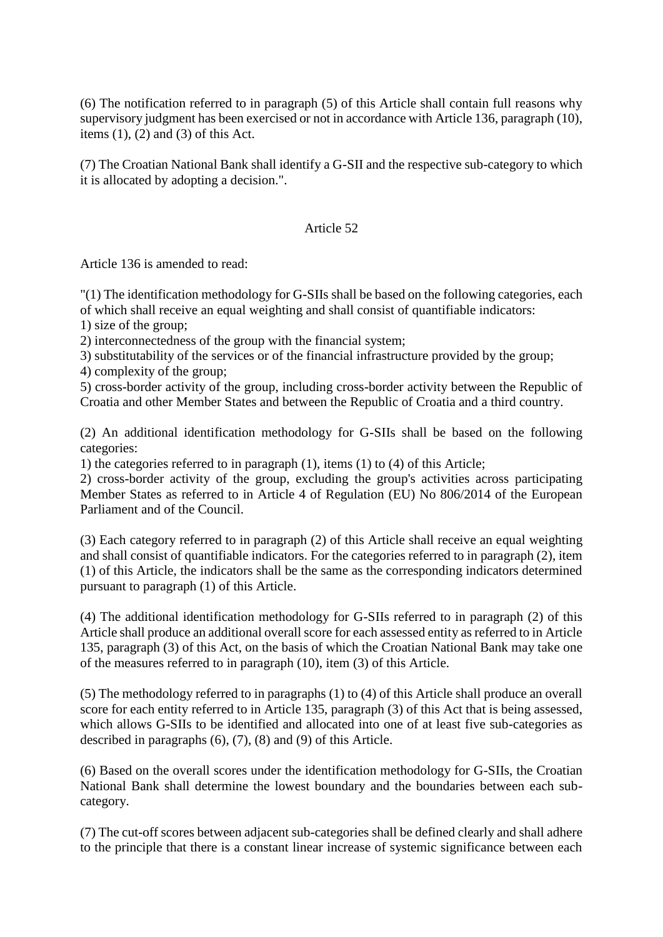(6) The notification referred to in paragraph (5) of this Article shall contain full reasons why supervisory judgment has been exercised or not in accordance with Article 136, paragraph (10), items  $(1)$ ,  $(2)$  and  $(3)$  of this Act.

(7) The Croatian National Bank shall identify a G-SII and the respective sub-category to which it is allocated by adopting a decision.".

#### Article 52

Article 136 is amended to read:

"(1) The identification methodology for G-SIIs shall be based on the following categories, each of which shall receive an equal weighting and shall consist of quantifiable indicators:

1) size of the group;

2) interconnectedness of the group with the financial system;

3) substitutability of the services or of the financial infrastructure provided by the group;

4) complexity of the group;

5) cross-border activity of the group, including cross-border activity between the Republic of Croatia and other Member States and between the Republic of Croatia and a third country.

(2) An additional identification methodology for G-SIIs shall be based on the following categories:

1) the categories referred to in paragraph (1), items (1) to (4) of this Article;

2) cross-border activity of the group, excluding the group's activities across participating Member States as referred to in Article 4 of Regulation (EU) No 806/2014 of the European Parliament and of the Council.

(3) Each category referred to in paragraph (2) of this Article shall receive an equal weighting and shall consist of quantifiable indicators. For the categories referred to in paragraph (2), item (1) of this Article, the indicators shall be the same as the corresponding indicators determined pursuant to paragraph (1) of this Article.

(4) The additional identification methodology for G-SIIs referred to in paragraph (2) of this Article shall produce an additional overall score for each assessed entity as referred to in Article 135, paragraph (3) of this Act, on the basis of which the Croatian National Bank may take one of the measures referred to in paragraph (10), item (3) of this Article.

(5) The methodology referred to in paragraphs (1) to (4) of this Article shall produce an overall score for each entity referred to in Article 135, paragraph (3) of this Act that is being assessed, which allows G-SIIs to be identified and allocated into one of at least five sub-categories as described in paragraphs (6), (7), (8) and (9) of this Article.

(6) Based on the overall scores under the identification methodology for G-SIIs, the Croatian National Bank shall determine the lowest boundary and the boundaries between each subcategory.

(7) The cut-off scores between adjacent sub-categories shall be defined clearly and shall adhere to the principle that there is a constant linear increase of systemic significance between each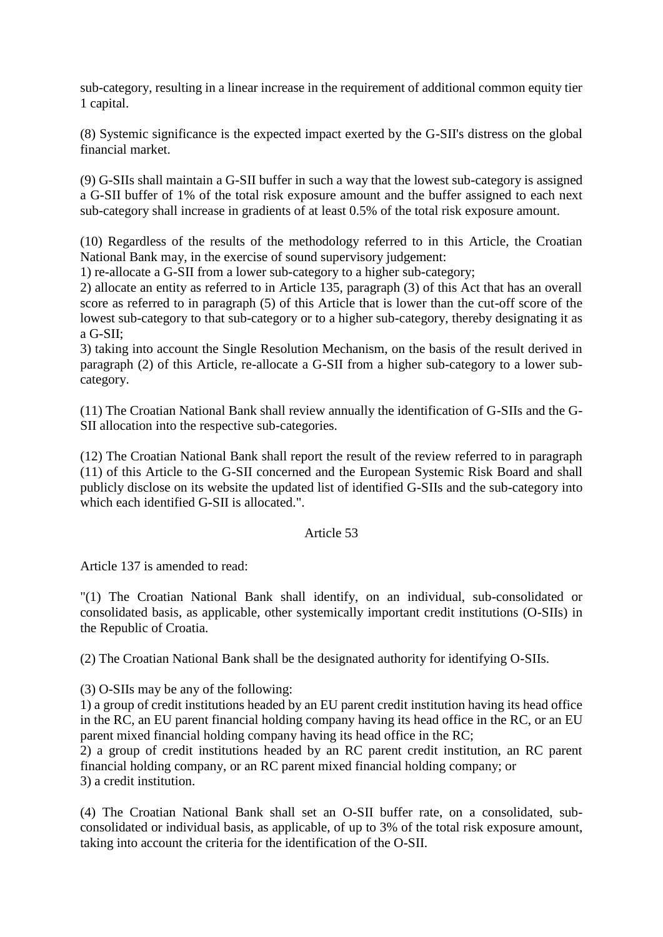sub-category, resulting in a linear increase in the requirement of additional common equity tier 1 capital.

(8) Systemic significance is the expected impact exerted by the G-SII's distress on the global financial market.

(9) G-SIIs shall maintain a G-SII buffer in such a way that the lowest sub-category is assigned a G-SII buffer of 1% of the total risk exposure amount and the buffer assigned to each next sub-category shall increase in gradients of at least 0.5% of the total risk exposure amount.

(10) Regardless of the results of the methodology referred to in this Article, the Croatian National Bank may, in the exercise of sound supervisory judgement:

1) re-allocate a G-SII from a lower sub-category to a higher sub-category;

2) allocate an entity as referred to in Article 135, paragraph (3) of this Act that has an overall score as referred to in paragraph (5) of this Article that is lower than the cut-off score of the lowest sub-category to that sub-category or to a higher sub-category, thereby designating it as a G-SII;

3) taking into account the Single Resolution Mechanism, on the basis of the result derived in paragraph (2) of this Article, re-allocate a G-SII from a higher sub-category to a lower subcategory.

(11) The Croatian National Bank shall review annually the identification of G-SIIs and the G-SII allocation into the respective sub-categories.

(12) The Croatian National Bank shall report the result of the review referred to in paragraph (11) of this Article to the G-SII concerned and the European Systemic Risk Board and shall publicly disclose on its website the updated list of identified G-SIIs and the sub-category into which each identified G-SII is allocated.".

#### Article 53

Article 137 is amended to read:

"(1) The Croatian National Bank shall identify, on an individual, sub-consolidated or consolidated basis, as applicable, other systemically important credit institutions (O-SIIs) in the Republic of Croatia.

(2) The Croatian National Bank shall be the designated authority for identifying O-SIIs.

(3) O-SIIs may be any of the following:

1) a group of credit institutions headed by an EU parent credit institution having its head office in the RC, an EU parent financial holding company having its head office in the RC, or an EU parent mixed financial holding company having its head office in the RC;

2) a group of credit institutions headed by an RC parent credit institution, an RC parent financial holding company, or an RC parent mixed financial holding company; or 3) a credit institution.

(4) The Croatian National Bank shall set an O-SII buffer rate, on a consolidated, subconsolidated or individual basis, as applicable, of up to 3% of the total risk exposure amount, taking into account the criteria for the identification of the O-SII.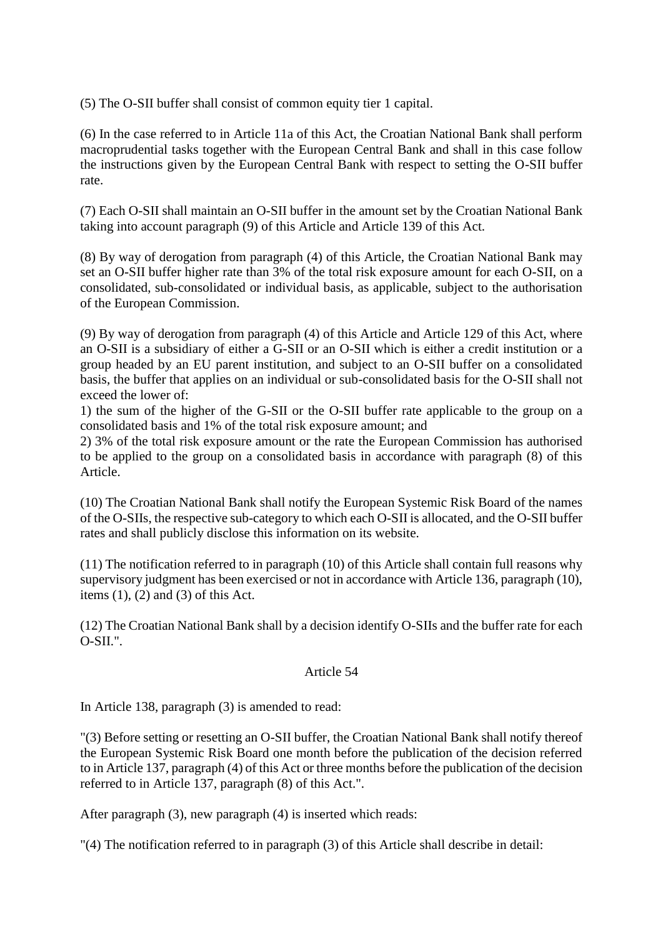(5) The O-SII buffer shall consist of common equity tier 1 capital.

(6) In the case referred to in Article 11a of this Act, the Croatian National Bank shall perform macroprudential tasks together with the European Central Bank and shall in this case follow the instructions given by the European Central Bank with respect to setting the O-SII buffer rate.

(7) Each O-SII shall maintain an O-SII buffer in the amount set by the Croatian National Bank taking into account paragraph (9) of this Article and Article 139 of this Act.

(8) By way of derogation from paragraph (4) of this Article, the Croatian National Bank may set an O-SII buffer higher rate than 3% of the total risk exposure amount for each O-SII, on a consolidated, sub-consolidated or individual basis, as applicable, subject to the authorisation of the European Commission.

(9) By way of derogation from paragraph (4) of this Article and Article 129 of this Act, where an O-SII is a subsidiary of either a G-SII or an O-SII which is either a credit institution or a group headed by an EU parent institution, and subject to an O-SII buffer on a consolidated basis, the buffer that applies on an individual or sub-consolidated basis for the O-SII shall not exceed the lower of:

1) the sum of the higher of the G-SII or the O-SII buffer rate applicable to the group on a consolidated basis and 1% of the total risk exposure amount; and

2) 3% of the total risk exposure amount or the rate the European Commission has authorised to be applied to the group on a consolidated basis in accordance with paragraph (8) of this Article.

(10) The Croatian National Bank shall notify the European Systemic Risk Board of the names of the O-SIIs, the respective sub-category to which each O-SII is allocated, and the O-SII buffer rates and shall publicly disclose this information on its website.

(11) The notification referred to in paragraph (10) of this Article shall contain full reasons why supervisory judgment has been exercised or not in accordance with Article 136, paragraph (10), items  $(1)$ ,  $(2)$  and  $(3)$  of this Act.

(12) The Croatian National Bank shall by a decision identify O-SIIs and the buffer rate for each O-SII.".

#### Article 54

In Article 138, paragraph (3) is amended to read:

"(3) Before setting or resetting an O-SII buffer, the Croatian National Bank shall notify thereof the European Systemic Risk Board one month before the publication of the decision referred to in Article 137, paragraph (4) of this Act or three months before the publication of the decision referred to in Article 137, paragraph (8) of this Act.".

After paragraph (3), new paragraph (4) is inserted which reads:

"(4) The notification referred to in paragraph (3) of this Article shall describe in detail: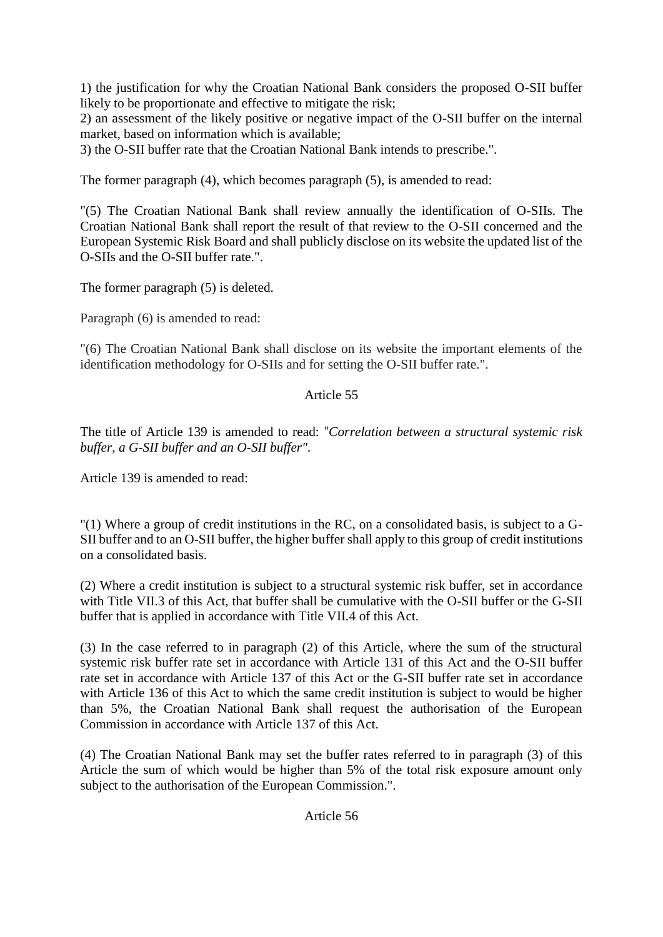1) the justification for why the Croatian National Bank considers the proposed O-SII buffer likely to be proportionate and effective to mitigate the risk;

2) an assessment of the likely positive or negative impact of the O-SII buffer on the internal market, based on information which is available;

3) the O-SII buffer rate that the Croatian National Bank intends to prescribe.".

The former paragraph (4), which becomes paragraph (5), is amended to read:

"(5) The Croatian National Bank shall review annually the identification of O-SIIs. The Croatian National Bank shall report the result of that review to the O-SII concerned and the European Systemic Risk Board and shall publicly disclose on its website the updated list of the O-SIIs and the O-SII buffer rate.".

The former paragraph (5) is deleted.

Paragraph (6) is amended to read:

"(6) The Croatian National Bank shall disclose on its website the important elements of the identification methodology for O-SIIs and for setting the O-SII buffer rate.".

#### Article 55

The title of Article 139 is amended to read: "*Correlation between a structural systemic risk buffer, a G-SII buffer and an O-SII buffer".*

Article 139 is amended to read:

"(1) Where a group of credit institutions in the RC, on a consolidated basis, is subject to a G-SII buffer and to an O-SII buffer, the higher buffer shall apply to this group of credit institutions on a consolidated basis.

(2) Where a credit institution is subject to a structural systemic risk buffer, set in accordance with Title VII.3 of this Act, that buffer shall be cumulative with the O-SII buffer or the G-SII buffer that is applied in accordance with Title VII.4 of this Act.

(3) In the case referred to in paragraph (2) of this Article, where the sum of the structural systemic risk buffer rate set in accordance with Article 131 of this Act and the O-SII buffer rate set in accordance with Article 137 of this Act or the G-SII buffer rate set in accordance with Article 136 of this Act to which the same credit institution is subject to would be higher than 5%, the Croatian National Bank shall request the authorisation of the European Commission in accordance with Article 137 of this Act.

(4) The Croatian National Bank may set the buffer rates referred to in paragraph (3) of this Article the sum of which would be higher than 5% of the total risk exposure amount only subject to the authorisation of the European Commission.".

Article 56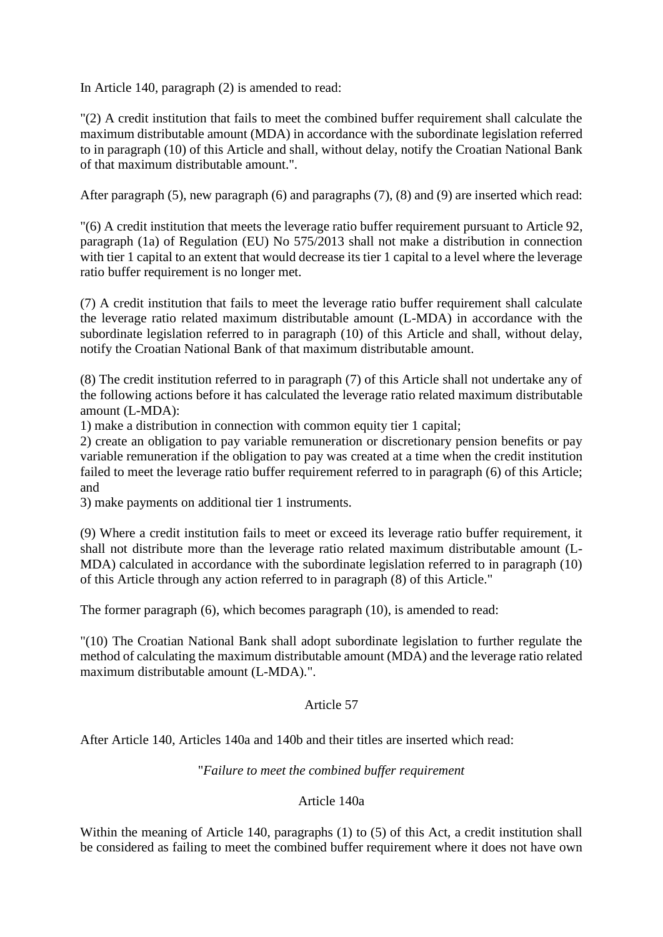In Article 140, paragraph (2) is amended to read:

"(2) A credit institution that fails to meet the combined buffer requirement shall calculate the maximum distributable amount (MDA) in accordance with the subordinate legislation referred to in paragraph (10) of this Article and shall, without delay, notify the Croatian National Bank of that maximum distributable amount.".

After paragraph (5), new paragraph (6) and paragraphs (7), (8) and (9) are inserted which read:

"(6) A credit institution that meets the leverage ratio buffer requirement pursuant to Article 92, paragraph (1a) of Regulation (EU) No 575/2013 shall not make a distribution in connection with tier 1 capital to an extent that would decrease its tier 1 capital to a level where the leverage ratio buffer requirement is no longer met.

(7) A credit institution that fails to meet the leverage ratio buffer requirement shall calculate the leverage ratio related maximum distributable amount (L-MDA) in accordance with the subordinate legislation referred to in paragraph (10) of this Article and shall, without delay, notify the Croatian National Bank of that maximum distributable amount.

(8) The credit institution referred to in paragraph (7) of this Article shall not undertake any of the following actions before it has calculated the leverage ratio related maximum distributable amount (L-MDA):

1) make a distribution in connection with common equity tier 1 capital;

2) create an obligation to pay variable remuneration or discretionary pension benefits or pay variable remuneration if the obligation to pay was created at a time when the credit institution failed to meet the leverage ratio buffer requirement referred to in paragraph (6) of this Article; and

3) make payments on additional tier 1 instruments.

(9) Where a credit institution fails to meet or exceed its leverage ratio buffer requirement, it shall not distribute more than the leverage ratio related maximum distributable amount (L-MDA) calculated in accordance with the subordinate legislation referred to in paragraph (10) of this Article through any action referred to in paragraph (8) of this Article."

The former paragraph (6), which becomes paragraph (10), is amended to read:

"(10) The Croatian National Bank shall adopt subordinate legislation to further regulate the method of calculating the maximum distributable amount (MDA) and the leverage ratio related maximum distributable amount (L-MDA).".

#### Article 57

After Article 140, Articles 140a and 140b and their titles are inserted which read:

#### "*Failure to meet the combined buffer requirement*

#### Article 140a

Within the meaning of Article 140, paragraphs (1) to (5) of this Act, a credit institution shall be considered as failing to meet the combined buffer requirement where it does not have own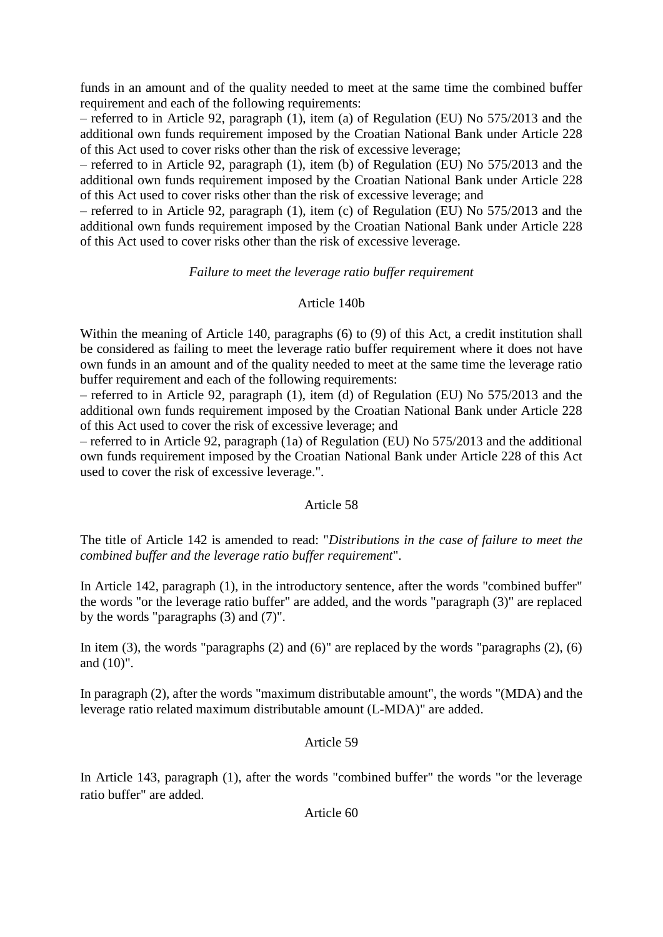funds in an amount and of the quality needed to meet at the same time the combined buffer requirement and each of the following requirements:

– referred to in Article 92, paragraph (1), item (a) of Regulation (EU) No 575/2013 and the additional own funds requirement imposed by the Croatian National Bank under Article 228 of this Act used to cover risks other than the risk of excessive leverage;

– referred to in Article 92, paragraph (1), item (b) of Regulation (EU) No 575/2013 and the additional own funds requirement imposed by the Croatian National Bank under Article 228 of this Act used to cover risks other than the risk of excessive leverage; and

– referred to in Article 92, paragraph (1), item (c) of Regulation (EU) No 575/2013 and the additional own funds requirement imposed by the Croatian National Bank under Article 228 of this Act used to cover risks other than the risk of excessive leverage.

#### *Failure to meet the leverage ratio buffer requirement*

# Article 140b

Within the meaning of Article 140, paragraphs (6) to (9) of this Act, a credit institution shall be considered as failing to meet the leverage ratio buffer requirement where it does not have own funds in an amount and of the quality needed to meet at the same time the leverage ratio buffer requirement and each of the following requirements:

– referred to in Article 92, paragraph (1), item (d) of Regulation (EU) No 575/2013 and the additional own funds requirement imposed by the Croatian National Bank under Article 228 of this Act used to cover the risk of excessive leverage; and

– referred to in Article 92, paragraph (1a) of Regulation (EU) No 575/2013 and the additional own funds requirement imposed by the Croatian National Bank under Article 228 of this Act used to cover the risk of excessive leverage.".

# Article 58

The title of Article 142 is amended to read: "*Distributions in the case of failure to meet the combined buffer and the leverage ratio buffer requirement*".

In Article 142, paragraph (1), in the introductory sentence, after the words "combined buffer" the words "or the leverage ratio buffer" are added, and the words "paragraph (3)" are replaced by the words "paragraphs (3) and (7)".

In item  $(3)$ , the words "paragraphs  $(2)$  and  $(6)$ " are replaced by the words "paragraphs  $(2)$ ,  $(6)$ and (10)".

In paragraph (2), after the words "maximum distributable amount", the words "(MDA) and the leverage ratio related maximum distributable amount (L-MDA)" are added.

#### Article 59

In Article 143, paragraph (1), after the words "combined buffer" the words "or the leverage ratio buffer" are added.

### Article 60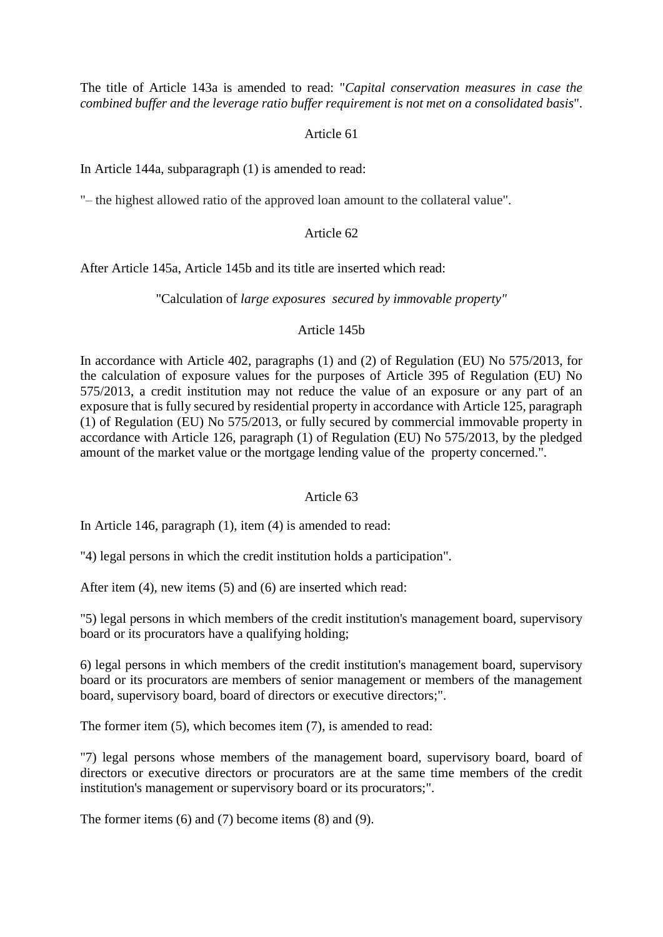The title of Article 143a is amended to read: "*Capital conservation measures in case the combined buffer and the leverage ratio buffer requirement is not met on a consolidated basis*".

## Article 61

In Article 144a, subparagraph (1) is amended to read:

"– the highest allowed ratio of the approved loan amount to the collateral value".

## Article 62

After Article 145a, Article 145b and its title are inserted which read:

"Calculation of *large exposures secured by immovable property"*

### Article 145b

In accordance with Article 402, paragraphs (1) and (2) of Regulation (EU) No 575/2013, for the calculation of exposure values for the purposes of Article 395 of Regulation (EU) No 575/2013, a credit institution may not reduce the value of an exposure or any part of an exposure that is fully secured by residential property in accordance with Article 125, paragraph (1) of Regulation (EU) No 575/2013, or fully secured by commercial immovable property in accordance with Article 126, paragraph (1) of Regulation (EU) No 575/2013, by the pledged amount of the market value or the mortgage lending value of the property concerned.".

# Article 63

In Article 146, paragraph (1), item (4) is amended to read:

"4) legal persons in which the credit institution holds a participation".

After item (4), new items (5) and (6) are inserted which read:

"5) legal persons in which members of the credit institution's management board, supervisory board or its procurators have a qualifying holding;

6) legal persons in which members of the credit institution's management board, supervisory board or its procurators are members of senior management or members of the management board, supervisory board, board of directors or executive directors;".

The former item (5), which becomes item (7), is amended to read:

"7) legal persons whose members of the management board, supervisory board, board of directors or executive directors or procurators are at the same time members of the credit institution's management or supervisory board or its procurators;".

The former items (6) and (7) become items (8) and (9).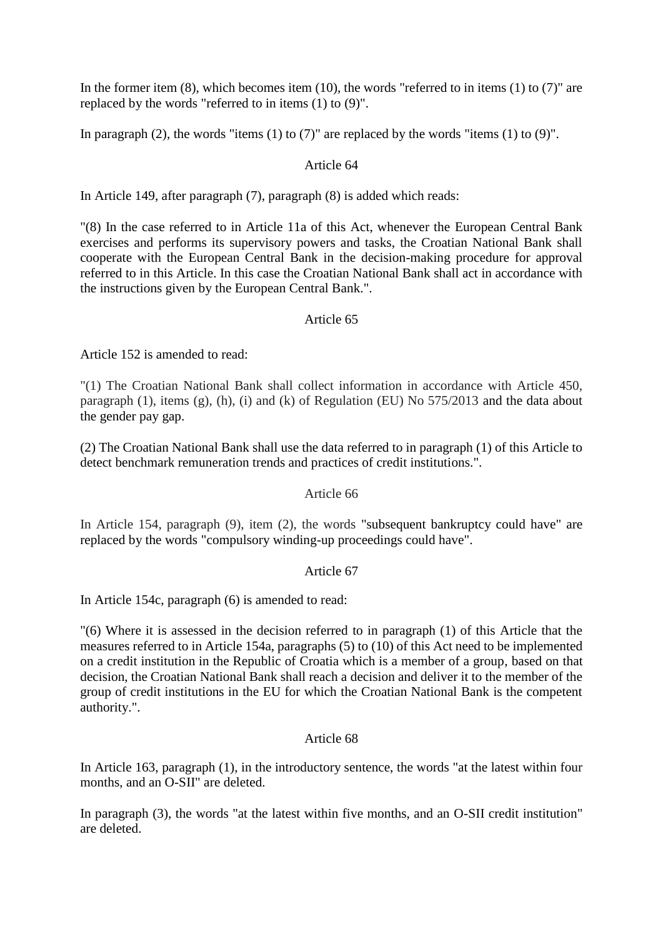In the former item  $(8)$ , which becomes item  $(10)$ , the words "referred to in items  $(1)$  to  $(7)$ " are replaced by the words "referred to in items (1) to (9)".

In paragraph (2), the words "items (1) to (7)" are replaced by the words "items (1) to (9)".

### Article 64

In Article 149, after paragraph (7), paragraph (8) is added which reads:

"(8) In the case referred to in Article 11a of this Act, whenever the European Central Bank exercises and performs its supervisory powers and tasks, the Croatian National Bank shall cooperate with the European Central Bank in the decision-making procedure for approval referred to in this Article. In this case the Croatian National Bank shall act in accordance with the instructions given by the European Central Bank.".

## Article 65

Article 152 is amended to read:

"(1) The Croatian National Bank shall collect information in accordance with Article 450, paragraph (1), items (g), (h), (i) and (k) of Regulation (EU) No 575/2013 and the data about the gender pay gap.

(2) The Croatian National Bank shall use the data referred to in paragraph (1) of this Article to detect benchmark remuneration trends and practices of credit institutions.".

### Article 66

In Article 154, paragraph (9), item (2), the words "subsequent bankruptcy could have" are replaced by the words "compulsory winding-up proceedings could have".

# Article 67

In Article 154c, paragraph (6) is amended to read:

"(6) Where it is assessed in the decision referred to in paragraph (1) of this Article that the measures referred to in Article 154a, paragraphs (5) to (10) of this Act need to be implemented on a credit institution in the Republic of Croatia which is a member of a group, based on that decision, the Croatian National Bank shall reach a decision and deliver it to the member of the group of credit institutions in the EU for which the Croatian National Bank is the competent authority.".

### Article 68

In Article 163, paragraph (1), in the introductory sentence, the words "at the latest within four months, and an O-SII" are deleted.

In paragraph (3), the words "at the latest within five months, and an O-SII credit institution" are deleted.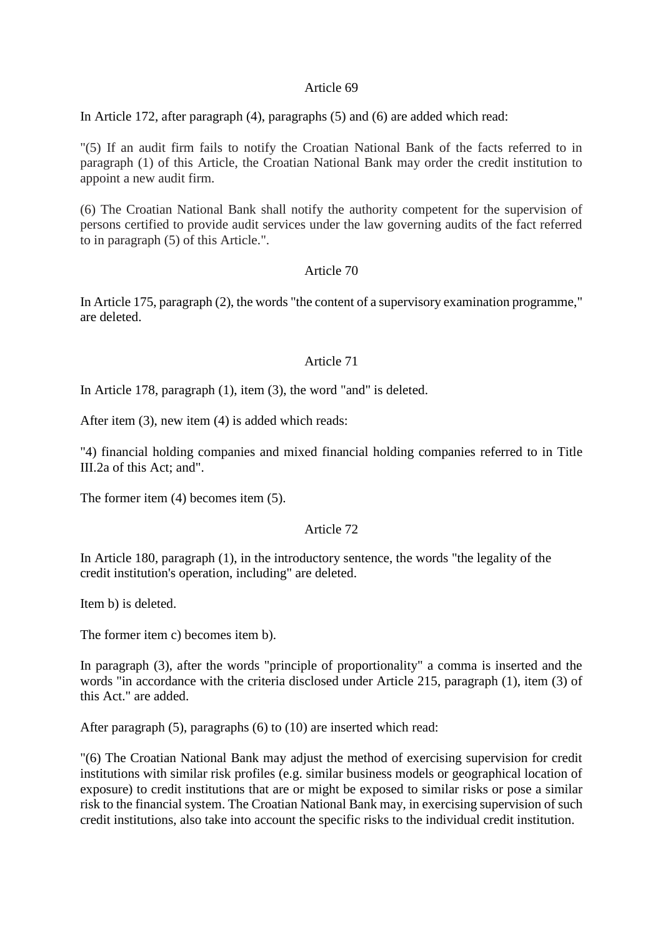#### Article 69

In Article 172, after paragraph (4), paragraphs (5) and (6) are added which read:

"(5) If an audit firm fails to notify the Croatian National Bank of the facts referred to in paragraph (1) of this Article, the Croatian National Bank may order the credit institution to appoint a new audit firm.

(6) The Croatian National Bank shall notify the authority competent for the supervision of persons certified to provide audit services under the law governing audits of the fact referred to in paragraph (5) of this Article.".

### Article 70

In Article 175, paragraph (2), the words "the content of a supervisory examination programme," are deleted.

## Article 71

In Article 178, paragraph (1), item (3), the word "and" is deleted.

After item (3), new item (4) is added which reads:

"4) financial holding companies and mixed financial holding companies referred to in Title III.2a of this Act; and".

The former item (4) becomes item (5).

# Article 72

In Article 180, paragraph (1), in the introductory sentence, the words "the legality of the credit institution's operation, including" are deleted.

Item b) is deleted.

The former item c) becomes item b).

In paragraph (3), after the words "principle of proportionality" a comma is inserted and the words "in accordance with the criteria disclosed under Article 215, paragraph (1), item (3) of this Act." are added.

After paragraph (5), paragraphs (6) to (10) are inserted which read:

"(6) The Croatian National Bank may adjust the method of exercising supervision for credit institutions with similar risk profiles (e.g. similar business models or geographical location of exposure) to credit institutions that are or might be exposed to similar risks or pose a similar risk to the financial system. The Croatian National Bank may, in exercising supervision of such credit institutions, also take into account the specific risks to the individual credit institution.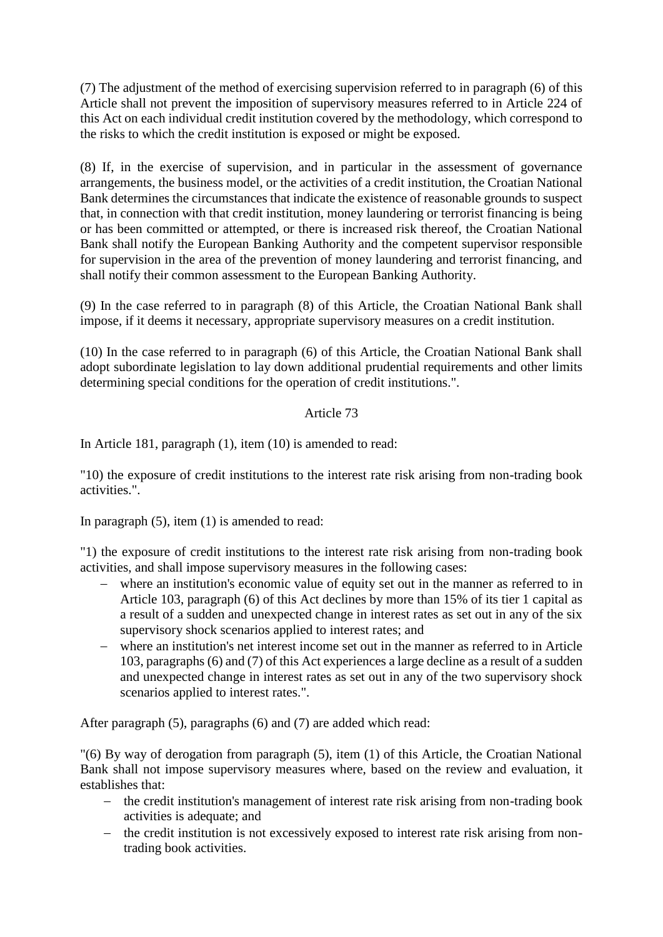(7) The adjustment of the method of exercising supervision referred to in paragraph (6) of this Article shall not prevent the imposition of supervisory measures referred to in Article 224 of this Act on each individual credit institution covered by the methodology, which correspond to the risks to which the credit institution is exposed or might be exposed.

(8) If, in the exercise of supervision, and in particular in the assessment of governance arrangements, the business model, or the activities of a credit institution, the Croatian National Bank determines the circumstances that indicate the existence of reasonable grounds to suspect that, in connection with that credit institution, money laundering or terrorist financing is being or has been committed or attempted, or there is increased risk thereof, the Croatian National Bank shall notify the European Banking Authority and the competent supervisor responsible for supervision in the area of the prevention of money laundering and terrorist financing, and shall notify their common assessment to the European Banking Authority.

(9) In the case referred to in paragraph (8) of this Article, the Croatian National Bank shall impose, if it deems it necessary, appropriate supervisory measures on a credit institution.

(10) In the case referred to in paragraph (6) of this Article, the Croatian National Bank shall adopt subordinate legislation to lay down additional prudential requirements and other limits determining special conditions for the operation of credit institutions.".

## Article 73

In Article 181, paragraph (1), item (10) is amended to read:

"10) the exposure of credit institutions to the interest rate risk arising from non-trading book activities.".

In paragraph (5), item (1) is amended to read:

"1) the exposure of credit institutions to the interest rate risk arising from non-trading book activities, and shall impose supervisory measures in the following cases:

- where an institution's economic value of equity set out in the manner as referred to in Article 103, paragraph (6) of this Act declines by more than 15% of its tier 1 capital as a result of a sudden and unexpected change in interest rates as set out in any of the six supervisory shock scenarios applied to interest rates; and
- where an institution's net interest income set out in the manner as referred to in Article 103, paragraphs (6) and (7) of this Act experiences a large decline as a result of a sudden and unexpected change in interest rates as set out in any of the two supervisory shock scenarios applied to interest rates.".

After paragraph (5), paragraphs (6) and (7) are added which read:

"(6) By way of derogation from paragraph (5), item (1) of this Article, the Croatian National Bank shall not impose supervisory measures where, based on the review and evaluation, it establishes that:

- the credit institution's management of interest rate risk arising from non-trading book activities is adequate; and
- the credit institution is not excessively exposed to interest rate risk arising from nontrading book activities.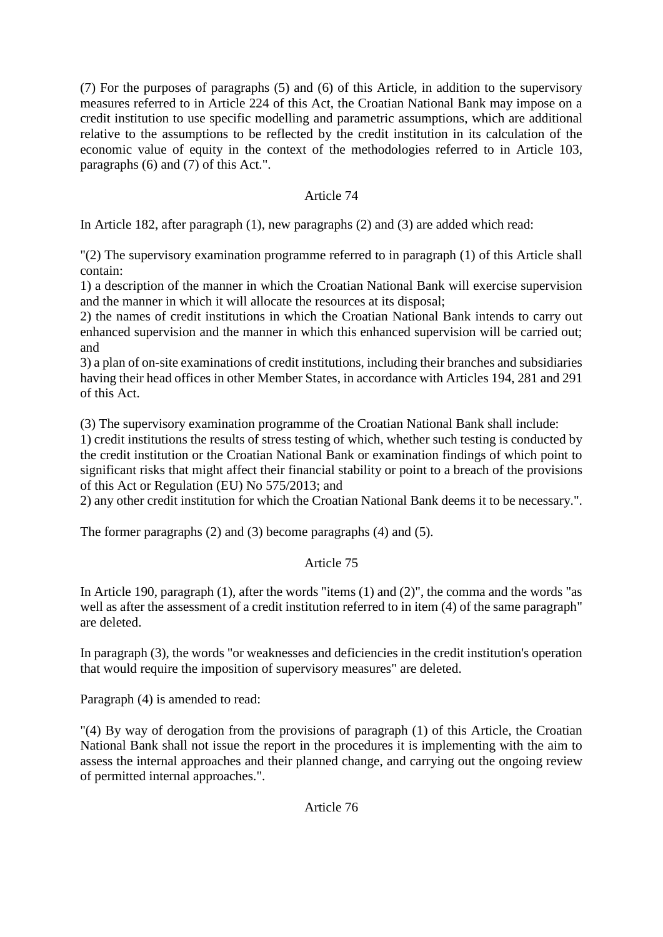(7) For the purposes of paragraphs (5) and (6) of this Article, in addition to the supervisory measures referred to in Article 224 of this Act, the Croatian National Bank may impose on a credit institution to use specific modelling and parametric assumptions, which are additional relative to the assumptions to be reflected by the credit institution in its calculation of the economic value of equity in the context of the methodologies referred to in Article 103, paragraphs (6) and (7) of this Act.".

# Article 74

In Article 182, after paragraph (1), new paragraphs (2) and (3) are added which read:

"(2) The supervisory examination programme referred to in paragraph (1) of this Article shall contain:

1) a description of the manner in which the Croatian National Bank will exercise supervision and the manner in which it will allocate the resources at its disposal;

2) the names of credit institutions in which the Croatian National Bank intends to carry out enhanced supervision and the manner in which this enhanced supervision will be carried out; and

3) a plan of on-site examinations of credit institutions, including their branches and subsidiaries having their head offices in other Member States, in accordance with Articles 194, 281 and 291 of this Act.

(3) The supervisory examination programme of the Croatian National Bank shall include:

1) credit institutions the results of stress testing of which, whether such testing is conducted by the credit institution or the Croatian National Bank or examination findings of which point to significant risks that might affect their financial stability or point to a breach of the provisions of this Act or Regulation (EU) No 575/2013; and

2) any other credit institution for which the Croatian National Bank deems it to be necessary.".

The former paragraphs (2) and (3) become paragraphs (4) and (5).

# Article 75

In Article 190, paragraph (1), after the words "items (1) and (2)", the comma and the words "as well as after the assessment of a credit institution referred to in item (4) of the same paragraph" are deleted.

In paragraph (3), the words "or weaknesses and deficiencies in the credit institution's operation that would require the imposition of supervisory measures" are deleted.

Paragraph (4) is amended to read:

"(4) By way of derogation from the provisions of paragraph (1) of this Article, the Croatian National Bank shall not issue the report in the procedures it is implementing with the aim to assess the internal approaches and their planned change, and carrying out the ongoing review of permitted internal approaches.".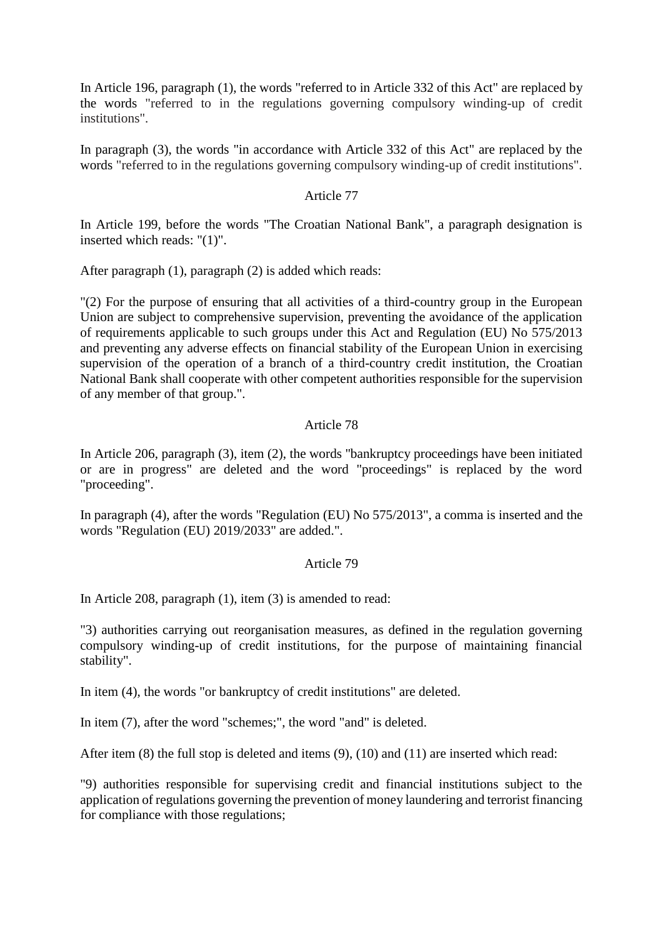In Article 196, paragraph (1), the words "referred to in Article 332 of this Act" are replaced by the words "referred to in the regulations governing compulsory winding-up of credit institutions".

In paragraph (3), the words "in accordance with Article 332 of this Act" are replaced by the words "referred to in the regulations governing compulsory winding-up of credit institutions".

### Article 77

In Article 199, before the words "The Croatian National Bank", a paragraph designation is inserted which reads: "(1)".

After paragraph (1), paragraph (2) is added which reads:

"(2) For the purpose of ensuring that all activities of a third-country group in the European Union are subject to comprehensive supervision, preventing the avoidance of the application of requirements applicable to such groups under this Act and Regulation (EU) No 575/2013 and preventing any adverse effects on financial stability of the European Union in exercising supervision of the operation of a branch of a third-country credit institution, the Croatian National Bank shall cooperate with other competent authorities responsible for the supervision of any member of that group.".

## Article 78

In Article 206, paragraph (3), item (2), the words "bankruptcy proceedings have been initiated or are in progress" are deleted and the word "proceedings" is replaced by the word "proceeding".

In paragraph (4), after the words "Regulation (EU) No 575/2013", a comma is inserted and the words "Regulation (EU) 2019/2033" are added.".

### Article 79

In Article 208, paragraph (1), item (3) is amended to read:

"3) authorities carrying out reorganisation measures, as defined in the regulation governing compulsory winding-up of credit institutions, for the purpose of maintaining financial stability".

In item (4), the words "or bankruptcy of credit institutions" are deleted.

In item (7), after the word "schemes;", the word "and" is deleted.

After item (8) the full stop is deleted and items (9), (10) and (11) are inserted which read:

"9) authorities responsible for supervising credit and financial institutions subject to the application of regulations governing the prevention of money laundering and terrorist financing for compliance with those regulations;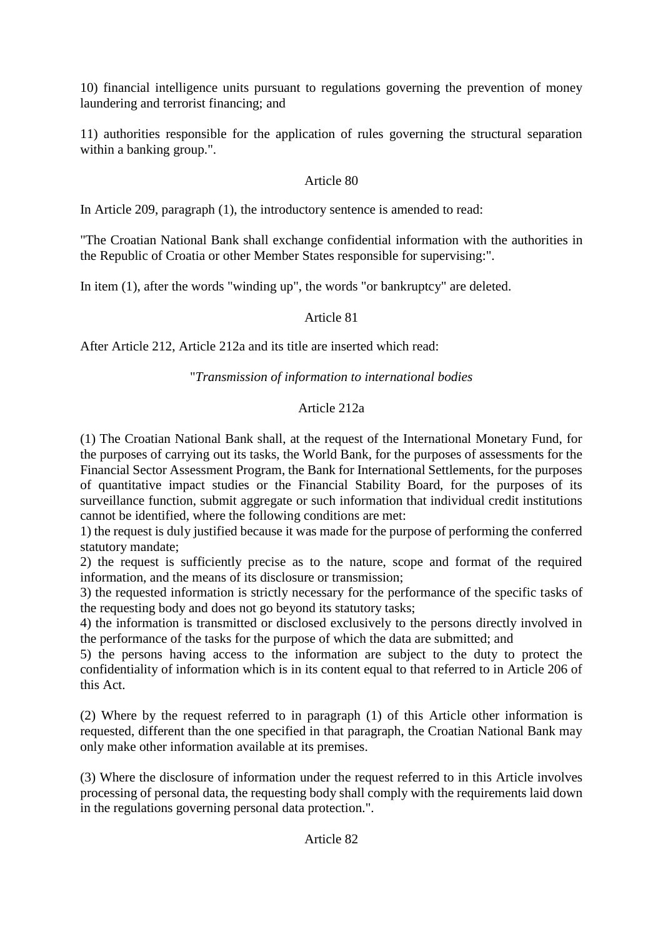10) financial intelligence units pursuant to regulations governing the prevention of money laundering and terrorist financing; and

11) authorities responsible for the application of rules governing the structural separation within a banking group.".

# Article 80

In Article 209, paragraph (1), the introductory sentence is amended to read:

"The Croatian National Bank shall exchange confidential information with the authorities in the Republic of Croatia or other Member States responsible for supervising:".

In item (1), after the words "winding up", the words "or bankruptcy" are deleted.

# Article 81

After Article 212, Article 212a and its title are inserted which read:

# "*Transmission of information to international bodies*

# Article 212a

(1) The Croatian National Bank shall, at the request of the International Monetary Fund, for the purposes of carrying out its tasks, the World Bank, for the purposes of assessments for the Financial Sector Assessment Program, the Bank for International Settlements, for the purposes of quantitative impact studies or the Financial Stability Board, for the purposes of its surveillance function, submit aggregate or such information that individual credit institutions cannot be identified, where the following conditions are met:

1) the request is duly justified because it was made for the purpose of performing the conferred statutory mandate;

2) the request is sufficiently precise as to the nature, scope and format of the required information, and the means of its disclosure or transmission;

3) the requested information is strictly necessary for the performance of the specific tasks of the requesting body and does not go beyond its statutory tasks;

4) the information is transmitted or disclosed exclusively to the persons directly involved in the performance of the tasks for the purpose of which the data are submitted; and

5) the persons having access to the information are subject to the duty to protect the confidentiality of information which is in its content equal to that referred to in Article 206 of this Act.

(2) Where by the request referred to in paragraph (1) of this Article other information is requested, different than the one specified in that paragraph, the Croatian National Bank may only make other information available at its premises.

(3) Where the disclosure of information under the request referred to in this Article involves processing of personal data, the requesting body shall comply with the requirements laid down in the regulations governing personal data protection.".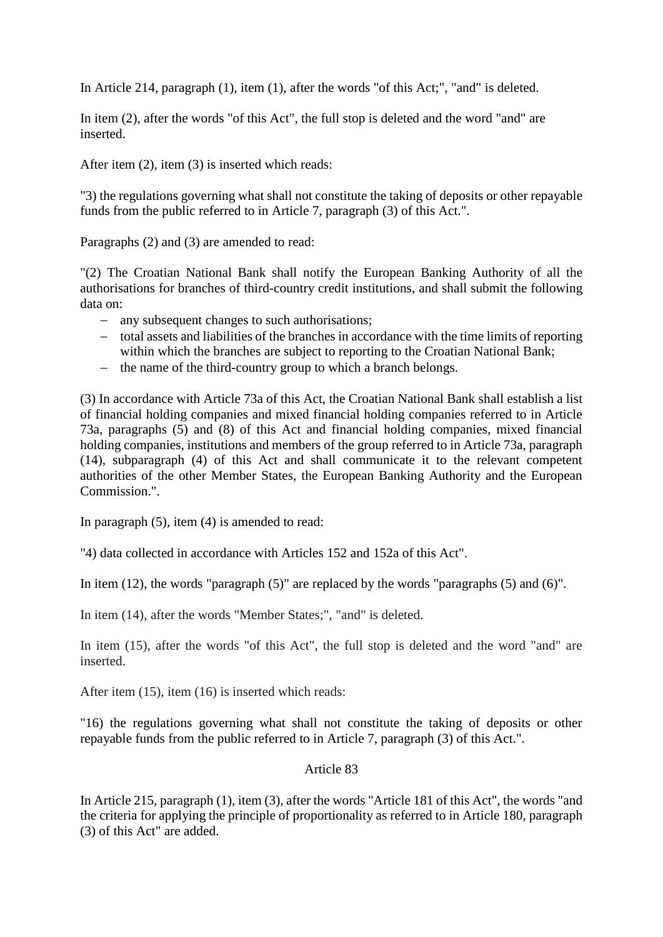In Article 214, paragraph (1), item (1), after the words "of this Act;", "and" is deleted.

In item (2), after the words "of this Act", the full stop is deleted and the word "and" are inserted.

After item (2), item (3) is inserted which reads:

"3) the regulations governing what shall not constitute the taking of deposits or other repayable funds from the public referred to in Article 7, paragraph (3) of this Act.".

Paragraphs (2) and (3) are amended to read:

"(2) The Croatian National Bank shall notify the European Banking Authority of all the authorisations for branches of third-country credit institutions, and shall submit the following data on:

- any subsequent changes to such authorisations;
- total assets and liabilities of the branches in accordance with the time limits of reporting within which the branches are subject to reporting to the Croatian National Bank;
- $\theta$  the name of the third-country group to which a branch belongs.

(3) In accordance with Article 73a of this Act, the Croatian National Bank shall establish a list of financial holding companies and mixed financial holding companies referred to in Article 73a, paragraphs (5) and (8) of this Act and financial holding companies, mixed financial holding companies, institutions and members of the group referred to in Article 73a, paragraph (14), subparagraph (4) of this Act and shall communicate it to the relevant competent authorities of the other Member States, the European Banking Authority and the European Commission.".

In paragraph (5), item (4) is amended to read:

"4) data collected in accordance with Articles 152 and 152a of this Act".

In item (12), the words "paragraph (5)" are replaced by the words "paragraphs (5) and (6)".

In item (14), after the words "Member States;", "and" is deleted.

In item (15), after the words "of this Act", the full stop is deleted and the word "and" are inserted.

After item (15), item (16) is inserted which reads:

"16) the regulations governing what shall not constitute the taking of deposits or other repayable funds from the public referred to in Article 7, paragraph (3) of this Act.".

### Article 83

In Article 215, paragraph (1), item (3), after the words "Article 181 of this Act", the words "and the criteria for applying the principle of proportionality as referred to in Article 180, paragraph (3) of this Act" are added.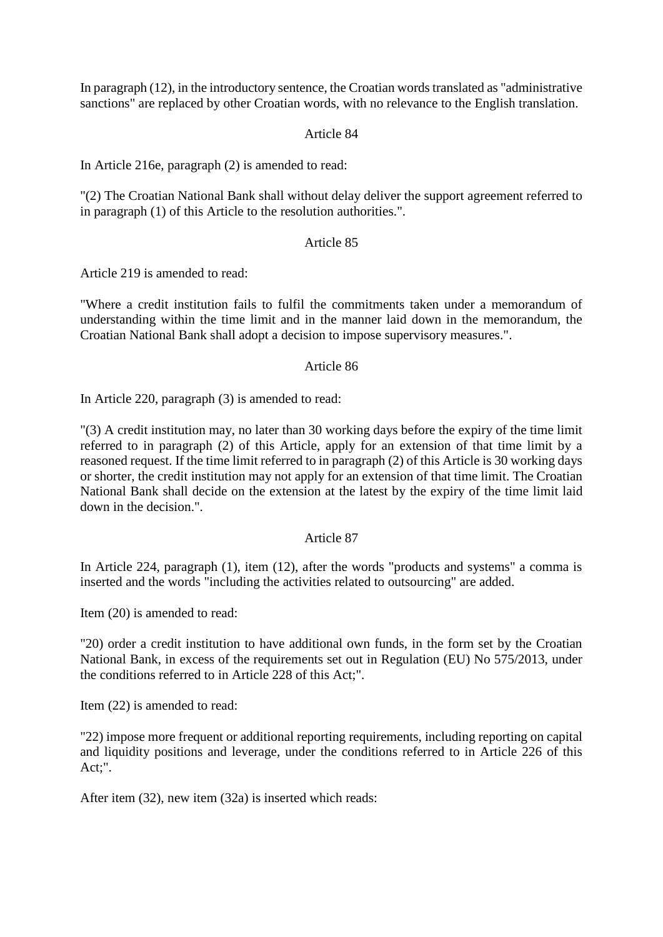In paragraph (12), in the introductory sentence, the Croatian words translated as "administrative sanctions" are replaced by other Croatian words, with no relevance to the English translation.

### Article 84

In Article 216e, paragraph (2) is amended to read:

"(2) The Croatian National Bank shall without delay deliver the support agreement referred to in paragraph (1) of this Article to the resolution authorities.".

### Article 85

Article 219 is amended to read:

"Where a credit institution fails to fulfil the commitments taken under a memorandum of understanding within the time limit and in the manner laid down in the memorandum, the Croatian National Bank shall adopt a decision to impose supervisory measures.".

### Article 86

In Article 220, paragraph (3) is amended to read:

"(3) A credit institution may, no later than 30 working days before the expiry of the time limit referred to in paragraph (2) of this Article, apply for an extension of that time limit by a reasoned request. If the time limit referred to in paragraph (2) of this Article is 30 working days or shorter, the credit institution may not apply for an extension of that time limit. The Croatian National Bank shall decide on the extension at the latest by the expiry of the time limit laid down in the decision.".

### Article 87

In Article 224, paragraph (1), item (12), after the words "products and systems" a comma is inserted and the words "including the activities related to outsourcing" are added.

Item (20) is amended to read:

"20) order a credit institution to have additional own funds, in the form set by the Croatian National Bank, in excess of the requirements set out in Regulation (EU) No 575/2013, under the conditions referred to in Article 228 of this Act;".

Item (22) is amended to read:

"22) impose more frequent or additional reporting requirements, including reporting on capital and liquidity positions and leverage, under the conditions referred to in Article 226 of this Act;".

After item (32), new item (32a) is inserted which reads: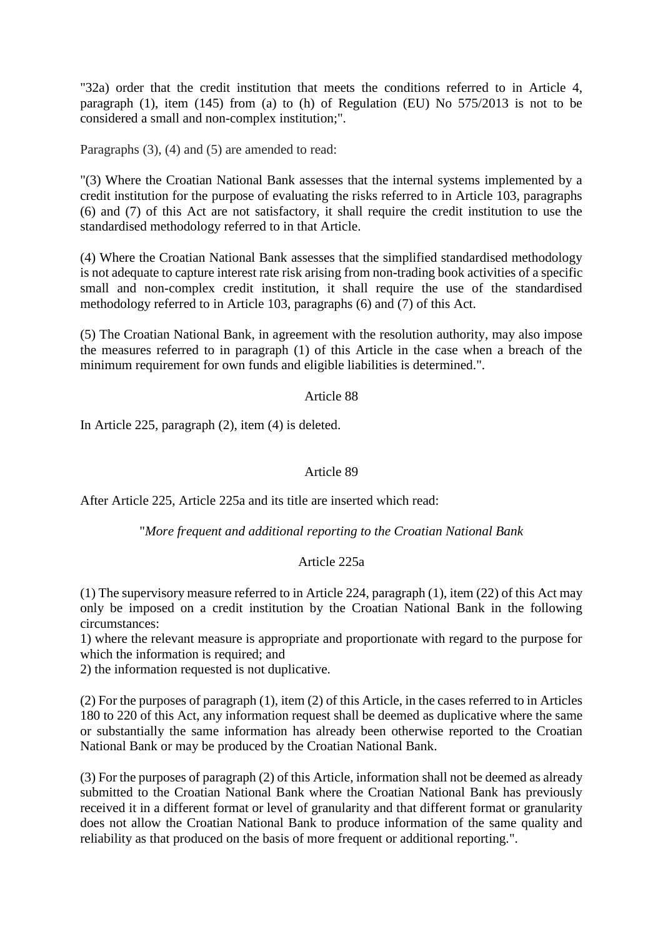"32a) order that the credit institution that meets the conditions referred to in Article 4, paragraph (1), item (145) from (a) to (h) of Regulation (EU) No 575/2013 is not to be considered a small and non-complex institution;".

Paragraphs (3), (4) and (5) are amended to read:

"(3) Where the Croatian National Bank assesses that the internal systems implemented by a credit institution for the purpose of evaluating the risks referred to in Article 103, paragraphs (6) and (7) of this Act are not satisfactory, it shall require the credit institution to use the standardised methodology referred to in that Article.

(4) Where the Croatian National Bank assesses that the simplified standardised methodology is not adequate to capture interest rate risk arising from non-trading book activities of a specific small and non-complex credit institution, it shall require the use of the standardised methodology referred to in Article 103, paragraphs (6) and (7) of this Act.

(5) The Croatian National Bank, in agreement with the resolution authority, may also impose the measures referred to in paragraph (1) of this Article in the case when a breach of the minimum requirement for own funds and eligible liabilities is determined.".

### Article 88

In Article 225, paragraph (2), item (4) is deleted.

## Article 89

After Article 225, Article 225a and its title are inserted which read:

"*More frequent and additional reporting to the Croatian National Bank*

# Article 225a

(1) The supervisory measure referred to in Article 224, paragraph (1), item (22) of this Act may only be imposed on a credit institution by the Croatian National Bank in the following circumstances:

1) where the relevant measure is appropriate and proportionate with regard to the purpose for which the information is required; and

2) the information requested is not duplicative.

(2) For the purposes of paragraph (1), item (2) of this Article, in the cases referred to in Articles 180 to 220 of this Act, any information request shall be deemed as duplicative where the same or substantially the same information has already been otherwise reported to the Croatian National Bank or may be produced by the Croatian National Bank.

(3) For the purposes of paragraph (2) of this Article, information shall not be deemed as already submitted to the Croatian National Bank where the Croatian National Bank has previously received it in a different format or level of granularity and that different format or granularity does not allow the Croatian National Bank to produce information of the same quality and reliability as that produced on the basis of more frequent or additional reporting.".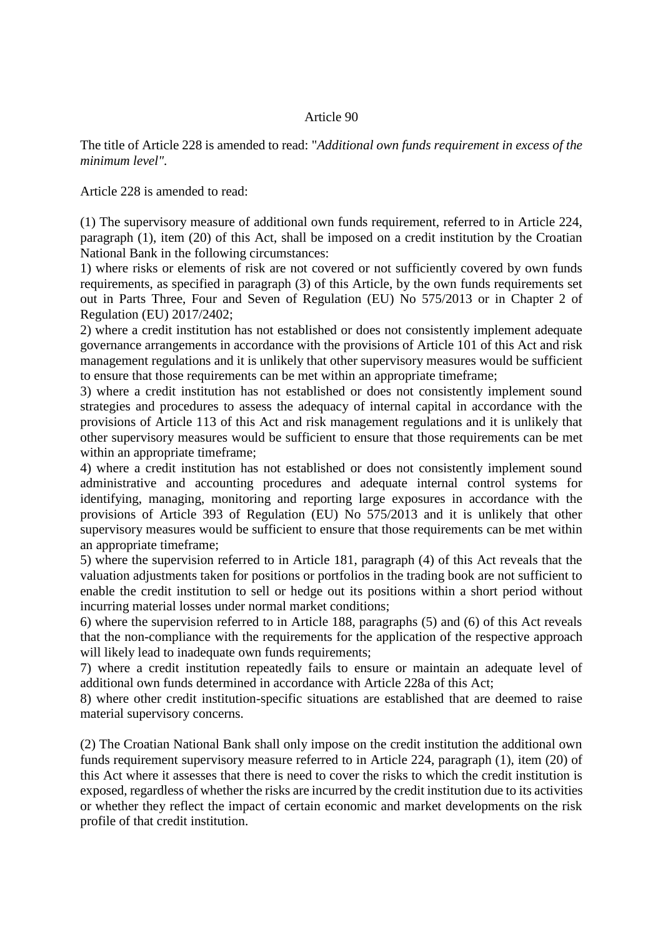#### Article 90

The title of Article 228 is amended to read: "*Additional own funds requirement in excess of the minimum level".*

Article 228 is amended to read:

(1) The supervisory measure of additional own funds requirement, referred to in Article 224, paragraph (1), item (20) of this Act, shall be imposed on a credit institution by the Croatian National Bank in the following circumstances:

1) where risks or elements of risk are not covered or not sufficiently covered by own funds requirements, as specified in paragraph (3) of this Article, by the own funds requirements set out in Parts Three, Four and Seven of Regulation (EU) No 575/2013 or in Chapter 2 of Regulation (EU) 2017/2402;

2) where a credit institution has not established or does not consistently implement adequate governance arrangements in accordance with the provisions of Article 101 of this Act and risk management regulations and it is unlikely that other supervisory measures would be sufficient to ensure that those requirements can be met within an appropriate timeframe;

3) where a credit institution has not established or does not consistently implement sound strategies and procedures to assess the adequacy of internal capital in accordance with the provisions of Article 113 of this Act and risk management regulations and it is unlikely that other supervisory measures would be sufficient to ensure that those requirements can be met within an appropriate timeframe;

4) where a credit institution has not established or does not consistently implement sound administrative and accounting procedures and adequate internal control systems for identifying, managing, monitoring and reporting large exposures in accordance with the provisions of Article 393 of Regulation (EU) No 575/2013 and it is unlikely that other supervisory measures would be sufficient to ensure that those requirements can be met within an appropriate timeframe;

5) where the supervision referred to in Article 181, paragraph (4) of this Act reveals that the valuation adjustments taken for positions or portfolios in the trading book are not sufficient to enable the credit institution to sell or hedge out its positions within a short period without incurring material losses under normal market conditions;

6) where the supervision referred to in Article 188, paragraphs (5) and (6) of this Act reveals that the non-compliance with the requirements for the application of the respective approach will likely lead to inadequate own funds requirements;

7) where a credit institution repeatedly fails to ensure or maintain an adequate level of additional own funds determined in accordance with Article 228a of this Act;

8) where other credit institution-specific situations are established that are deemed to raise material supervisory concerns.

(2) The Croatian National Bank shall only impose on the credit institution the additional own funds requirement supervisory measure referred to in Article 224, paragraph (1), item (20) of this Act where it assesses that there is need to cover the risks to which the credit institution is exposed, regardless of whether the risks are incurred by the credit institution due to its activities or whether they reflect the impact of certain economic and market developments on the risk profile of that credit institution.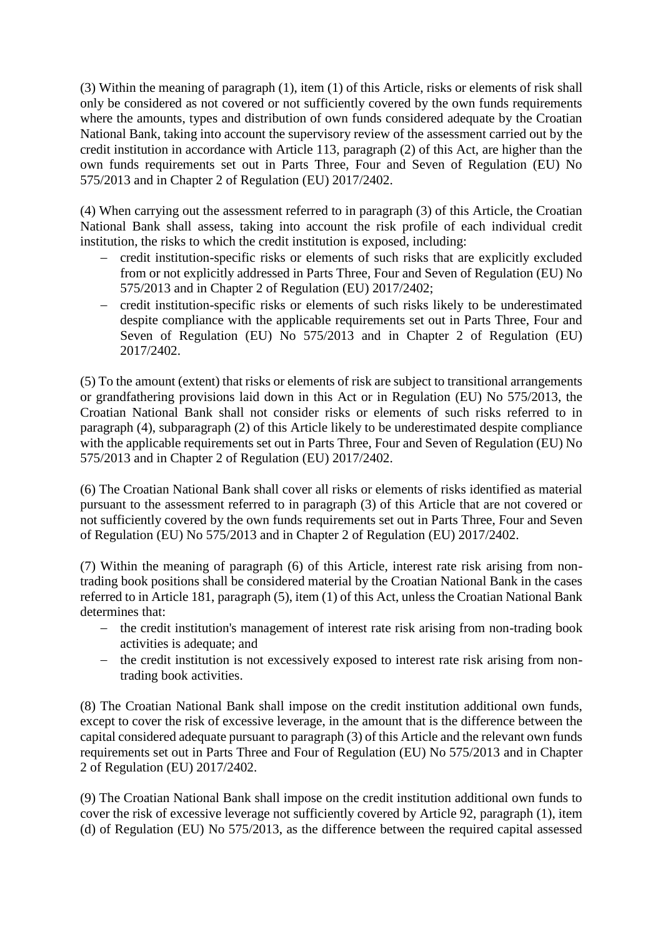(3) Within the meaning of paragraph (1), item (1) of this Article, risks or elements of risk shall only be considered as not covered or not sufficiently covered by the own funds requirements where the amounts, types and distribution of own funds considered adequate by the Croatian National Bank, taking into account the supervisory review of the assessment carried out by the credit institution in accordance with Article 113, paragraph (2) of this Act, are higher than the own funds requirements set out in Parts Three, Four and Seven of Regulation (EU) No 575/2013 and in Chapter 2 of Regulation (EU) 2017/2402.

(4) When carrying out the assessment referred to in paragraph (3) of this Article, the Croatian National Bank shall assess, taking into account the risk profile of each individual credit institution, the risks to which the credit institution is exposed, including:

- credit institution-specific risks or elements of such risks that are explicitly excluded from or not explicitly addressed in Parts Three, Four and Seven of Regulation (EU) No 575/2013 and in Chapter 2 of Regulation (EU) 2017/2402;
- credit institution-specific risks or elements of such risks likely to be underestimated despite compliance with the applicable requirements set out in Parts Three, Four and Seven of Regulation (EU) No 575/2013 and in Chapter 2 of Regulation (EU) 2017/2402.

(5) To the amount (extent) that risks or elements of risk are subject to transitional arrangements or grandfathering provisions laid down in this Act or in Regulation (EU) No 575/2013, the Croatian National Bank shall not consider risks or elements of such risks referred to in paragraph (4), subparagraph (2) of this Article likely to be underestimated despite compliance with the applicable requirements set out in Parts Three, Four and Seven of Regulation (EU) No 575/2013 and in Chapter 2 of Regulation (EU) 2017/2402.

(6) The Croatian National Bank shall cover all risks or elements of risks identified as material pursuant to the assessment referred to in paragraph (3) of this Article that are not covered or not sufficiently covered by the own funds requirements set out in Parts Three, Four and Seven of Regulation (EU) No 575/2013 and in Chapter 2 of Regulation (EU) 2017/2402.

(7) Within the meaning of paragraph (6) of this Article, interest rate risk arising from nontrading book positions shall be considered material by the Croatian National Bank in the cases referred to in Article 181, paragraph (5), item (1) of this Act, unless the Croatian National Bank determines that:

- the credit institution's management of interest rate risk arising from non-trading book activities is adequate; and
- the credit institution is not excessively exposed to interest rate risk arising from nontrading book activities.

(8) The Croatian National Bank shall impose on the credit institution additional own funds, except to cover the risk of excessive leverage, in the amount that is the difference between the capital considered adequate pursuant to paragraph (3) of this Article and the relevant own funds requirements set out in Parts Three and Four of Regulation (EU) No 575/2013 and in Chapter 2 of Regulation (EU) 2017/2402.

(9) The Croatian National Bank shall impose on the credit institution additional own funds to cover the risk of excessive leverage not sufficiently covered by Article 92, paragraph (1), item (d) of Regulation (EU) No 575/2013, as the difference between the required capital assessed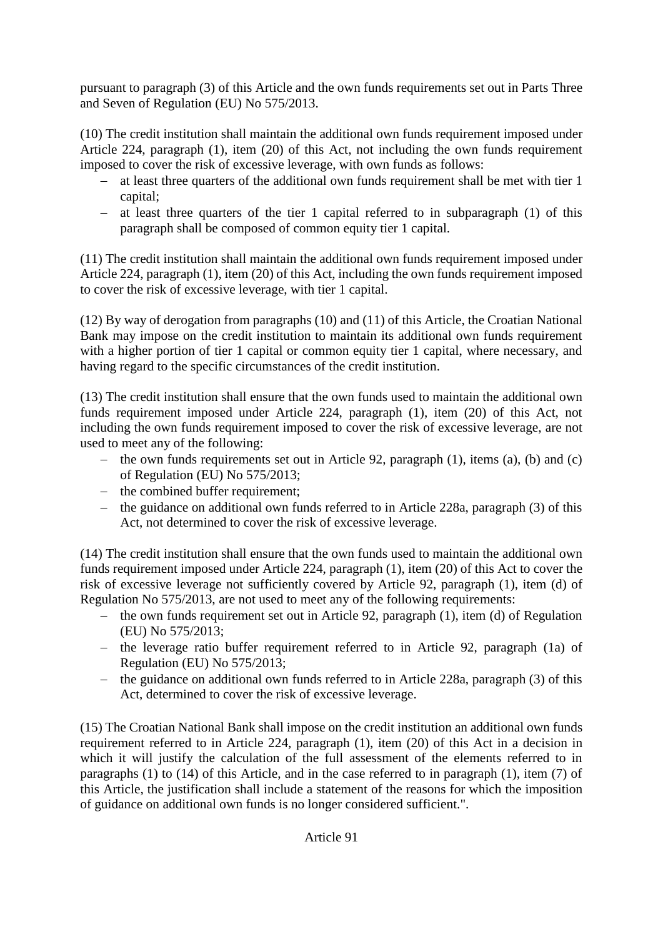pursuant to paragraph (3) of this Article and the own funds requirements set out in Parts Three and Seven of Regulation (EU) No 575/2013.

(10) The credit institution shall maintain the additional own funds requirement imposed under Article 224, paragraph (1), item (20) of this Act, not including the own funds requirement imposed to cover the risk of excessive leverage, with own funds as follows:

- at least three quarters of the additional own funds requirement shall be met with tier 1 capital;
- $-$  at least three quarters of the tier 1 capital referred to in subparagraph (1) of this paragraph shall be composed of common equity tier 1 capital.

(11) The credit institution shall maintain the additional own funds requirement imposed under Article 224, paragraph (1), item (20) of this Act, including the own funds requirement imposed to cover the risk of excessive leverage, with tier 1 capital.

(12) By way of derogation from paragraphs (10) and (11) of this Article, the Croatian National Bank may impose on the credit institution to maintain its additional own funds requirement with a higher portion of tier 1 capital or common equity tier 1 capital, where necessary, and having regard to the specific circumstances of the credit institution.

(13) The credit institution shall ensure that the own funds used to maintain the additional own funds requirement imposed under Article 224, paragraph (1), item (20) of this Act, not including the own funds requirement imposed to cover the risk of excessive leverage, are not used to meet any of the following:

- the own funds requirements set out in Article 92, paragraph  $(1)$ , items  $(a)$ ,  $(b)$  and  $(c)$ of Regulation (EU) No 575/2013;
- the combined buffer requirement;
- $\hbox{–}$  the guidance on additional own funds referred to in Article 228a, paragraph (3) of this Act, not determined to cover the risk of excessive leverage.

(14) The credit institution shall ensure that the own funds used to maintain the additional own funds requirement imposed under Article 224, paragraph (1), item (20) of this Act to cover the risk of excessive leverage not sufficiently covered by Article 92, paragraph (1), item (d) of Regulation No 575/2013, are not used to meet any of the following requirements:

- $\hbox{I}$  the own funds requirement set out in Article 92, paragraph (1), item (d) of Regulation (EU) No 575/2013;
- $-$  the leverage ratio buffer requirement referred to in Article 92, paragraph (1a) of Regulation (EU) No 575/2013;
- $\hbox{–}$  the guidance on additional own funds referred to in Article 228a, paragraph (3) of this Act, determined to cover the risk of excessive leverage.

(15) The Croatian National Bank shall impose on the credit institution an additional own funds requirement referred to in Article 224, paragraph (1), item (20) of this Act in a decision in which it will justify the calculation of the full assessment of the elements referred to in paragraphs (1) to (14) of this Article, and in the case referred to in paragraph (1), item (7) of this Article, the justification shall include a statement of the reasons for which the imposition of guidance on additional own funds is no longer considered sufficient.".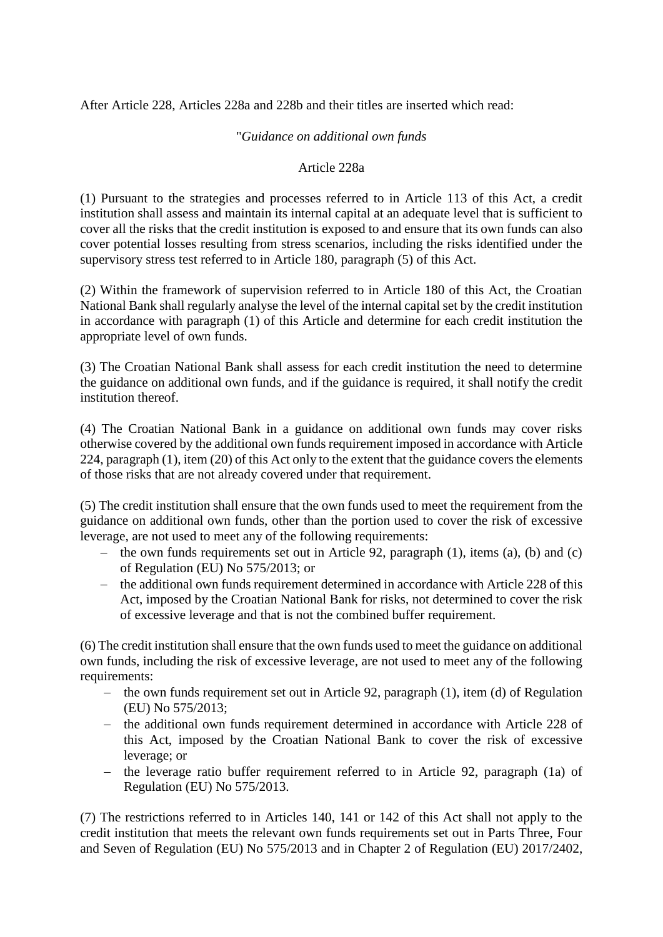After Article 228, Articles 228a and 228b and their titles are inserted which read:

## "*Guidance on additional own funds*

## Article 228a

(1) Pursuant to the strategies and processes referred to in Article 113 of this Act, a credit institution shall assess and maintain its internal capital at an adequate level that is sufficient to cover all the risks that the credit institution is exposed to and ensure that its own funds can also cover potential losses resulting from stress scenarios, including the risks identified under the supervisory stress test referred to in Article 180, paragraph (5) of this Act.

(2) Within the framework of supervision referred to in Article 180 of this Act, the Croatian National Bank shall regularly analyse the level of the internal capital set by the credit institution in accordance with paragraph (1) of this Article and determine for each credit institution the appropriate level of own funds.

(3) The Croatian National Bank shall assess for each credit institution the need to determine the guidance on additional own funds, and if the guidance is required, it shall notify the credit institution thereof.

(4) The Croatian National Bank in a guidance on additional own funds may cover risks otherwise covered by the additional own funds requirement imposed in accordance with Article 224, paragraph (1), item (20) of this Act only to the extent that the guidance covers the elements of those risks that are not already covered under that requirement.

(5) The credit institution shall ensure that the own funds used to meet the requirement from the guidance on additional own funds, other than the portion used to cover the risk of excessive leverage, are not used to meet any of the following requirements:

- the own funds requirements set out in Article 92, paragraph  $(1)$ , items  $(a)$ ,  $(b)$  and  $(c)$ of Regulation (EU) No 575/2013; or
- the additional own funds requirement determined in accordance with Article 228 of this Act, imposed by the Croatian National Bank for risks, not determined to cover the risk of excessive leverage and that is not the combined buffer requirement.

(6) The credit institution shall ensure that the own funds used to meet the guidance on additional own funds, including the risk of excessive leverage, are not used to meet any of the following requirements:

- the own funds requirement set out in Article 92, paragraph  $(1)$ , item  $(d)$  of Regulation (EU) No 575/2013;
- the additional own funds requirement determined in accordance with Article 228 of this Act, imposed by the Croatian National Bank to cover the risk of excessive leverage; or
- $-$  the leverage ratio buffer requirement referred to in Article 92, paragraph (1a) of Regulation (EU) No 575/2013.

(7) The restrictions referred to in Articles 140, 141 or 142 of this Act shall not apply to the credit institution that meets the relevant own funds requirements set out in Parts Three, Four and Seven of Regulation (EU) No 575/2013 and in Chapter 2 of Regulation (EU) 2017/2402,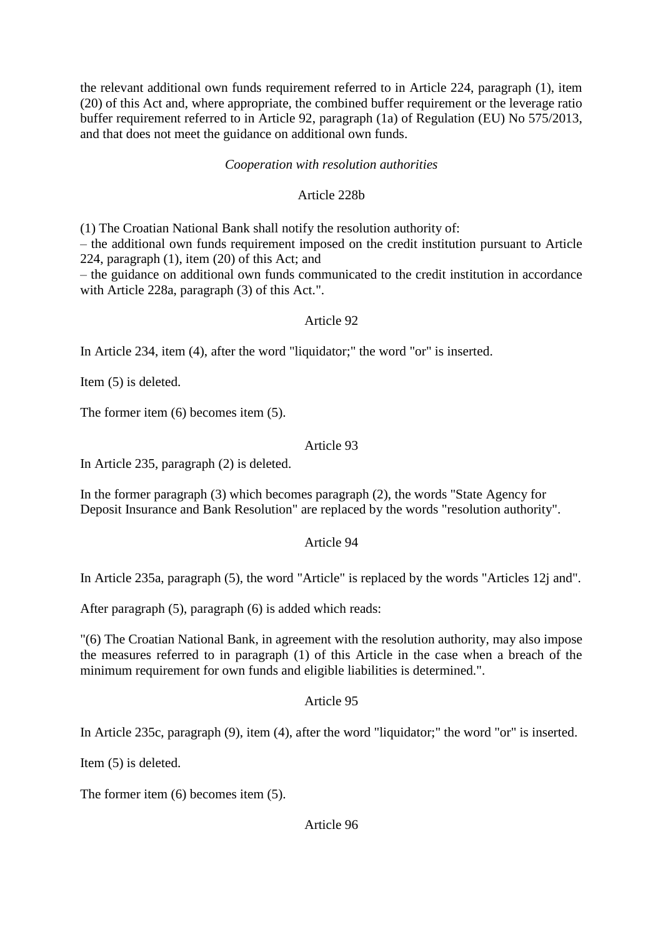the relevant additional own funds requirement referred to in Article 224, paragraph (1), item (20) of this Act and, where appropriate, the combined buffer requirement or the leverage ratio buffer requirement referred to in Article 92, paragraph (1a) of Regulation (EU) No 575/2013, and that does not meet the guidance on additional own funds.

# *Cooperation with resolution authorities*

# Article 228b

(1) The Croatian National Bank shall notify the resolution authority of:

– the additional own funds requirement imposed on the credit institution pursuant to Article 224, paragraph (1), item (20) of this Act; and

– the guidance on additional own funds communicated to the credit institution in accordance with Article 228a, paragraph (3) of this Act.".

# Article 92

In Article 234, item (4), after the word "liquidator;" the word "or" is inserted.

Item (5) is deleted.

The former item (6) becomes item (5).

## Article 93

In Article 235, paragraph (2) is deleted.

In the former paragraph (3) which becomes paragraph (2), the words "State Agency for Deposit Insurance and Bank Resolution" are replaced by the words "resolution authority".

# Article 94

In Article 235a, paragraph (5), the word "Article" is replaced by the words "Articles 12j and".

After paragraph (5), paragraph (6) is added which reads:

"(6) The Croatian National Bank, in agreement with the resolution authority, may also impose the measures referred to in paragraph (1) of this Article in the case when a breach of the minimum requirement for own funds and eligible liabilities is determined.".

# Article 95

In Article 235c, paragraph (9), item (4), after the word "liquidator;" the word "or" is inserted.

Item (5) is deleted.

The former item (6) becomes item (5).

# Article 96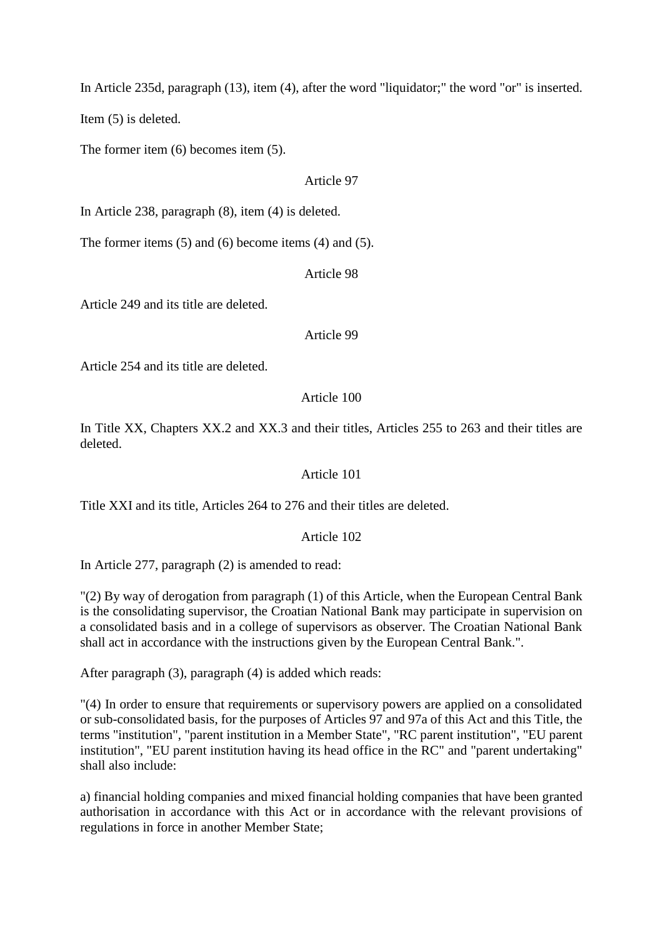In Article 235d, paragraph (13), item (4), after the word "liquidator;" the word "or" is inserted. Item (5) is deleted.

The former item (6) becomes item (5).

### Article 97

In Article 238, paragraph (8), item (4) is deleted.

The former items (5) and (6) become items (4) and (5).

Article 98

Article 249 and its title are deleted.

Article 99

Article 254 and its title are deleted.

Article 100

In Title XX, Chapters XX.2 and XX.3 and their titles, Articles 255 to 263 and their titles are deleted.

## Article 101

Title XXI and its title, Articles 264 to 276 and their titles are deleted.

### Article 102

In Article 277, paragraph (2) is amended to read:

"(2) By way of derogation from paragraph (1) of this Article, when the European Central Bank is the consolidating supervisor, the Croatian National Bank may participate in supervision on a consolidated basis and in a college of supervisors as observer. The Croatian National Bank shall act in accordance with the instructions given by the European Central Bank.".

After paragraph (3), paragraph (4) is added which reads:

"(4) In order to ensure that requirements or supervisory powers are applied on a consolidated or sub-consolidated basis, for the purposes of Articles 97 and 97a of this Act and this Title, the terms "institution", "parent institution in a Member State", "RC parent institution", "EU parent institution", "EU parent institution having its head office in the RC" and "parent undertaking" shall also include:

a) financial holding companies and mixed financial holding companies that have been granted authorisation in accordance with this Act or in accordance with the relevant provisions of regulations in force in another Member State;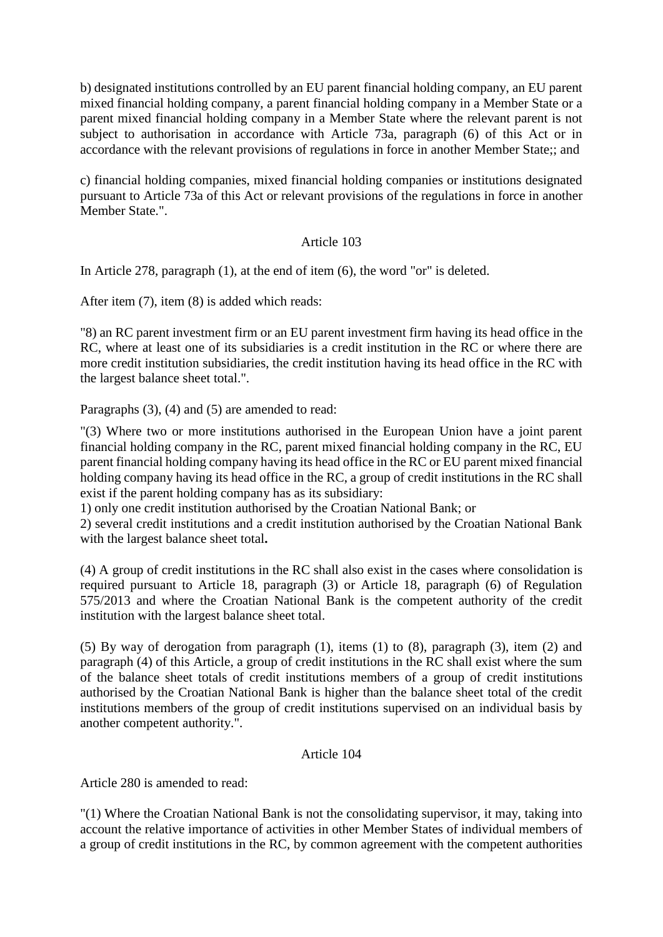b) designated institutions controlled by an EU parent financial holding company, an EU parent mixed financial holding company, a parent financial holding company in a Member State or a parent mixed financial holding company in a Member State where the relevant parent is not subject to authorisation in accordance with Article 73a, paragraph (6) of this Act or in accordance with the relevant provisions of regulations in force in another Member State;; and

c) financial holding companies, mixed financial holding companies or institutions designated pursuant to Article 73a of this Act or relevant provisions of the regulations in force in another Member State.".

# Article 103

In Article 278, paragraph (1), at the end of item (6), the word "or" is deleted.

After item (7), item (8) is added which reads:

"8) an RC parent investment firm or an EU parent investment firm having its head office in the RC, where at least one of its subsidiaries is a credit institution in the RC or where there are more credit institution subsidiaries, the credit institution having its head office in the RC with the largest balance sheet total.".

Paragraphs (3), (4) and (5) are amended to read:

"(3) Where two or more institutions authorised in the European Union have a joint parent financial holding company in the RC, parent mixed financial holding company in the RC, EU parent financial holding company having its head office in the RC or EU parent mixed financial holding company having its head office in the RC, a group of credit institutions in the RC shall exist if the parent holding company has as its subsidiary:

1) only one credit institution authorised by the Croatian National Bank; or

2) several credit institutions and a credit institution authorised by the Croatian National Bank with the largest balance sheet total**.**

(4) A group of credit institutions in the RC shall also exist in the cases where consolidation is required pursuant to Article 18, paragraph (3) or Article 18, paragraph (6) of Regulation 575/2013 and where the Croatian National Bank is the competent authority of the credit institution with the largest balance sheet total.

(5) By way of derogation from paragraph (1), items (1) to (8), paragraph (3), item (2) and paragraph (4) of this Article, a group of credit institutions in the RC shall exist where the sum of the balance sheet totals of credit institutions members of a group of credit institutions authorised by the Croatian National Bank is higher than the balance sheet total of the credit institutions members of the group of credit institutions supervised on an individual basis by another competent authority.".

## Article 104

Article 280 is amended to read:

"(1) Where the Croatian National Bank is not the consolidating supervisor, it may, taking into account the relative importance of activities in other Member States of individual members of a group of credit institutions in the RC, by common agreement with the competent authorities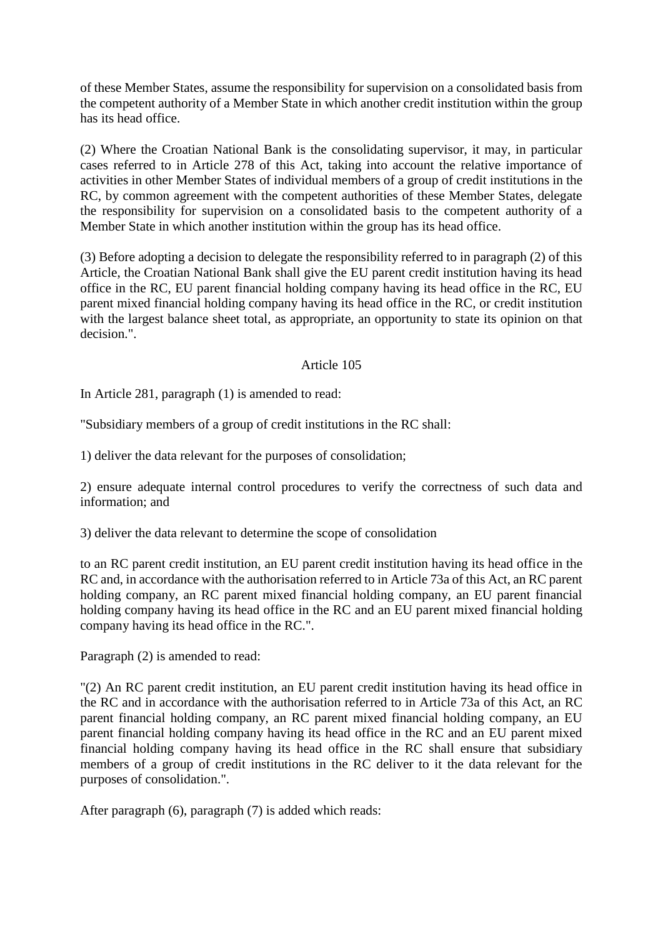of these Member States, assume the responsibility for supervision on a consolidated basis from the competent authority of a Member State in which another credit institution within the group has its head office.

(2) Where the Croatian National Bank is the consolidating supervisor, it may, in particular cases referred to in Article 278 of this Act, taking into account the relative importance of activities in other Member States of individual members of a group of credit institutions in the RC, by common agreement with the competent authorities of these Member States, delegate the responsibility for supervision on a consolidated basis to the competent authority of a Member State in which another institution within the group has its head office.

(3) Before adopting a decision to delegate the responsibility referred to in paragraph (2) of this Article, the Croatian National Bank shall give the EU parent credit institution having its head office in the RC, EU parent financial holding company having its head office in the RC, EU parent mixed financial holding company having its head office in the RC, or credit institution with the largest balance sheet total, as appropriate, an opportunity to state its opinion on that decision.".

# Article 105

In Article 281, paragraph (1) is amended to read:

"Subsidiary members of a group of credit institutions in the RC shall:

1) deliver the data relevant for the purposes of consolidation;

2) ensure adequate internal control procedures to verify the correctness of such data and information; and

3) deliver the data relevant to determine the scope of consolidation

to an RC parent credit institution, an EU parent credit institution having its head office in the RC and, in accordance with the authorisation referred to in Article 73a of this Act, an RC parent holding company, an RC parent mixed financial holding company, an EU parent financial holding company having its head office in the RC and an EU parent mixed financial holding company having its head office in the RC.".

Paragraph (2) is amended to read:

"(2) An RC parent credit institution, an EU parent credit institution having its head office in the RC and in accordance with the authorisation referred to in Article 73a of this Act, an RC parent financial holding company, an RC parent mixed financial holding company, an EU parent financial holding company having its head office in the RC and an EU parent mixed financial holding company having its head office in the RC shall ensure that subsidiary members of a group of credit institutions in the RC deliver to it the data relevant for the purposes of consolidation.".

After paragraph (6), paragraph (7) is added which reads: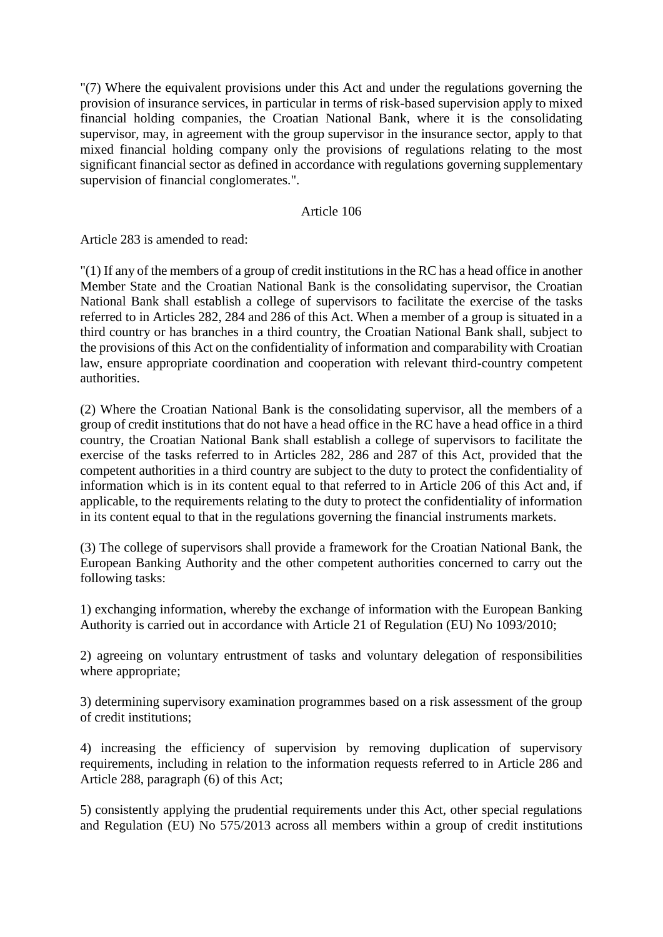"(7) Where the equivalent provisions under this Act and under the regulations governing the provision of insurance services, in particular in terms of risk-based supervision apply to mixed financial holding companies, the Croatian National Bank, where it is the consolidating supervisor, may, in agreement with the group supervisor in the insurance sector, apply to that mixed financial holding company only the provisions of regulations relating to the most significant financial sector as defined in accordance with regulations governing supplementary supervision of financial conglomerates.".

#### Article 106

Article 283 is amended to read:

"(1) If any of the members of a group of credit institutions in the RC has a head office in another Member State and the Croatian National Bank is the consolidating supervisor, the Croatian National Bank shall establish a college of supervisors to facilitate the exercise of the tasks referred to in Articles 282, 284 and 286 of this Act. When a member of a group is situated in a third country or has branches in a third country, the Croatian National Bank shall, subject to the provisions of this Act on the confidentiality of information and comparability with Croatian law, ensure appropriate coordination and cooperation with relevant third-country competent authorities.

(2) Where the Croatian National Bank is the consolidating supervisor, all the members of a group of credit institutions that do not have a head office in the RC have a head office in a third country, the Croatian National Bank shall establish a college of supervisors to facilitate the exercise of the tasks referred to in Articles 282, 286 and 287 of this Act, provided that the competent authorities in a third country are subject to the duty to protect the confidentiality of information which is in its content equal to that referred to in Article 206 of this Act and, if applicable, to the requirements relating to the duty to protect the confidentiality of information in its content equal to that in the regulations governing the financial instruments markets.

(3) The college of supervisors shall provide a framework for the Croatian National Bank, the European Banking Authority and the other competent authorities concerned to carry out the following tasks:

1) exchanging information, whereby the exchange of information with the European Banking Authority is carried out in accordance with Article 21 of Regulation (EU) No 1093/2010;

2) agreeing on voluntary entrustment of tasks and voluntary delegation of responsibilities where appropriate;

3) determining supervisory examination programmes based on a risk assessment of the group of credit institutions;

4) increasing the efficiency of supervision by removing duplication of supervisory requirements, including in relation to the information requests referred to in Article 286 and Article 288, paragraph (6) of this Act;

5) consistently applying the prudential requirements under this Act, other special regulations and Regulation (EU) No 575/2013 across all members within a group of credit institutions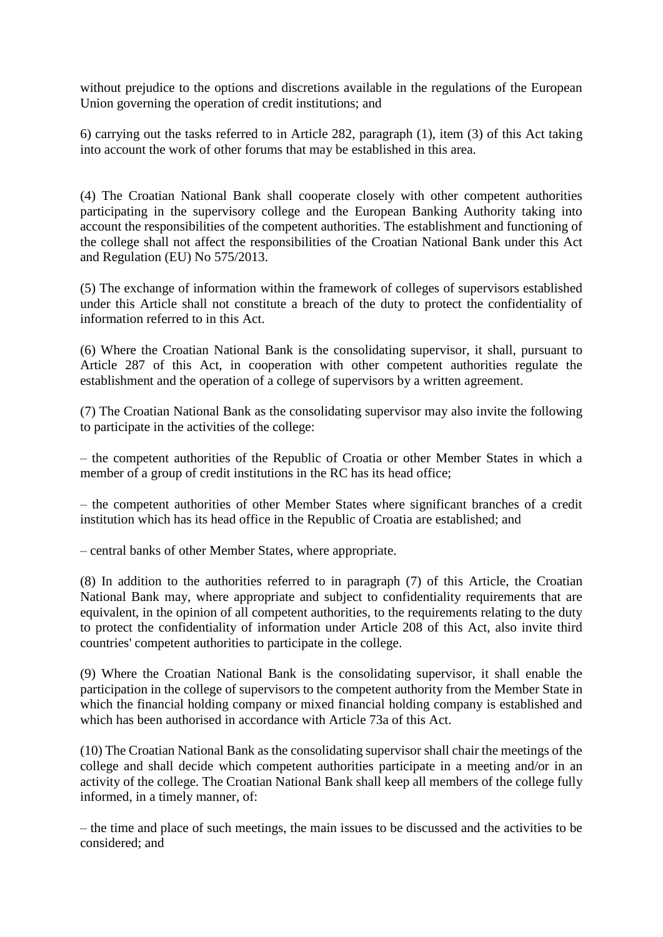without prejudice to the options and discretions available in the regulations of the European Union governing the operation of credit institutions; and

6) carrying out the tasks referred to in Article 282, paragraph (1), item (3) of this Act taking into account the work of other forums that may be established in this area.

(4) The Croatian National Bank shall cooperate closely with other competent authorities participating in the supervisory college and the European Banking Authority taking into account the responsibilities of the competent authorities. The establishment and functioning of the college shall not affect the responsibilities of the Croatian National Bank under this Act and Regulation (EU) No 575/2013.

(5) The exchange of information within the framework of colleges of supervisors established under this Article shall not constitute a breach of the duty to protect the confidentiality of information referred to in this Act.

(6) Where the Croatian National Bank is the consolidating supervisor, it shall, pursuant to Article 287 of this Act, in cooperation with other competent authorities regulate the establishment and the operation of a college of supervisors by a written agreement.

(7) The Croatian National Bank as the consolidating supervisor may also invite the following to participate in the activities of the college:

– the competent authorities of the Republic of Croatia or other Member States in which a member of a group of credit institutions in the RC has its head office;

– the competent authorities of other Member States where significant branches of a credit institution which has its head office in the Republic of Croatia are established; and

– central banks of other Member States, where appropriate.

(8) In addition to the authorities referred to in paragraph (7) of this Article, the Croatian National Bank may, where appropriate and subject to confidentiality requirements that are equivalent, in the opinion of all competent authorities, to the requirements relating to the duty to protect the confidentiality of information under Article 208 of this Act, also invite third countries' competent authorities to participate in the college.

(9) Where the Croatian National Bank is the consolidating supervisor, it shall enable the participation in the college of supervisors to the competent authority from the Member State in which the financial holding company or mixed financial holding company is established and which has been authorised in accordance with Article 73a of this Act.

(10) The Croatian National Bank as the consolidating supervisor shall chair the meetings of the college and shall decide which competent authorities participate in a meeting and/or in an activity of the college. The Croatian National Bank shall keep all members of the college fully informed, in a timely manner, of:

– the time and place of such meetings, the main issues to be discussed and the activities to be considered; and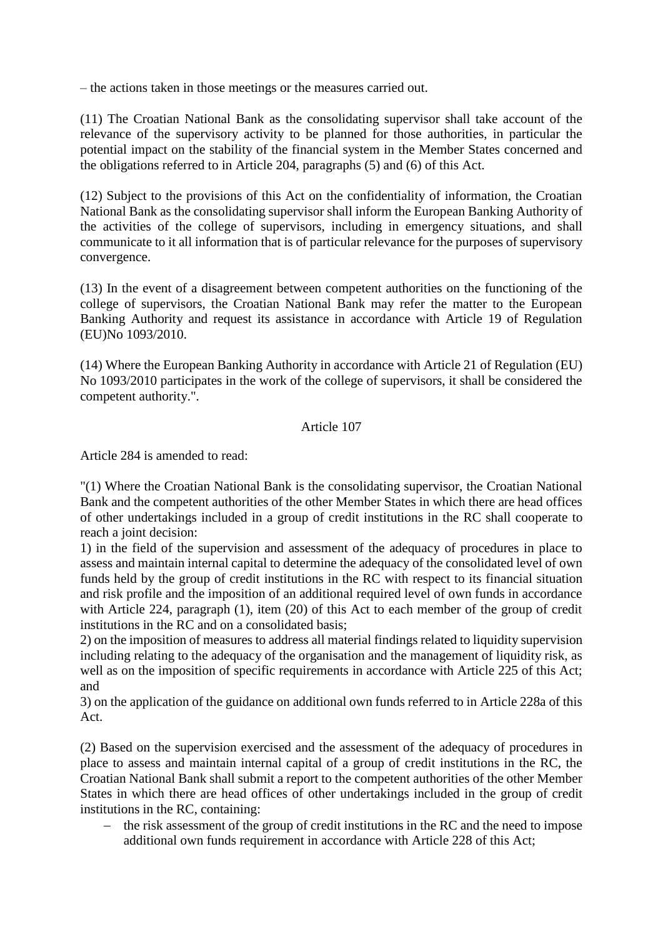– the actions taken in those meetings or the measures carried out.

(11) The Croatian National Bank as the consolidating supervisor shall take account of the relevance of the supervisory activity to be planned for those authorities, in particular the potential impact on the stability of the financial system in the Member States concerned and the obligations referred to in Article 204, paragraphs (5) and (6) of this Act.

(12) Subject to the provisions of this Act on the confidentiality of information, the Croatian National Bank as the consolidating supervisor shall inform the European Banking Authority of the activities of the college of supervisors, including in emergency situations, and shall communicate to it all information that is of particular relevance for the purposes of supervisory convergence.

(13) In the event of a disagreement between competent authorities on the functioning of the college of supervisors, the Croatian National Bank may refer the matter to the European Banking Authority and request its assistance in accordance with Article 19 of Regulation (EU)No 1093/2010.

(14) Where the European Banking Authority in accordance with Article 21 of Regulation (EU) No 1093/2010 participates in the work of the college of supervisors, it shall be considered the competent authority.".

### Article 107

Article 284 is amended to read:

"(1) Where the Croatian National Bank is the consolidating supervisor, the Croatian National Bank and the competent authorities of the other Member States in which there are head offices of other undertakings included in a group of credit institutions in the RC shall cooperate to reach a joint decision:

1) in the field of the supervision and assessment of the adequacy of procedures in place to assess and maintain internal capital to determine the adequacy of the consolidated level of own funds held by the group of credit institutions in the RC with respect to its financial situation and risk profile and the imposition of an additional required level of own funds in accordance with Article 224, paragraph (1), item (20) of this Act to each member of the group of credit institutions in the RC and on a consolidated basis;

2) on the imposition of measures to address all material findings related to liquidity supervision including relating to the adequacy of the organisation and the management of liquidity risk, as well as on the imposition of specific requirements in accordance with Article 225 of this Act; and

3) on the application of the guidance on additional own funds referred to in Article 228a of this Act.

(2) Based on the supervision exercised and the assessment of the adequacy of procedures in place to assess and maintain internal capital of a group of credit institutions in the RC, the Croatian National Bank shall submit a report to the competent authorities of the other Member States in which there are head offices of other undertakings included in the group of credit institutions in the RC, containing:

 the risk assessment of the group of credit institutions in the RC and the need to impose additional own funds requirement in accordance with Article 228 of this Act;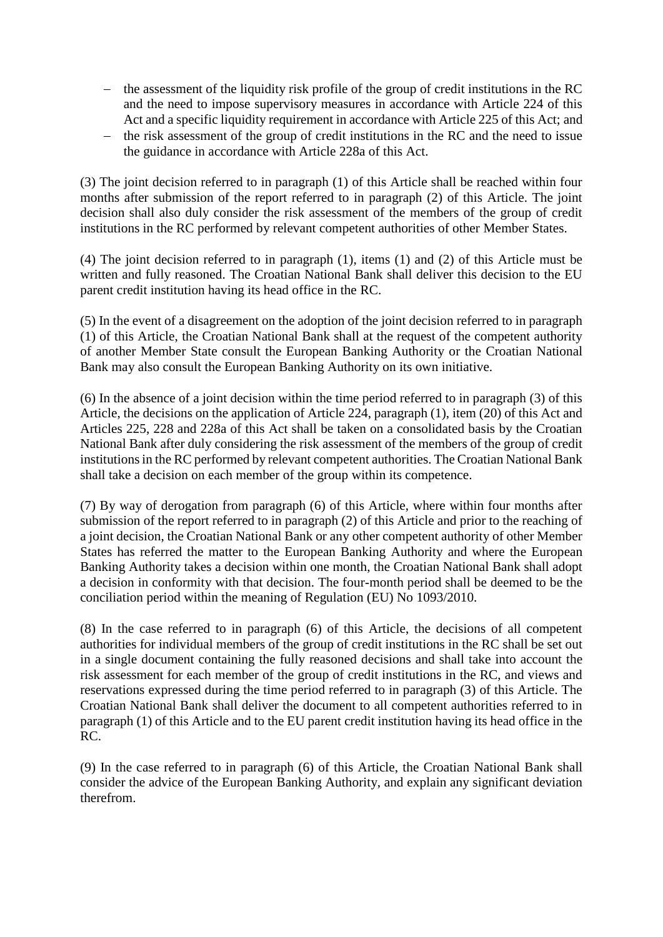- $-$  the assessment of the liquidity risk profile of the group of credit institutions in the RC and the need to impose supervisory measures in accordance with Article 224 of this Act and a specific liquidity requirement in accordance with Article 225 of this Act; and
- the risk assessment of the group of credit institutions in the RC and the need to issue the guidance in accordance with Article 228a of this Act.

(3) The joint decision referred to in paragraph (1) of this Article shall be reached within four months after submission of the report referred to in paragraph (2) of this Article. The joint decision shall also duly consider the risk assessment of the members of the group of credit institutions in the RC performed by relevant competent authorities of other Member States.

(4) The joint decision referred to in paragraph (1), items (1) and (2) of this Article must be written and fully reasoned. The Croatian National Bank shall deliver this decision to the EU parent credit institution having its head office in the RC.

(5) In the event of a disagreement on the adoption of the joint decision referred to in paragraph (1) of this Article, the Croatian National Bank shall at the request of the competent authority of another Member State consult the European Banking Authority or the Croatian National Bank may also consult the European Banking Authority on its own initiative.

(6) In the absence of a joint decision within the time period referred to in paragraph (3) of this Article, the decisions on the application of Article 224, paragraph (1), item (20) of this Act and Articles 225, 228 and 228a of this Act shall be taken on a consolidated basis by the Croatian National Bank after duly considering the risk assessment of the members of the group of credit institutions in the RC performed by relevant competent authorities. The Croatian National Bank shall take a decision on each member of the group within its competence.

(7) By way of derogation from paragraph (6) of this Article, where within four months after submission of the report referred to in paragraph (2) of this Article and prior to the reaching of a joint decision, the Croatian National Bank or any other competent authority of other Member States has referred the matter to the European Banking Authority and where the European Banking Authority takes a decision within one month, the Croatian National Bank shall adopt a decision in conformity with that decision. The four-month period shall be deemed to be the conciliation period within the meaning of Regulation (EU) No 1093/2010.

(8) In the case referred to in paragraph (6) of this Article, the decisions of all competent authorities for individual members of the group of credit institutions in the RC shall be set out in a single document containing the fully reasoned decisions and shall take into account the risk assessment for each member of the group of credit institutions in the RC, and views and reservations expressed during the time period referred to in paragraph (3) of this Article. The Croatian National Bank shall deliver the document to all competent authorities referred to in paragraph (1) of this Article and to the EU parent credit institution having its head office in the RC.

(9) In the case referred to in paragraph (6) of this Article, the Croatian National Bank shall consider the advice of the European Banking Authority, and explain any significant deviation therefrom.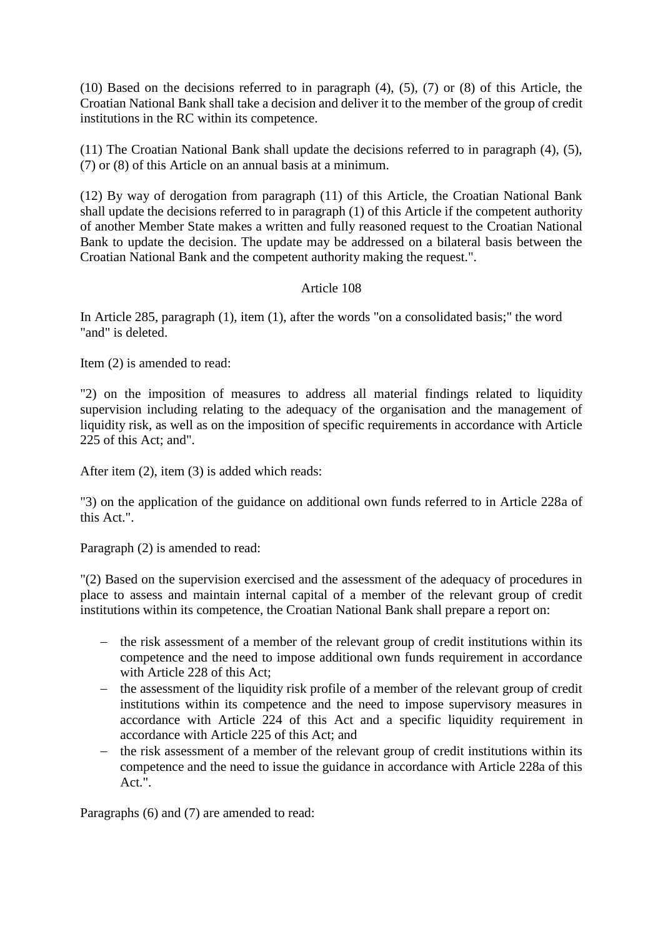(10) Based on the decisions referred to in paragraph (4), (5), (7) or (8) of this Article, the Croatian National Bank shall take a decision and deliver it to the member of the group of credit institutions in the RC within its competence.

(11) The Croatian National Bank shall update the decisions referred to in paragraph (4), (5), (7) or (8) of this Article on an annual basis at a minimum.

(12) By way of derogation from paragraph (11) of this Article, the Croatian National Bank shall update the decisions referred to in paragraph (1) of this Article if the competent authority of another Member State makes a written and fully reasoned request to the Croatian National Bank to update the decision. The update may be addressed on a bilateral basis between the Croatian National Bank and the competent authority making the request.".

### Article 108

In Article 285, paragraph (1), item (1), after the words "on a consolidated basis;" the word "and" is deleted.

Item (2) is amended to read:

"2) on the imposition of measures to address all material findings related to liquidity supervision including relating to the adequacy of the organisation and the management of liquidity risk, as well as on the imposition of specific requirements in accordance with Article 225 of this Act; and".

After item (2), item (3) is added which reads:

"3) on the application of the guidance on additional own funds referred to in Article 228a of this Act.".

Paragraph (2) is amended to read:

"(2) Based on the supervision exercised and the assessment of the adequacy of procedures in place to assess and maintain internal capital of a member of the relevant group of credit institutions within its competence, the Croatian National Bank shall prepare a report on:

- the risk assessment of a member of the relevant group of credit institutions within its competence and the need to impose additional own funds requirement in accordance with Article 228 of this Act;
- the assessment of the liquidity risk profile of a member of the relevant group of credit institutions within its competence and the need to impose supervisory measures in accordance with Article 224 of this Act and a specific liquidity requirement in accordance with Article 225 of this Act; and
- the risk assessment of a member of the relevant group of credit institutions within its competence and the need to issue the guidance in accordance with Article 228a of this Act.".

Paragraphs (6) and (7) are amended to read: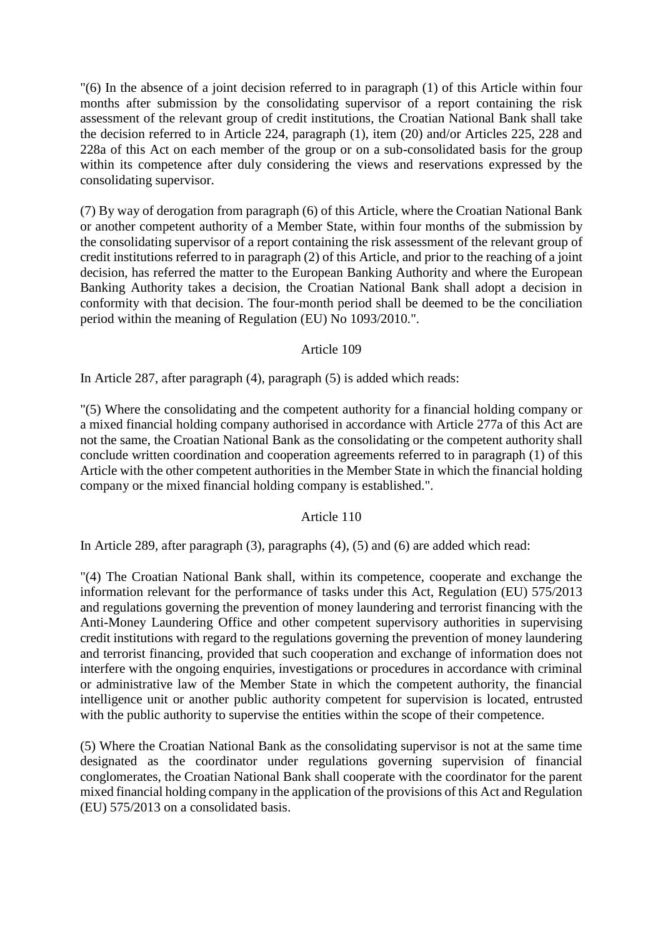"(6) In the absence of a joint decision referred to in paragraph (1) of this Article within four months after submission by the consolidating supervisor of a report containing the risk assessment of the relevant group of credit institutions, the Croatian National Bank shall take the decision referred to in Article 224, paragraph (1), item (20) and/or Articles 225, 228 and 228a of this Act on each member of the group or on a sub-consolidated basis for the group within its competence after duly considering the views and reservations expressed by the consolidating supervisor.

(7) By way of derogation from paragraph (6) of this Article, where the Croatian National Bank or another competent authority of a Member State, within four months of the submission by the consolidating supervisor of a report containing the risk assessment of the relevant group of credit institutions referred to in paragraph (2) of this Article, and prior to the reaching of a joint decision, has referred the matter to the European Banking Authority and where the European Banking Authority takes a decision, the Croatian National Bank shall adopt a decision in conformity with that decision. The four-month period shall be deemed to be the conciliation period within the meaning of Regulation (EU) No 1093/2010.".

## Article 109

In Article 287, after paragraph (4), paragraph (5) is added which reads:

"(5) Where the consolidating and the competent authority for a financial holding company or a mixed financial holding company authorised in accordance with Article 277a of this Act are not the same, the Croatian National Bank as the consolidating or the competent authority shall conclude written coordination and cooperation agreements referred to in paragraph (1) of this Article with the other competent authorities in the Member State in which the financial holding company or the mixed financial holding company is established.".

# Article 110

In Article 289, after paragraph (3), paragraphs (4), (5) and (6) are added which read:

"(4) The Croatian National Bank shall, within its competence, cooperate and exchange the information relevant for the performance of tasks under this Act, Regulation (EU) 575/2013 and regulations governing the prevention of money laundering and terrorist financing with the Anti-Money Laundering Office and other competent supervisory authorities in supervising credit institutions with regard to the regulations governing the prevention of money laundering and terrorist financing, provided that such cooperation and exchange of information does not interfere with the ongoing enquiries, investigations or procedures in accordance with criminal or administrative law of the Member State in which the competent authority, the financial intelligence unit or another public authority competent for supervision is located, entrusted with the public authority to supervise the entities within the scope of their competence.

(5) Where the Croatian National Bank as the consolidating supervisor is not at the same time designated as the coordinator under regulations governing supervision of financial conglomerates, the Croatian National Bank shall cooperate with the coordinator for the parent mixed financial holding company in the application of the provisions of this Act and Regulation (EU) 575/2013 on a consolidated basis.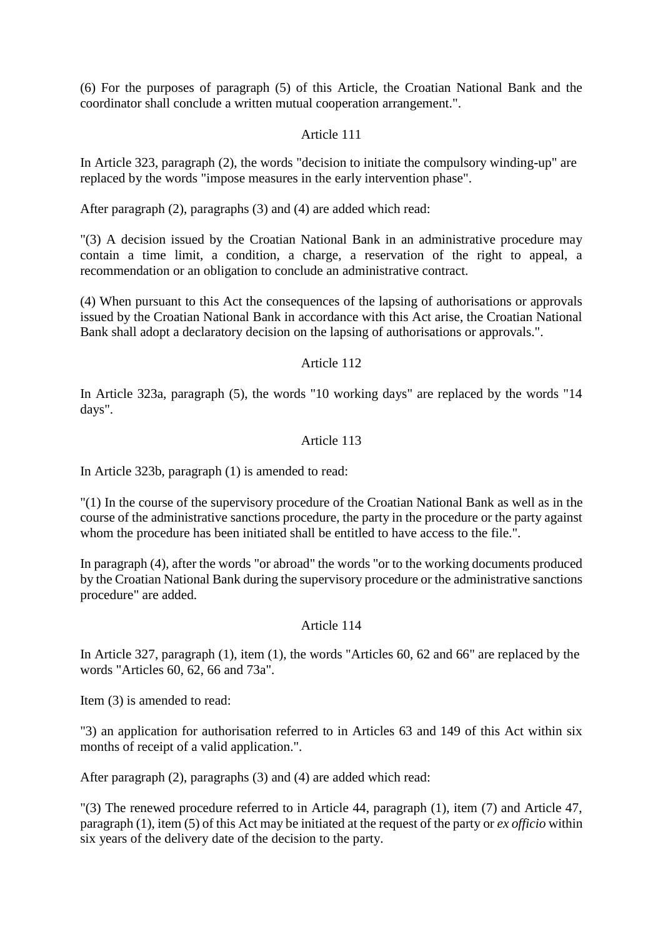(6) For the purposes of paragraph (5) of this Article, the Croatian National Bank and the coordinator shall conclude a written mutual cooperation arrangement.".

### Article 111

In Article 323, paragraph (2), the words "decision to initiate the compulsory winding-up" are replaced by the words "impose measures in the early intervention phase".

After paragraph (2), paragraphs (3) and (4) are added which read:

"(3) A decision issued by the Croatian National Bank in an administrative procedure may contain a time limit, a condition, a charge, a reservation of the right to appeal, a recommendation or an obligation to conclude an administrative contract.

(4) When pursuant to this Act the consequences of the lapsing of authorisations or approvals issued by the Croatian National Bank in accordance with this Act arise, the Croatian National Bank shall adopt a declaratory decision on the lapsing of authorisations or approvals.".

## Article 112

In Article 323a, paragraph (5), the words "10 working days" are replaced by the words "14 days".

## Article 113

In Article 323b, paragraph (1) is amended to read:

"(1) In the course of the supervisory procedure of the Croatian National Bank as well as in the course of the administrative sanctions procedure, the party in the procedure or the party against whom the procedure has been initiated shall be entitled to have access to the file.".

In paragraph (4), after the words "or abroad" the words "or to the working documents produced by the Croatian National Bank during the supervisory procedure or the administrative sanctions procedure" are added.

### Article 114

In Article 327, paragraph (1), item (1), the words "Articles 60, 62 and 66" are replaced by the words "Articles 60, 62, 66 and 73a".

Item (3) is amended to read:

"3) an application for authorisation referred to in Articles 63 and 149 of this Act within six months of receipt of a valid application.".

After paragraph (2), paragraphs (3) and (4) are added which read:

"(3) The renewed procedure referred to in Article 44, paragraph (1), item (7) and Article 47, paragraph (1), item (5) of this Act may be initiated at the request of the party or *ex officio* within six years of the delivery date of the decision to the party.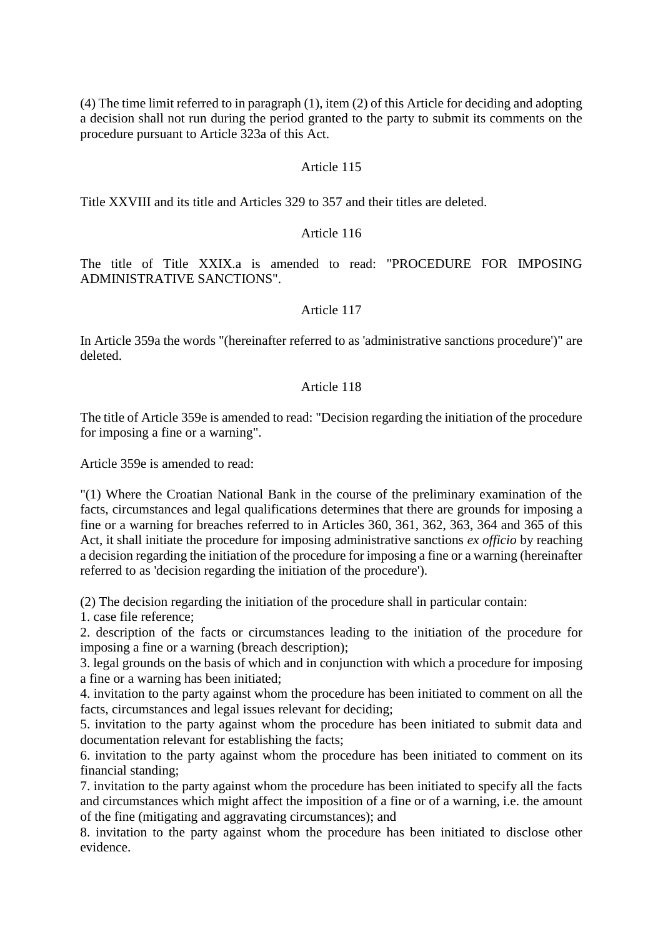(4) The time limit referred to in paragraph (1), item (2) of this Article for deciding and adopting a decision shall not run during the period granted to the party to submit its comments on the procedure pursuant to Article 323a of this Act.

### Article 115

Title XXVIII and its title and Articles 329 to 357 and their titles are deleted.

#### Article 116

The title of Title XXIX.a is amended to read: "PROCEDURE FOR IMPOSING ADMINISTRATIVE SANCTIONS".

#### Article 117

In Article 359a the words "(hereinafter referred to as 'administrative sanctions procedure')" are deleted.

### Article 118

The title of Article 359e is amended to read: "Decision regarding the initiation of the procedure for imposing a fine or a warning".

Article 359e is amended to read:

"(1) Where the Croatian National Bank in the course of the preliminary examination of the facts, circumstances and legal qualifications determines that there are grounds for imposing a fine or a warning for breaches referred to in Articles 360, 361, 362, 363, 364 and 365 of this Act, it shall initiate the procedure for imposing administrative sanctions *ex officio* by reaching a decision regarding the initiation of the procedure for imposing a fine or a warning (hereinafter referred to as 'decision regarding the initiation of the procedure').

(2) The decision regarding the initiation of the procedure shall in particular contain:

1. case file reference;

2. description of the facts or circumstances leading to the initiation of the procedure for imposing a fine or a warning (breach description);

3. legal grounds on the basis of which and in conjunction with which a procedure for imposing a fine or a warning has been initiated;

4. invitation to the party against whom the procedure has been initiated to comment on all the facts, circumstances and legal issues relevant for deciding;

5. invitation to the party against whom the procedure has been initiated to submit data and documentation relevant for establishing the facts;

6. invitation to the party against whom the procedure has been initiated to comment on its financial standing;

7. invitation to the party against whom the procedure has been initiated to specify all the facts and circumstances which might affect the imposition of a fine or of a warning, i.e. the amount of the fine (mitigating and aggravating circumstances); and

8. invitation to the party against whom the procedure has been initiated to disclose other evidence.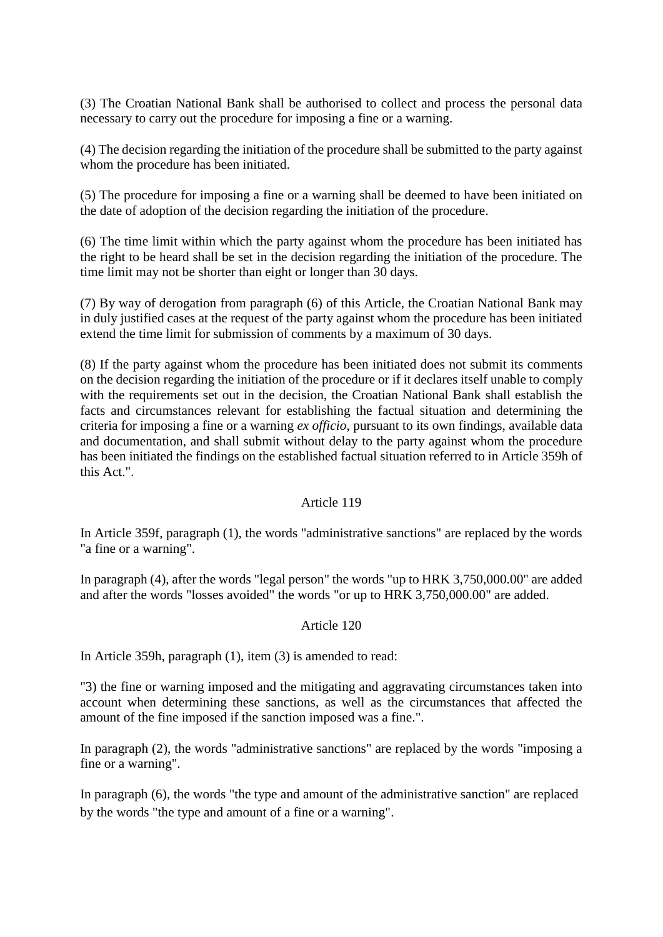(3) The Croatian National Bank shall be authorised to collect and process the personal data necessary to carry out the procedure for imposing a fine or a warning.

(4) The decision regarding the initiation of the procedure shall be submitted to the party against whom the procedure has been initiated.

(5) The procedure for imposing a fine or a warning shall be deemed to have been initiated on the date of adoption of the decision regarding the initiation of the procedure.

(6) The time limit within which the party against whom the procedure has been initiated has the right to be heard shall be set in the decision regarding the initiation of the procedure. The time limit may not be shorter than eight or longer than 30 days.

(7) By way of derogation from paragraph (6) of this Article, the Croatian National Bank may in duly justified cases at the request of the party against whom the procedure has been initiated extend the time limit for submission of comments by a maximum of 30 days.

(8) If the party against whom the procedure has been initiated does not submit its comments on the decision regarding the initiation of the procedure or if it declares itself unable to comply with the requirements set out in the decision, the Croatian National Bank shall establish the facts and circumstances relevant for establishing the factual situation and determining the criteria for imposing a fine or a warning *ex officio*, pursuant to its own findings, available data and documentation, and shall submit without delay to the party against whom the procedure has been initiated the findings on the established factual situation referred to in Article 359h of this Act.".

### Article 119

In Article 359f, paragraph (1), the words "administrative sanctions" are replaced by the words "a fine or a warning".

In paragraph (4), after the words "legal person" the words "up to HRK 3,750,000.00" are added and after the words "losses avoided" the words "or up to HRK 3,750,000.00" are added.

### Article 120

In Article 359h, paragraph (1), item (3) is amended to read:

"3) the fine or warning imposed and the mitigating and aggravating circumstances taken into account when determining these sanctions, as well as the circumstances that affected the amount of the fine imposed if the sanction imposed was a fine.".

In paragraph (2), the words "administrative sanctions" are replaced by the words "imposing a fine or a warning".

In paragraph (6), the words "the type and amount of the administrative sanction" are replaced by the words "the type and amount of a fine or a warning".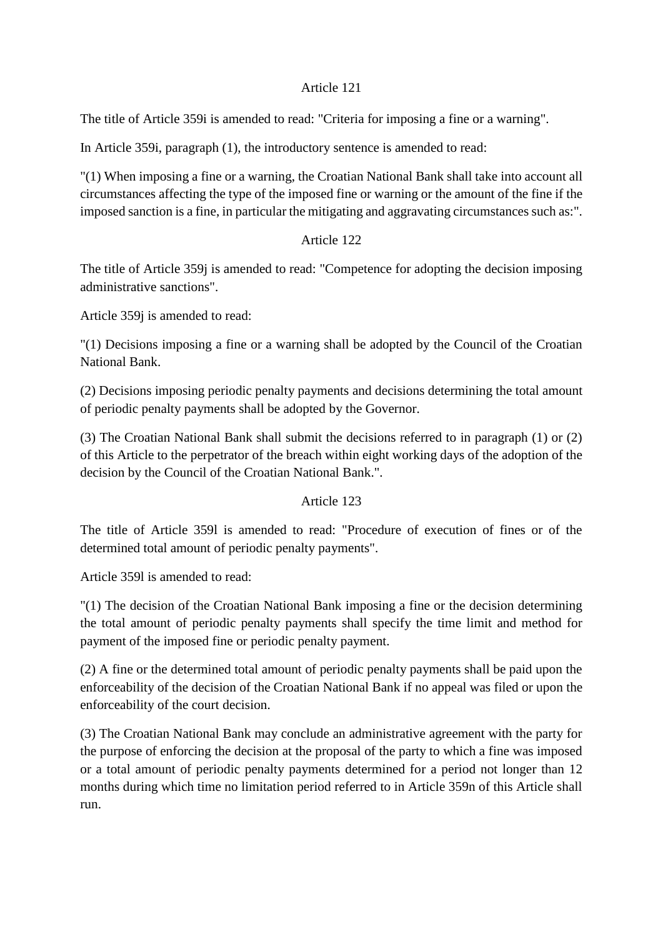# Article 121

The title of Article 359i is amended to read: "Criteria for imposing a fine or a warning".

In Article 359i, paragraph (1), the introductory sentence is amended to read:

"(1) When imposing a fine or a warning, the Croatian National Bank shall take into account all circumstances affecting the type of the imposed fine or warning or the amount of the fine if the imposed sanction is a fine, in particular the mitigating and aggravating circumstances such as:".

## Article 122

The title of Article 359j is amended to read: "Competence for adopting the decision imposing administrative sanctions".

Article 359j is amended to read:

"(1) Decisions imposing a fine or a warning shall be adopted by the Council of the Croatian National Bank.

(2) Decisions imposing periodic penalty payments and decisions determining the total amount of periodic penalty payments shall be adopted by the Governor.

(3) The Croatian National Bank shall submit the decisions referred to in paragraph (1) or (2) of this Article to the perpetrator of the breach within eight working days of the adoption of the decision by the Council of the Croatian National Bank.".

### Article 123

The title of Article 359l is amended to read: "Procedure of execution of fines or of the determined total amount of periodic penalty payments".

Article 359l is amended to read:

"(1) The decision of the Croatian National Bank imposing a fine or the decision determining the total amount of periodic penalty payments shall specify the time limit and method for payment of the imposed fine or periodic penalty payment.

(2) A fine or the determined total amount of periodic penalty payments shall be paid upon the enforceability of the decision of the Croatian National Bank if no appeal was filed or upon the enforceability of the court decision.

(3) The Croatian National Bank may conclude an administrative agreement with the party for the purpose of enforcing the decision at the proposal of the party to which a fine was imposed or a total amount of periodic penalty payments determined for a period not longer than 12 months during which time no limitation period referred to in Article 359n of this Article shall run.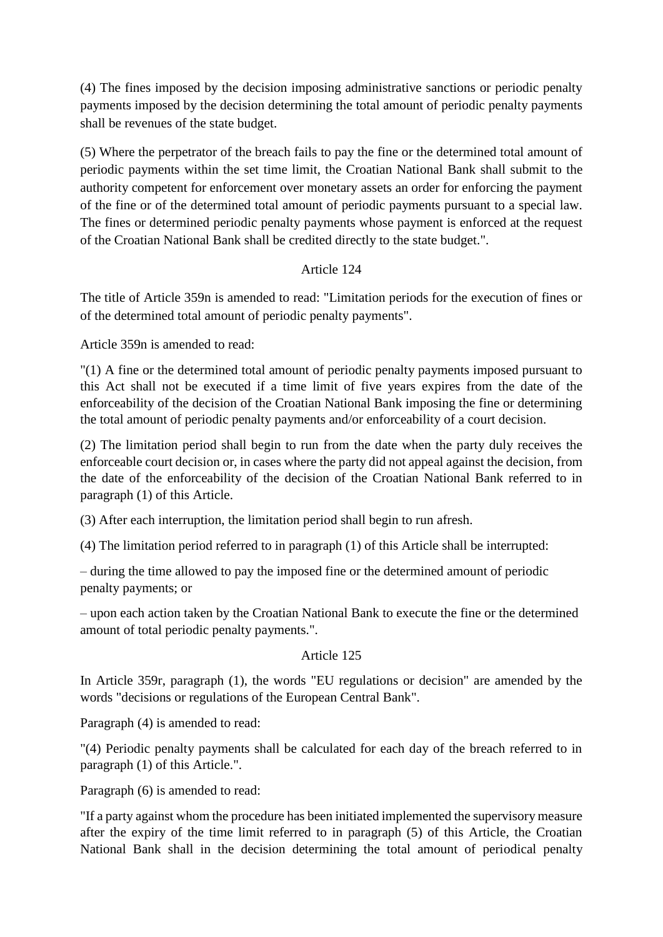(4) The fines imposed by the decision imposing administrative sanctions or periodic penalty payments imposed by the decision determining the total amount of periodic penalty payments shall be revenues of the state budget.

(5) Where the perpetrator of the breach fails to pay the fine or the determined total amount of periodic payments within the set time limit, the Croatian National Bank shall submit to the authority competent for enforcement over monetary assets an order for enforcing the payment of the fine or of the determined total amount of periodic payments pursuant to a special law. The fines or determined periodic penalty payments whose payment is enforced at the request of the Croatian National Bank shall be credited directly to the state budget.".

# Article 124

The title of Article 359n is amended to read: "Limitation periods for the execution of fines or of the determined total amount of periodic penalty payments".

Article 359n is amended to read:

"(1) A fine or the determined total amount of periodic penalty payments imposed pursuant to this Act shall not be executed if a time limit of five years expires from the date of the enforceability of the decision of the Croatian National Bank imposing the fine or determining the total amount of periodic penalty payments and/or enforceability of a court decision.

(2) The limitation period shall begin to run from the date when the party duly receives the enforceable court decision or, in cases where the party did not appeal against the decision, from the date of the enforceability of the decision of the Croatian National Bank referred to in paragraph (1) of this Article.

(3) After each interruption, the limitation period shall begin to run afresh.

(4) The limitation period referred to in paragraph (1) of this Article shall be interrupted:

– during the time allowed to pay the imposed fine or the determined amount of periodic penalty payments; or

– upon each action taken by the Croatian National Bank to execute the fine or the determined amount of total periodic penalty payments.".

# Article 125

In Article 359r, paragraph (1), the words "EU regulations or decision" are amended by the words "decisions or regulations of the European Central Bank".

Paragraph (4) is amended to read:

"(4) Periodic penalty payments shall be calculated for each day of the breach referred to in paragraph (1) of this Article.".

Paragraph (6) is amended to read:

"If a party against whom the procedure has been initiated implemented the supervisory measure after the expiry of the time limit referred to in paragraph (5) of this Article, the Croatian National Bank shall in the decision determining the total amount of periodical penalty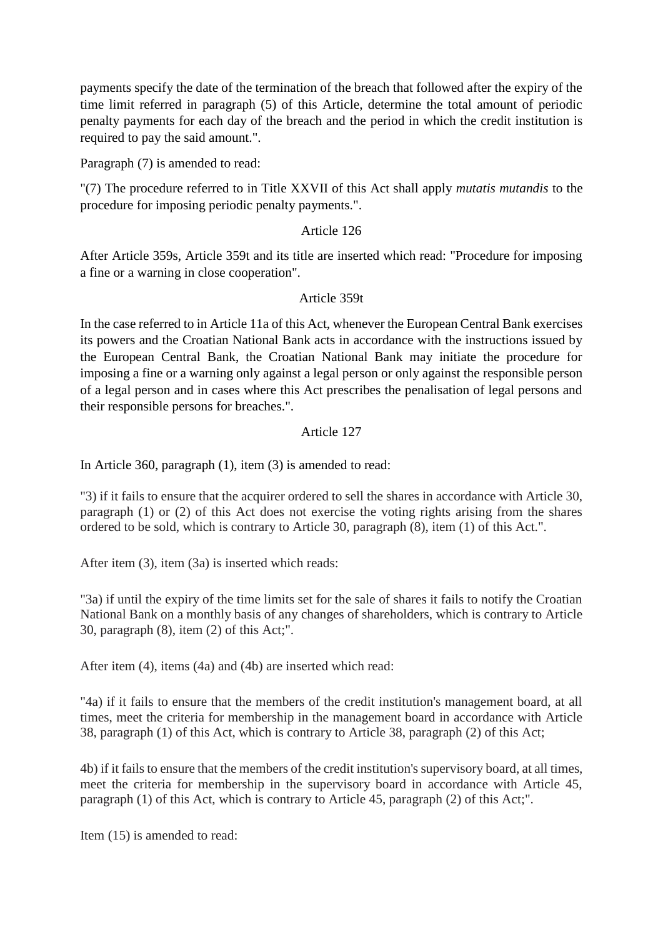payments specify the date of the termination of the breach that followed after the expiry of the time limit referred in paragraph (5) of this Article, determine the total amount of periodic penalty payments for each day of the breach and the period in which the credit institution is required to pay the said amount.".

Paragraph (7) is amended to read:

"(7) The procedure referred to in Title XXVII of this Act shall apply *mutatis mutandis* to the procedure for imposing periodic penalty payments.".

## Article 126

After Article 359s, Article 359t and its title are inserted which read: "Procedure for imposing a fine or a warning in close cooperation".

### Article 359t

In the case referred to in Article 11a of this Act, whenever the European Central Bank exercises its powers and the Croatian National Bank acts in accordance with the instructions issued by the European Central Bank, the Croatian National Bank may initiate the procedure for imposing a fine or a warning only against a legal person or only against the responsible person of a legal person and in cases where this Act prescribes the penalisation of legal persons and their responsible persons for breaches.".

## Article 127

In Article 360, paragraph (1), item (3) is amended to read:

"3) if it fails to ensure that the acquirer ordered to sell the shares in accordance with Article 30, paragraph (1) or (2) of this Act does not exercise the voting rights arising from the shares ordered to be sold, which is contrary to Article 30, paragraph (8), item (1) of this Act.".

After item (3), item (3a) is inserted which reads:

"3a) if until the expiry of the time limits set for the sale of shares it fails to notify the Croatian National Bank on a monthly basis of any changes of shareholders, which is contrary to Article 30, paragraph (8), item (2) of this Act;".

After item (4), items (4a) and (4b) are inserted which read:

"4a) if it fails to ensure that the members of the credit institution's management board, at all times, meet the criteria for membership in the management board in accordance with Article 38, paragraph (1) of this Act, which is contrary to Article 38, paragraph (2) of this Act;

4b) if it fails to ensure that the members of the credit institution's supervisory board, at all times, meet the criteria for membership in the supervisory board in accordance with Article 45, paragraph (1) of this Act, which is contrary to Article 45, paragraph (2) of this Act;".

Item (15) is amended to read: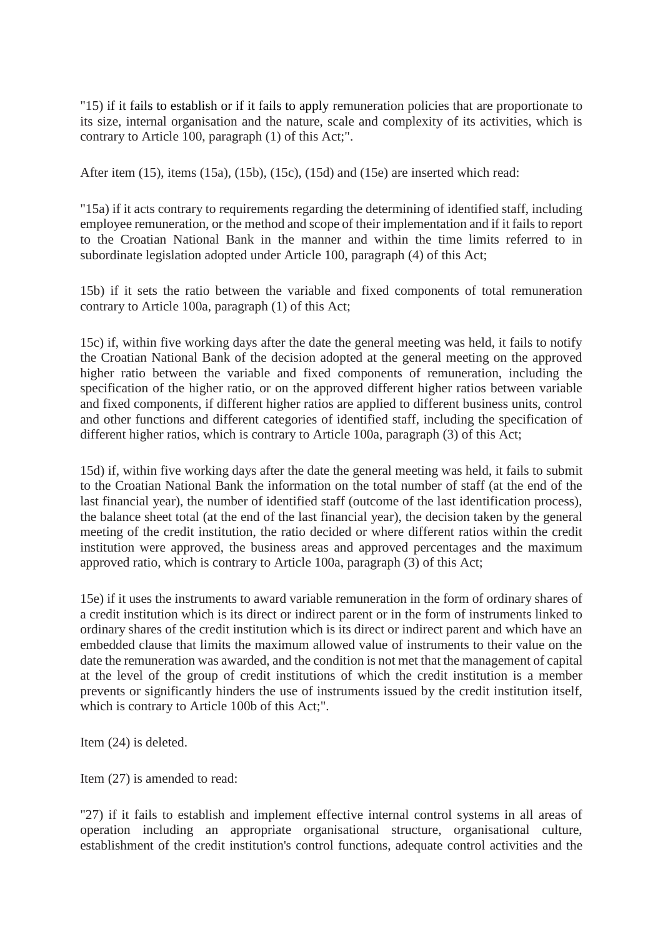"15) if it fails to establish or if it fails to apply remuneration policies that are proportionate to its size, internal organisation and the nature, scale and complexity of its activities, which is contrary to Article 100, paragraph (1) of this Act;".

After item (15), items (15a), (15b), (15c), (15d) and (15e) are inserted which read:

"15a) if it acts contrary to requirements regarding the determining of identified staff, including employee remuneration, or the method and scope of their implementation and if it fails to report to the Croatian National Bank in the manner and within the time limits referred to in subordinate legislation adopted under Article 100, paragraph (4) of this Act;

15b) if it sets the ratio between the variable and fixed components of total remuneration contrary to Article 100a, paragraph (1) of this Act;

15c) if, within five working days after the date the general meeting was held, it fails to notify the Croatian National Bank of the decision adopted at the general meeting on the approved higher ratio between the variable and fixed components of remuneration, including the specification of the higher ratio, or on the approved different higher ratios between variable and fixed components, if different higher ratios are applied to different business units, control and other functions and different categories of identified staff, including the specification of different higher ratios, which is contrary to Article 100a, paragraph (3) of this Act;

15d) if, within five working days after the date the general meeting was held, it fails to submit to the Croatian National Bank the information on the total number of staff (at the end of the last financial year), the number of identified staff (outcome of the last identification process), the balance sheet total (at the end of the last financial year), the decision taken by the general meeting of the credit institution, the ratio decided or where different ratios within the credit institution were approved, the business areas and approved percentages and the maximum approved ratio, which is contrary to Article 100a, paragraph (3) of this Act;

15e) if it uses the instruments to award variable remuneration in the form of ordinary shares of a credit institution which is its direct or indirect parent or in the form of instruments linked to ordinary shares of the credit institution which is its direct or indirect parent and which have an embedded clause that limits the maximum allowed value of instruments to their value on the date the remuneration was awarded, and the condition is not met that the management of capital at the level of the group of credit institutions of which the credit institution is a member prevents or significantly hinders the use of instruments issued by the credit institution itself, which is contrary to Article 100b of this Act;".

Item (24) is deleted.

Item (27) is amended to read:

"27) if it fails to establish and implement effective internal control systems in all areas of operation including an appropriate organisational structure, organisational culture, establishment of the credit institution's control functions, adequate control activities and the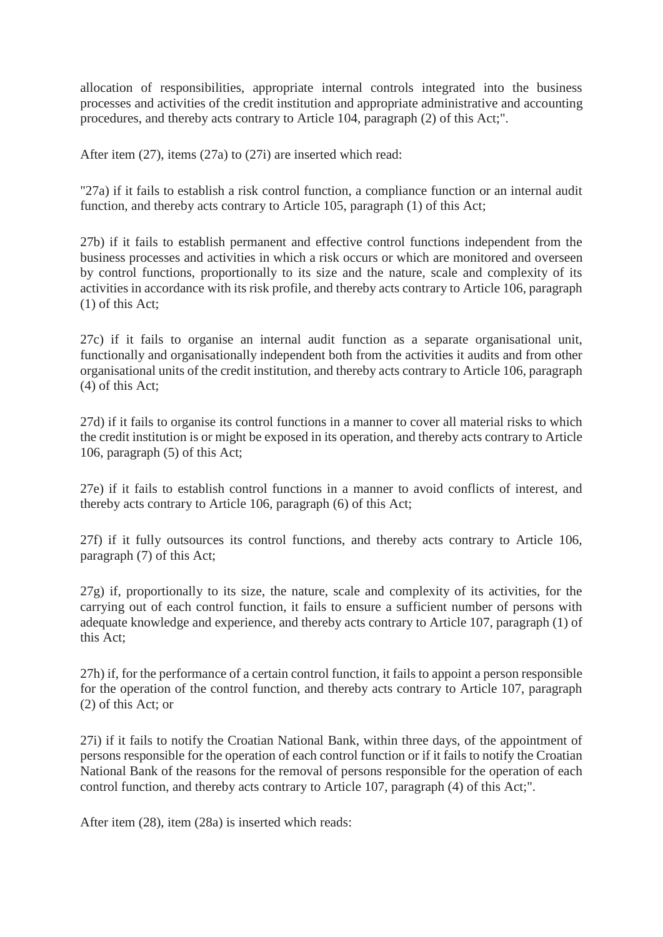allocation of responsibilities, appropriate internal controls integrated into the business processes and activities of the credit institution and appropriate administrative and accounting procedures, and thereby acts contrary to Article 104, paragraph (2) of this Act;".

After item (27), items (27a) to (27i) are inserted which read:

"27a) if it fails to establish a risk control function, a compliance function or an internal audit function, and thereby acts contrary to Article 105, paragraph (1) of this Act;

27b) if it fails to establish permanent and effective control functions independent from the business processes and activities in which a risk occurs or which are monitored and overseen by control functions, proportionally to its size and the nature, scale and complexity of its activities in accordance with its risk profile, and thereby acts contrary to Article 106, paragraph (1) of this Act;

27c) if it fails to organise an internal audit function as a separate organisational unit, functionally and organisationally independent both from the activities it audits and from other organisational units of the credit institution, and thereby acts contrary to Article 106, paragraph (4) of this Act;

27d) if it fails to organise its control functions in a manner to cover all material risks to which the credit institution is or might be exposed in its operation, and thereby acts contrary to Article 106, paragraph (5) of this Act;

27e) if it fails to establish control functions in a manner to avoid conflicts of interest, and thereby acts contrary to Article 106, paragraph (6) of this Act;

27f) if it fully outsources its control functions, and thereby acts contrary to Article 106, paragraph (7) of this Act;

27g) if, proportionally to its size, the nature, scale and complexity of its activities, for the carrying out of each control function, it fails to ensure a sufficient number of persons with adequate knowledge and experience, and thereby acts contrary to Article 107, paragraph (1) of this Act;

27h) if, for the performance of a certain control function, it fails to appoint a person responsible for the operation of the control function, and thereby acts contrary to Article 107, paragraph (2) of this Act; or

27i) if it fails to notify the Croatian National Bank, within three days, of the appointment of persons responsible for the operation of each control function or if it fails to notify the Croatian National Bank of the reasons for the removal of persons responsible for the operation of each control function, and thereby acts contrary to Article 107, paragraph (4) of this Act;".

After item (28), item (28a) is inserted which reads: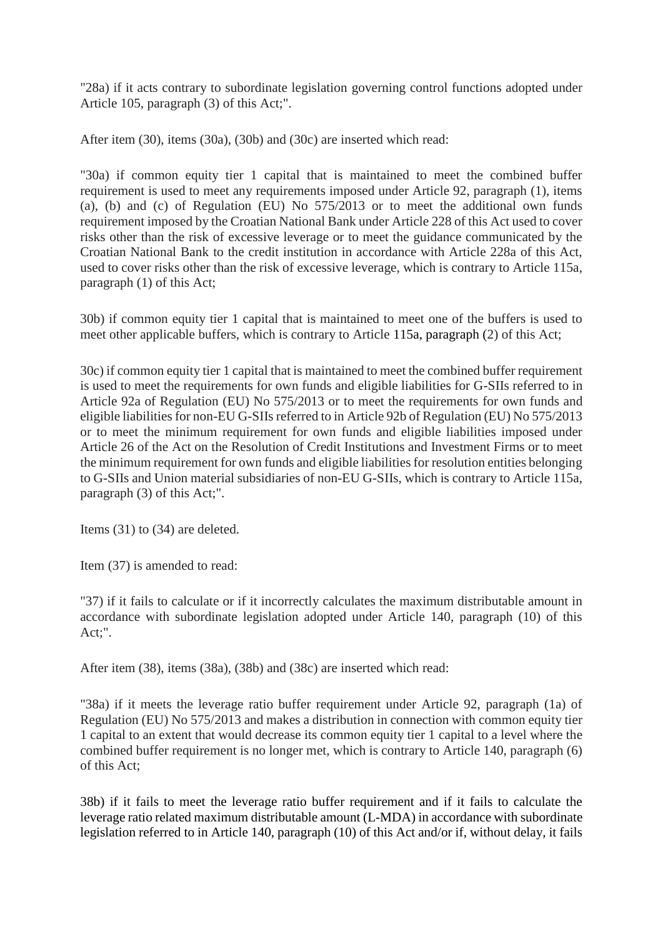"28a) if it acts contrary to subordinate legislation governing control functions adopted under Article 105, paragraph (3) of this Act;".

After item (30), items (30a), (30b) and (30c) are inserted which read:

"30a) if common equity tier 1 capital that is maintained to meet the combined buffer requirement is used to meet any requirements imposed under Article 92, paragraph (1), items (a), (b) and (c) of Regulation (EU) No 575/2013 or to meet the additional own funds requirement imposed by the Croatian National Bank under Article 228 of this Act used to cover risks other than the risk of excessive leverage or to meet the guidance communicated by the Croatian National Bank to the credit institution in accordance with Article 228a of this Act, used to cover risks other than the risk of excessive leverage, which is contrary to Article 115a, paragraph (1) of this Act;

30b) if common equity tier 1 capital that is maintained to meet one of the buffers is used to meet other applicable buffers, which is contrary to Article 115a, paragraph (2) of this Act;

30c) if common equity tier 1 capital that is maintained to meet the combined buffer requirement is used to meet the requirements for own funds and eligible liabilities for G-SIIs referred to in Article 92a of Regulation (EU) No 575/2013 or to meet the requirements for own funds and eligible liabilities for non-EU G-SIIs referred to in Article 92b of Regulation (EU) No 575/2013 or to meet the minimum requirement for own funds and eligible liabilities imposed under Article 26 of the Act on the Resolution of Credit Institutions and Investment Firms or to meet the minimum requirement for own funds and eligible liabilities for resolution entities belonging to G-SIIs and Union material subsidiaries of non-EU G-SIIs, which is contrary to Article 115a, paragraph (3) of this Act;".

Items (31) to (34) are deleted.

Item (37) is amended to read:

"37) if it fails to calculate or if it incorrectly calculates the maximum distributable amount in accordance with subordinate legislation adopted under Article 140, paragraph (10) of this Act;".

After item (38), items (38a), (38b) and (38c) are inserted which read:

"38a) if it meets the leverage ratio buffer requirement under Article 92, paragraph (1a) of Regulation (EU) No 575/2013 and makes a distribution in connection with common equity tier 1 capital to an extent that would decrease its common equity tier 1 capital to a level where the combined buffer requirement is no longer met, which is contrary to Article 140, paragraph (6) of this Act;

38b) if it fails to meet the leverage ratio buffer requirement and if it fails to calculate the leverage ratio related maximum distributable amount (L-MDA) in accordance with subordinate legislation referred to in Article 140, paragraph (10) of this Act and/or if, without delay, it fails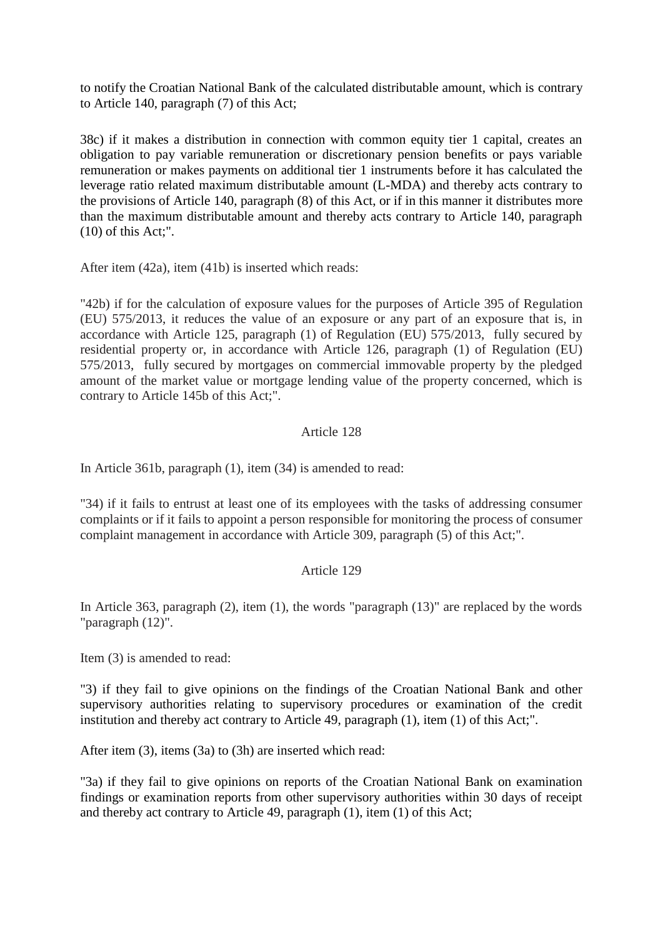to notify the Croatian National Bank of the calculated distributable amount, which is contrary to Article 140, paragraph (7) of this Act;

38c) if it makes a distribution in connection with common equity tier 1 capital, creates an obligation to pay variable remuneration or discretionary pension benefits or pays variable remuneration or makes payments on additional tier 1 instruments before it has calculated the leverage ratio related maximum distributable amount (L-MDA) and thereby acts contrary to the provisions of Article 140, paragraph (8) of this Act, or if in this manner it distributes more than the maximum distributable amount and thereby acts contrary to Article 140, paragraph (10) of this Act;".

After item (42a), item (41b) is inserted which reads:

"42b) if for the calculation of exposure values for the purposes of Article 395 of Regulation (EU) 575/2013, it reduces the value of an exposure or any part of an exposure that is, in accordance with Article 125, paragraph (1) of Regulation (EU) 575/2013, fully secured by residential property or, in accordance with Article 126, paragraph (1) of Regulation (EU) 575/2013, fully secured by mortgages on commercial immovable property by the pledged amount of the market value or mortgage lending value of the property concerned, which is contrary to Article 145b of this Act;".

## Article 128

In Article 361b, paragraph (1), item (34) is amended to read:

"34) if it fails to entrust at least one of its employees with the tasks of addressing consumer complaints or if it fails to appoint a person responsible for monitoring the process of consumer complaint management in accordance with Article 309, paragraph (5) of this Act;".

### Article 129

In Article 363, paragraph (2), item (1), the words "paragraph (13)" are replaced by the words "paragraph (12)".

Item (3) is amended to read:

"3) if they fail to give opinions on the findings of the Croatian National Bank and other supervisory authorities relating to supervisory procedures or examination of the credit institution and thereby act contrary to Article 49, paragraph (1), item (1) of this Act;".

After item (3), items (3a) to (3h) are inserted which read:

"3a) if they fail to give opinions on reports of the Croatian National Bank on examination findings or examination reports from other supervisory authorities within 30 days of receipt and thereby act contrary to Article 49, paragraph (1), item (1) of this Act;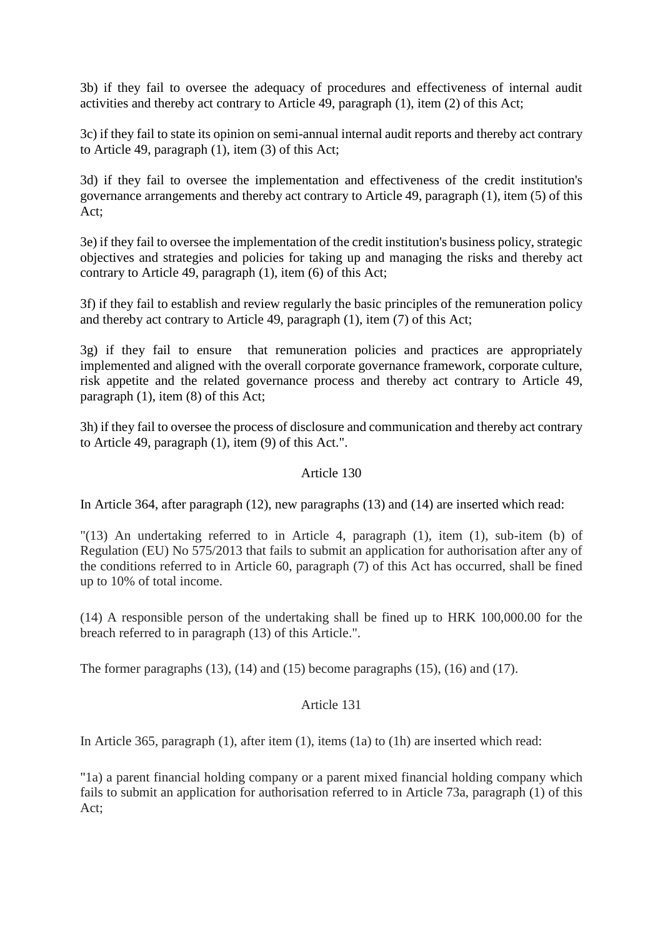3b) if they fail to oversee the adequacy of procedures and effectiveness of internal audit activities and thereby act contrary to Article 49, paragraph (1), item (2) of this Act;

3c) if they fail to state its opinion on semi-annual internal audit reports and thereby act contrary to Article 49, paragraph (1), item (3) of this Act;

3d) if they fail to oversee the implementation and effectiveness of the credit institution's governance arrangements and thereby act contrary to Article 49, paragraph (1), item (5) of this Act;

3e) if they fail to oversee the implementation of the credit institution's business policy, strategic objectives and strategies and policies for taking up and managing the risks and thereby act contrary to Article 49, paragraph (1), item (6) of this Act;

3f) if they fail to establish and review regularly the basic principles of the remuneration policy and thereby act contrary to Article 49, paragraph (1), item (7) of this Act;

3g) if they fail to ensure that remuneration policies and practices are appropriately implemented and aligned with the overall corporate governance framework, corporate culture, risk appetite and the related governance process and thereby act contrary to Article 49, paragraph (1), item (8) of this Act;

3h) if they fail to oversee the process of disclosure and communication and thereby act contrary to Article 49, paragraph (1), item (9) of this Act.".

## Article 130

In Article 364, after paragraph (12), new paragraphs (13) and (14) are inserted which read:

"(13) An undertaking referred to in Article 4, paragraph (1), item (1), sub-item (b) of Regulation (EU) No 575/2013 that fails to submit an application for authorisation after any of the conditions referred to in Article 60, paragraph (7) of this Act has occurred, shall be fined up to 10% of total income.

(14) A responsible person of the undertaking shall be fined up to HRK 100,000.00 for the breach referred to in paragraph (13) of this Article.".

The former paragraphs (13), (14) and (15) become paragraphs (15), (16) and (17).

### Article 131

In Article 365, paragraph (1), after item (1), items (1a) to (1h) are inserted which read:

"1a) a parent financial holding company or a parent mixed financial holding company which fails to submit an application for authorisation referred to in Article 73a, paragraph (1) of this Act;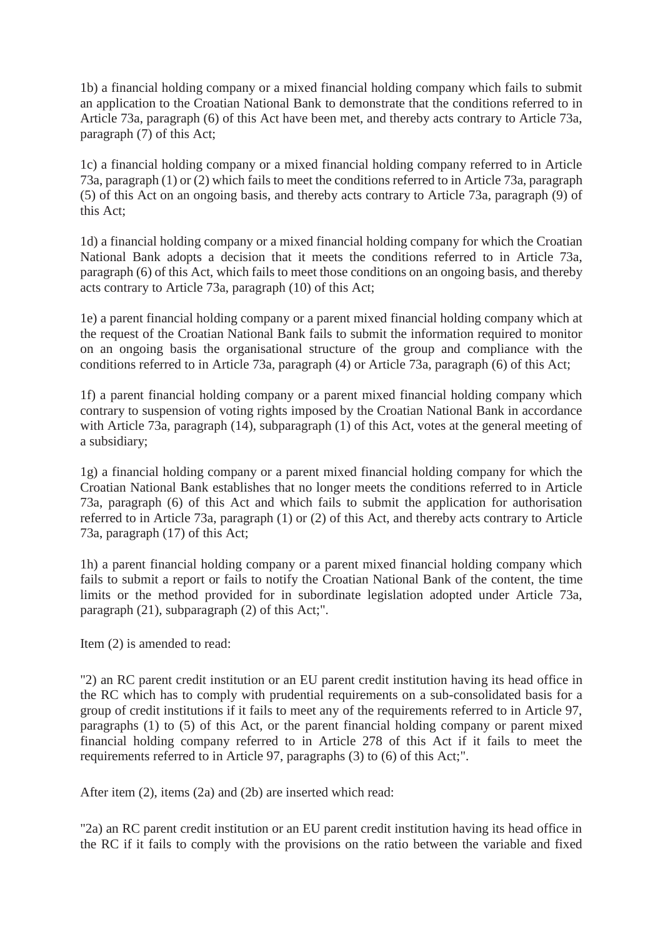1b) a financial holding company or a mixed financial holding company which fails to submit an application to the Croatian National Bank to demonstrate that the conditions referred to in Article 73a, paragraph (6) of this Act have been met, and thereby acts contrary to Article 73a, paragraph (7) of this Act;

1c) a financial holding company or a mixed financial holding company referred to in Article 73a, paragraph (1) or (2) which fails to meet the conditions referred to in Article 73a, paragraph (5) of this Act on an ongoing basis, and thereby acts contrary to Article 73a, paragraph (9) of this Act;

1d) a financial holding company or a mixed financial holding company for which the Croatian National Bank adopts a decision that it meets the conditions referred to in Article 73a, paragraph (6) of this Act, which fails to meet those conditions on an ongoing basis, and thereby acts contrary to Article 73a, paragraph (10) of this Act;

1e) a parent financial holding company or a parent mixed financial holding company which at the request of the Croatian National Bank fails to submit the information required to monitor on an ongoing basis the organisational structure of the group and compliance with the conditions referred to in Article 73a, paragraph (4) or Article 73a, paragraph (6) of this Act;

1f) a parent financial holding company or a parent mixed financial holding company which contrary to suspension of voting rights imposed by the Croatian National Bank in accordance with Article 73a, paragraph (14), subparagraph (1) of this Act, votes at the general meeting of a subsidiary;

1g) a financial holding company or a parent mixed financial holding company for which the Croatian National Bank establishes that no longer meets the conditions referred to in Article 73a, paragraph (6) of this Act and which fails to submit the application for authorisation referred to in Article 73a, paragraph (1) or (2) of this Act, and thereby acts contrary to Article 73a, paragraph (17) of this Act;

1h) a parent financial holding company or a parent mixed financial holding company which fails to submit a report or fails to notify the Croatian National Bank of the content, the time limits or the method provided for in subordinate legislation adopted under Article 73a, paragraph (21), subparagraph (2) of this Act;".

Item (2) is amended to read:

"2) an RC parent credit institution or an EU parent credit institution having its head office in the RC which has to comply with prudential requirements on a sub-consolidated basis for a group of credit institutions if it fails to meet any of the requirements referred to in Article 97, paragraphs (1) to (5) of this Act, or the parent financial holding company or parent mixed financial holding company referred to in Article 278 of this Act if it fails to meet the requirements referred to in Article 97, paragraphs (3) to (6) of this Act;".

After item (2), items (2a) and (2b) are inserted which read:

"2a) an RC parent credit institution or an EU parent credit institution having its head office in the RC if it fails to comply with the provisions on the ratio between the variable and fixed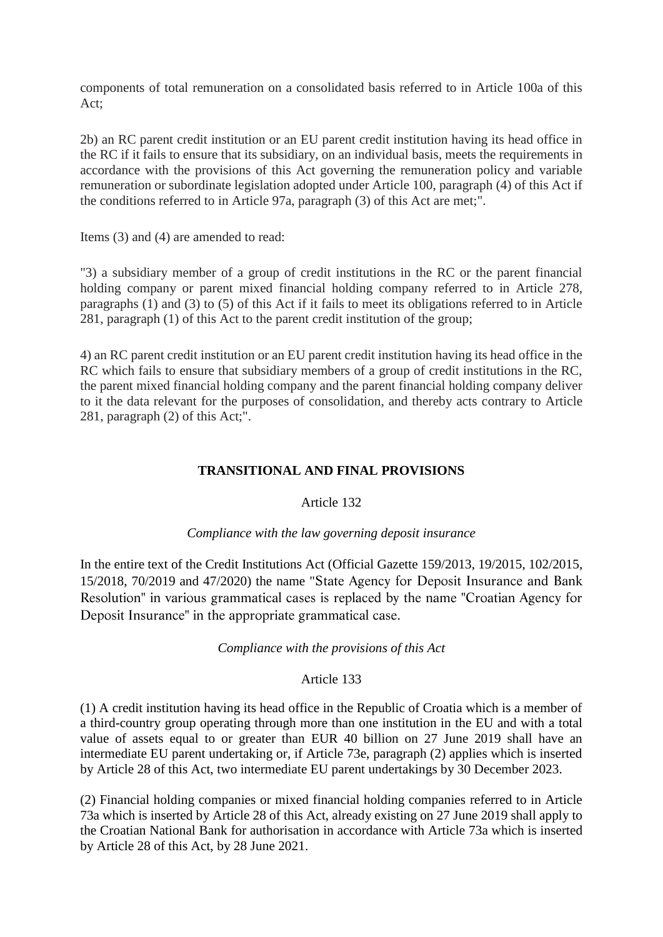components of total remuneration on a consolidated basis referred to in Article 100a of this Act;

2b) an RC parent credit institution or an EU parent credit institution having its head office in the RC if it fails to ensure that its subsidiary, on an individual basis, meets the requirements in accordance with the provisions of this Act governing the remuneration policy and variable remuneration or subordinate legislation adopted under Article 100, paragraph (4) of this Act if the conditions referred to in Article 97a, paragraph (3) of this Act are met;".

Items (3) and (4) are amended to read:

"3) a subsidiary member of a group of credit institutions in the RC or the parent financial holding company or parent mixed financial holding company referred to in Article 278, paragraphs (1) and (3) to (5) of this Act if it fails to meet its obligations referred to in Article 281, paragraph (1) of this Act to the parent credit institution of the group;

4) an RC parent credit institution or an EU parent credit institution having its head office in the RC which fails to ensure that subsidiary members of a group of credit institutions in the RC, the parent mixed financial holding company and the parent financial holding company deliver to it the data relevant for the purposes of consolidation, and thereby acts contrary to Article 281, paragraph (2) of this Act;".

# **TRANSITIONAL AND FINAL PROVISIONS**

# Article 132

# *Compliance with the law governing deposit insurance*

In the entire text of the Credit Institutions Act (Official Gazette 159/2013, 19/2015, 102/2015, 15/2018, 70/2019 and 47/2020) the name "State Agency for Deposit Insurance and Bank Resolution" in various grammatical cases is replaced by the name "Croatian Agency for Deposit Insurance" in the appropriate grammatical case.

# *Compliance with the provisions of this Act*

# Article 133

(1) A credit institution having its head office in the Republic of Croatia which is a member of a third-country group operating through more than one institution in the EU and with a total value of assets equal to or greater than EUR 40 billion on 27 June 2019 shall have an intermediate EU parent undertaking or, if Article 73e, paragraph (2) applies which is inserted by Article 28 of this Act, two intermediate EU parent undertakings by 30 December 2023.

(2) Financial holding companies or mixed financial holding companies referred to in Article 73a which is inserted by Article 28 of this Act, already existing on 27 June 2019 shall apply to the Croatian National Bank for authorisation in accordance with Article 73a which is inserted by Article 28 of this Act, by 28 June 2021.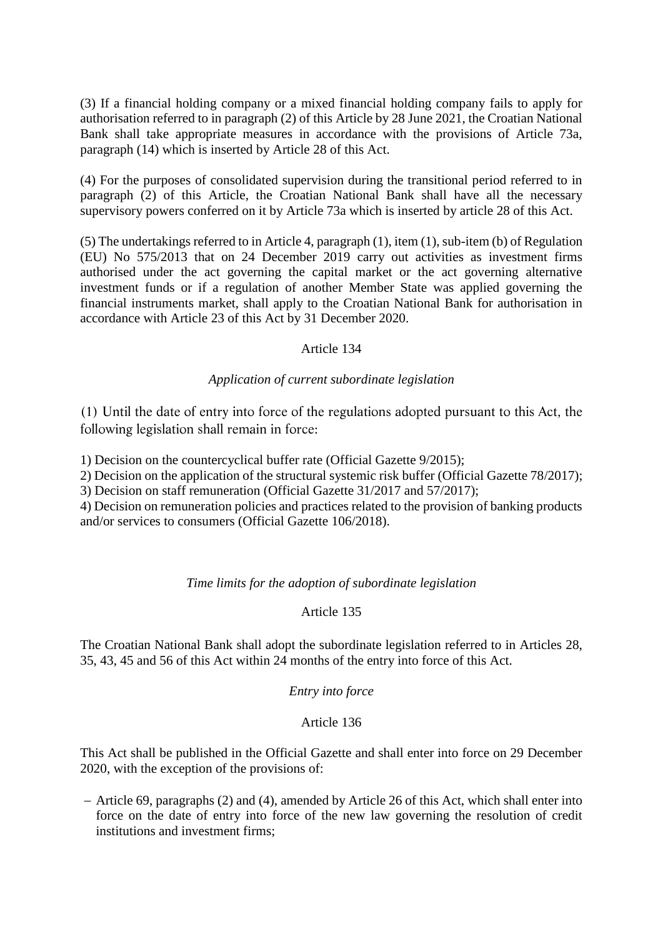(3) If a financial holding company or a mixed financial holding company fails to apply for authorisation referred to in paragraph (2) of this Article by 28 June 2021, the Croatian National Bank shall take appropriate measures in accordance with the provisions of Article 73a, paragraph (14) which is inserted by Article 28 of this Act.

(4) For the purposes of consolidated supervision during the transitional period referred to in paragraph (2) of this Article, the Croatian National Bank shall have all the necessary supervisory powers conferred on it by Article 73a which is inserted by article 28 of this Act.

(5) The undertakings referred to in Article 4, paragraph (1), item (1), sub-item (b) of Regulation (EU) No 575/2013 that on 24 December 2019 carry out activities as investment firms authorised under the act governing the capital market or the act governing alternative investment funds or if a regulation of another Member State was applied governing the financial instruments market, shall apply to the Croatian National Bank for authorisation in accordance with Article 23 of this Act by 31 December 2020.

# Article 134

### *Application of current subordinate legislation*

(1) Until the date of entry into force of the regulations adopted pursuant to this Act, the following legislation shall remain in force:

1) Decision on the countercyclical buffer rate (Official Gazette 9/2015);

2) Decision on the application of the structural systemic risk buffer (Official Gazette 78/2017);

3) Decision on staff remuneration (Official Gazette 31/2017 and 57/2017);

4) Decision on remuneration policies and practices related to the provision of banking products and/or services to consumers (Official Gazette 106/2018).

# *Time limits for the adoption of subordinate legislation*

# Article 135

The Croatian National Bank shall adopt the subordinate legislation referred to in Articles 28, 35, 43, 45 and 56 of this Act within 24 months of the entry into force of this Act.

### *Entry into force*

### Article 136

This Act shall be published in the Official Gazette and shall enter into force on 29 December 2020, with the exception of the provisions of:

- Article 69, paragraphs (2) and (4), amended by Article 26 of this Act, which shall enter into force on the date of entry into force of the new law governing the resolution of credit institutions and investment firms;